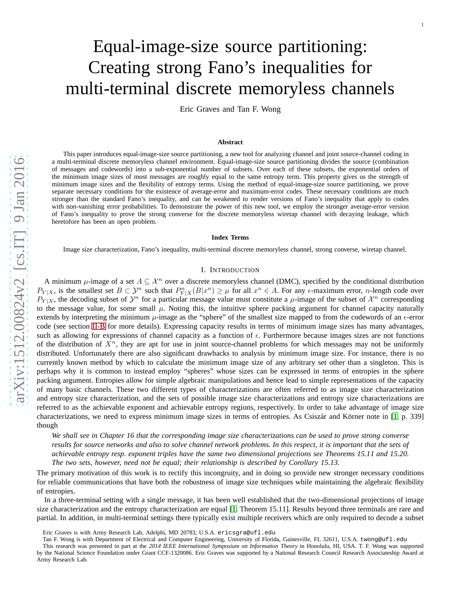# Equal-image-size source partitioning: Creating strong Fano's inequalities for multi-terminal discrete memoryless channels

Eric Graves and Tan F. Wong

#### **Abstract**

This paper introduces equal-image-size source partitioning, a new tool for analyzing channel and joint source-channel coding in a multi-terminal discrete memoryless channel environment. Equal-image-size source partitioning divides the source (combination of messages and codewords) into a sub-exponential number of subsets. Over each of these subsets, the exponential orders of the minimum image sizes of most messages are roughly equal to the same entropy term. This property gives us the strength of minimum image sizes and the flexibility of entropy terms. Using the method of equal-image-size source partitioning, we prove separate necessary conditions for the existence of average-error and maximum-error codes. These necessary conditions are much stronger than the standard Fano's inequality, and can be weakened to render versions of Fano's inequality that apply to codes with non-vanishing error probabilities. To demonstrate the power of this new tool, we employ the stronger average-error version of Fano's inequality to prove the strong converse for the discrete memoryless wiretap channel with decaying leakage, which heretofore has been an open problem.

#### **Index Terms**

Image size characterization, Fano's inequality, multi-terminal discrete memoryless channel, strong converse, wiretap channel.

## I. INTRODUCTION

A minimum  $\mu$ -image of a set  $A \subseteq \mathcal{X}^n$  over a discrete memoryless channel (DMC), specified by the conditional distribution  $P_{Y|X}$ , is the smallest set  $B \subset \mathcal{Y}^n$  such that  $P_{Y|X}^n(B|x^n) \ge \mu$  for all  $x^n \in A$ . For any  $\epsilon$ -maximum error, *n*-length code over  $P_{Y|X}$ , the decoding subset of  $\mathcal{Y}^n$  for a particular message value must constitute a  $\mu$ -image of the subset of  $\mathcal{X}^n$  corresponding to the message value, for some small  $\mu$ . Noting this, the intuitive sphere packing argument for channel capacity naturally extends by interpreting the minimum  $\mu$ -image as the "sphere" of the smallest size mapped to from the codewords of an  $\epsilon$ -error code (see section [II-B](#page-2-0) for more details). Expressing capacity results in terms of minimum image sizes has many advantages, such as allowing for expressions of channel capacity as a function of  $\epsilon$ . Furthermore because images sizes are not functions of the distribution of  $X<sup>n</sup>$ , they are apt for use in joint source-channel problems for which messages may not be uniformly distributed. Unfortunately there are also significant drawbacks to analysis by minimum image size. For instance, there is no currently known method by which to calculate the minimum image size of any arbitrary set other than a singleton. This is perhaps why it is common to instead employ "spheres" whose sizes can be expressed in terms of entropies in the sphere packing argument. Entropies allow for simple algebraic manipulations and hence lead to simple representations of the capacity of many basic channels. These two different types of characterizations are often referred to as image size characterization and entropy size characterization, and the sets of possible image size characterizations and entropy size characterizations are referred to as the achievable exponent and achievable entropy regions, respectively. In order to take advantage of image size characterizations, we need to express minimum image sizes in terms of entropies. As Csiszár and Körner note in  $[1, p. 339]$  $[1, p. 339]$ though

*We shall see in Chapter 16 that the corresponding image size characterizations can be used to prove strong converse results for source networks and also to solve channel network problems. In this respect, it is important that the sets of achievable entropy resp. exponent triples have the same two dimensional projections see Theorems 15.11 and 15.20. The two sets, however, need not be equal; their relationship is described by Corollary 15.13.*

The primary motivation of this work is to rectify this incongruity, and in doing so provide new stronger necessary conditions for reliable communications that have both the robustness of image size techniques while maintaining the algebraic flexibility of entropies.

In a three-terminal setting with a single message, it has been well established that the two-dimensional projections of image size characterization and the entropy characterization are equal [\[1,](#page-27-0) Theorem 15.11]. Results beyond three terminals are rare and partial. In addition, in multi-terminal settings there typically exist multiple receivers which are only required to decode a subset

Eric Graves is with Army Research Lab, Adelphi, MD 20783, U.S.A. ericsgra@ufl.edu

Tan F. Wong is with Department of Electrical and Computer Engineering, University of Florida, Gainesville, FL 32611, U.S.A. twong@ufl.edu

This research was presented in part at the *2014 IEEE International Symposium on Information Theory* in Honolulu, HI, USA. T. F. Wong was supported by the National Science Foundation under Grant CCF-1320086. Eric Graves was supported by a National Research Council Research Associateship Award at Army Research Lab.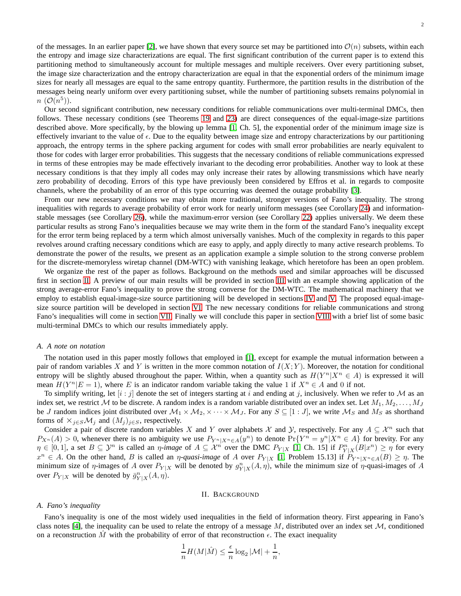of the messages. In an earlier paper [\[2\]](#page-27-1), we have shown that every source set may be partitioned into  $\mathcal{O}(n)$  subsets, within each the entropy and image size characterizations are equal. The first significant contribution of the current paper is to extend this partitioning method to simultaneously account for multiple messages and multiple receivers. Over every partitioning subset, the image size characterization and the entropy characterization are equal in that the exponential orders of the minimum image sizes for nearly all messages are equal to the same entropy quantity. Furthermore, the partition results in the distribution of the messages being nearly uniform over every partitioning subset, while the number of partitioning subsets remains polynomial in  $n\ (\mathcal{O}(n^5)).$ 

Our second significant contribution, new necessary conditions for reliable communications over multi-terminal DMCs, then follows. These necessary conditions (see Theorems [19](#page-19-0) and [23\)](#page-24-0) are direct consequences of the equal-image-size partitions described above. More specifically, by the blowing up lemma [\[1,](#page-27-0) Ch. 5], the exponential order of the minimum image size is effectively invariant to the value of  $\epsilon$ . Due to the equality between image size and entropy characterizations by our partitioning approach, the entropy terms in the sphere packing argument for codes with small error probabilities are nearly equivalent to those for codes with larger error probabilities. This suggests that the necessary conditions of reliable communications expressed in terms of these entropies may be made effectively invariant to the decoding error probabilities. Another way to look at these necessary conditions is that they imply all codes may only increase their rates by allowing transmissions which have nearly zero probability of decoding. Errors of this type have previously been considered by Effros et al. in regards to composite channels, where the probability of an error of this type occurring was deemed the outage probability [\[3\]](#page-27-2).

From our new necessary conditions we may obtain more traditional, stronger versions of Fano's inequality. The strong inequalities with regards to average probability of error work for nearly uniform messages (see Corollary [24\)](#page-25-0) and informationstable messages (see Corollary [26\)](#page-26-0), while the maximum-error version (see Corollary [22\)](#page-24-1) applies universally. We deem these particular results as strong Fano's inequalities because we may write them in the form of the standard Fano's inequality except for the error term being replaced by a term which almost universally vanishes. Much of the complexity in regards to this paper revolves around crafting necessary conditions which are easy to apply, and apply directly to many active research problems. To demonstrate the power of the results, we present as an application example a simple solution to the strong converse problem for the discrete-memoryless wiretap channel (DM-WTC) with vanishing leakage, which heretofore has been an open problem.

We organize the rest of the paper as follows. Background on the methods used and similar approaches will be discussed first in section [II.](#page-1-0) A preview of our main results will be provided in section [III](#page-3-0) with an example showing application of the strong average-error Fano's inequality to prove the strong converse for the DM-WTC. The mathematical machinery that we employ to establish equal-image-size source partitioning will be developed in sections [IV](#page-4-0) and [V.](#page-8-0) The proposed equal-imagesize source partition will be developed in section [VI.](#page-12-0) The new necessary conditions for reliable communications and strong Fano's inequalities will come in section [VII.](#page-19-1) Finally we will conclude this paper in section [VIII](#page-27-3) with a brief list of some basic multi-terminal DMCs to which our results immediately apply.

## *A. A note on notation*

The notation used in this paper mostly follows that employed in [\[1\]](#page-27-0), except for example the mutual information between a pair of random variables X and Y is written in the more common notation of  $I(X; Y)$ . Moreover, the notation for conditional entropy will be slightly abused throughout the paper. Within, when a quantity such as  $H(Y^n | X^n \in A)$  is expressed it will mean  $H(Y^n | E = 1)$ , where E is an indicator random variable taking the value 1 if  $X^n \in A$  and 0 if not.

To simplify writing, let  $[i : j]$  denote the set of integers starting at i and ending at j, inclusively. When we refer to M as an index set, we restrict M to be discrete. A random index is a random variable distributed over an index set. Let  $M_1, M_2, \ldots, M_J$ be J random indices joint distributed over  $M_1 \times M_2$ ,  $\times \cdots \times M_J$ . For any  $S \subseteq [1:J]$ , we write  $M_S$  and  $M_S$  as shorthand forms of  $\times_{i\in S} \mathcal{M}_i$  and  $(M_i)_{i\in S}$ , respectively.

Consider a pair of discrete random variables X and Y over alphabets X and Y, respectively. For any  $A \subseteq \mathcal{X}^n$  such that  $P_{X^n}(A) > 0$ , whenever there is no ambiguity we use  $P_{Y^n|X^n \in A}(y^n)$  to denote  $Pr\{Y^n = y^n | X^n \in A\}$  for brevity. For any  $\eta \in [0,1]$ , a set  $B \subseteq \mathcal{Y}^n$  is called an  $\eta$ -image of  $A \subseteq \mathcal{X}^n$  over the DMC  $P_{Y|X}$  [\[1,](#page-27-0) Ch. 15] if  $P_{Y|X}^n(B|x^n) \ge \eta$  for every  $x^n \in A$ . On the other hand, B is called an  $\eta$ -quasi-image of A over  $P_{Y|X}$  [\[1,](#page-27-0) Problem 15.13] if  $P_{Y^n|X^n \in A}(B) \ge \eta$ . The minimum size of  $\eta$ -images of A over  $P_{Y|X}$  will be denoted by  $g_{Y|X}^n(A, \eta)$ , while the minimum size of  $\eta$ -quasi-images of A over  $P_{Y|X}$  will be denoted by  $\bar{g}_{Y|X}^n(A, \eta)$ .

#### II. BACKGROUND

## <span id="page-1-0"></span>*A. Fano's inequality*

Fano's inequality is one of the most widely used inequalities in the field of information theory. First appearing in Fano's class notes [\[4\]](#page-27-4), the inequality can be used to relate the entropy of a message M, distributed over an index set  $M$ , conditioned on a reconstruction  $\hat{M}$  with the probability of error of that reconstruction  $\epsilon$ . The exact inequality

$$
\frac{1}{n}H(M|\hat{M}) \le \frac{\epsilon}{n}\log_2|M| + \frac{1}{n},
$$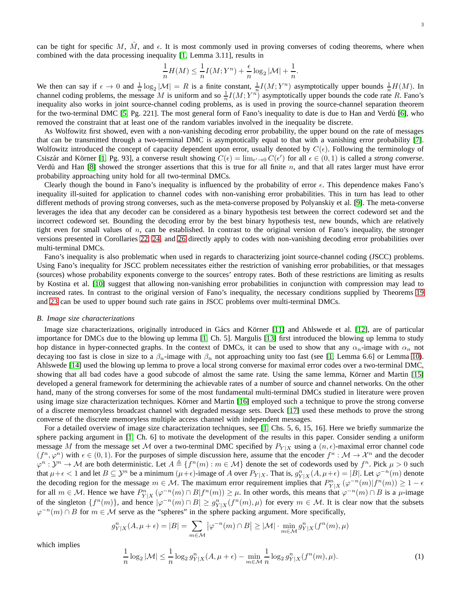can be tight for specific M,  $\hat{M}$ , and  $\epsilon$ . It is most commonly used in proving converses of coding theorems, where when combined with the data processing inequality [\[1,](#page-27-0) Lemma 3.11], results in

$$
\frac{1}{n}H(M) \le \frac{1}{n}I(M;Y^n) + \frac{\epsilon}{n}\log_2|\mathcal{M}| + \frac{1}{n}.
$$

We then can say if  $\epsilon \to 0$  and  $\frac{1}{n} \log_2 |\mathcal{M}| = R$  is a finite constant,  $\frac{1}{n} I(M; Y^n)$  asymptotically upper bounds  $\frac{1}{n} H(M)$ . In channel coding problems, the message M is uniform and so  $\frac{1}{n}I(M;Y^n)$  asymptotically upper bounds the code rate R. Fano's inequality also works in joint source-channel coding problems, as is used in proving the source-channel separation theorem for the two-terminal DMC  $[5, Pg. 221]$ . The most general form of Fano's inequality to date is due to Han and Verdú  $[6]$ , who removed the constraint that at least one of the random variables involved in the inequality be discrete.

As Wolfowitz first showed, even with a non-vanishing decoding error probability, the upper bound on the rate of messages that can be transmitted through a two-terminal DMC is asymptotically equal to that with a vanishing error probability [\[7\]](#page-27-7). Wolfowitz introduced the concept of capacity dependent upon error, usually denoted by  $C(\epsilon)$ . Following the terminology of Csiszár and Körner [\[1,](#page-27-0) Pg. 93], a converse result showing  $C(\epsilon) = \lim_{\epsilon' \to 0} C(\epsilon')$  for all  $\epsilon \in (0,1)$  is called a *strong converse*. Verdú and Han  $[8]$  showed the stronger assertions that this is true for all finite n, and that all rates larger must have error probability approaching unity hold for all two-terminal DMCs.

Clearly though the bound in Fano's inequality is influenced by the probability of error  $\epsilon$ . This dependence makes Fano's inequality ill-suited for application to channel codes with non-vanishing error probabilities. This in turn has lead to other different methods of proving strong converses, such as the meta-converse proposed by Polyanskiy et al. [\[9\]](#page-27-9). The meta-converse leverages the idea that any decoder can be considered as a binary hypothesis test between the correct codeword set and the incorrect codeword set. Bounding the decoding error by the best binary hypothesis test, new bounds, which are relatively tight even for small values of n, can be established. In contrast to the original version of Fano's inequality, the stronger versions presented in Corollaries [22,](#page-24-1) [24,](#page-25-0) and [26](#page-26-0) directly apply to codes with non-vanishing decoding error probabilities over multi-terminal DMCs.

Fano's inequality is also problematic when used in regards to characterizing joint source-channel coding (JSCC) problems. Using Fano's inequality for JSCC problem necessitates either the restriction of vanishing error probabilities, or that messages (sources) whose probability exponents converge to the sources' entropy rates. Both of these restrictions are limiting as results by Kostina et al. [\[10\]](#page-27-10) suggest that allowing non-vanishing error probabilities in conjunction with compression may lead to increased rates. In contrast to the original version of Fano's inequality, the necessary conditions supplied by Theorems [19](#page-19-0) and [23](#page-24-0) can be used to upper bound such rate gains in JSCC problems over multi-terminal DMCs.

## <span id="page-2-0"></span>*B. Image size characterizations*

Image size characterizations, originally introduced in Gács and Körner [\[11\]](#page-27-11) and Ahlswede et al. [\[12\]](#page-27-12), are of particular importance for DMCs due to the blowing up lemma [\[1,](#page-27-0) Ch. 5]. Margulis [\[13\]](#page-27-13) first introduced the blowing up lemma to study hop distance in hyper-connected graphs. In the context of DMCs, it can be used to show that any  $\alpha_n$ -image with  $\alpha_n$  not decaying too fast is close in size to a  $\beta_n$ -image with  $\beta_n$  not approaching unity too fast (see [\[1,](#page-27-0) Lemma 6.6] or Lemma [10\)](#page-9-0). Ahlswede [\[14\]](#page-27-14) used the blowing up lemma to prove a local strong converse for maximal error codes over a two-terminal DMC, showing that all bad codes have a good subcode of almost the same rate. Using the same lemma, Körner and Martin [\[15\]](#page-28-0) developed a general framework for determining the achievable rates of a number of source and channel networks. On the other hand, many of the strong converses for some of the most fundamental multi-terminal DMCs studied in literature were proven using image size characterization techniques. Körner and Martin [\[16\]](#page-28-1) employed such a technique to prove the strong converse of a discrete memoryless broadcast channel with degraded message sets. Dueck [\[17\]](#page-28-2) used these methods to prove the strong converse of the discrete memoryless multiple access channel with independent messages.

For a detailed overview of image size characterization techniques, see [\[1,](#page-27-0) Chs. 5, 6, 15, 16]. Here we briefly summarize the sphere packing argument in [\[1,](#page-27-0) Ch. 6] to motivate the development of the results in this paper. Consider sending a uniform message M from the message set M over a two-terminal DMC specified by  $P_{Y|X}$  using a  $(n, \epsilon)$ -maximal error channel code  $(f^n, \varphi^n)$  with  $\epsilon \in (0,1)$ . For the purposes of simple discussion here, assume that the encoder  $f^n : \mathcal{M} \to \mathcal{X}^n$  and the decoder  $\varphi^n : \mathcal{Y}^n \to \mathcal{M}$  are both deterministic. Let  $A = \{f^n(m) : m \in \mathcal{M}\}\$  denote the set of codewords used by  $f^n$ . Pick  $\mu > 0$  such that  $\mu + \epsilon < 1$  and let  $B \subseteq \mathcal{Y}^n$  be a minimum  $(\mu + \epsilon)$ -image of A over  $P_{Y|X}$ . That is,  $g_{Y|X}^n(A, \mu + \epsilon) = |B|$ . Let  $\varphi^{-n}(m)$  denote the decoding region for the message  $m \in M$ . The maximum error requirement implies that  $P_{Y|X}^n(\varphi^{-n}(m)|f^n(m)) \geq 1 - \epsilon$ for all  $m \in \mathcal{M}$ . Hence we have  $P_{Y|X}^n(\varphi^{-n}(m) \cap B | f^n(m)) \ge \mu$ . In other words, this means that  $\varphi^{-n}(m) \cap B$  is a  $\mu$ -image of the singleton  $\{f^n(m)\}\)$ , and hence  $|\varphi^{-n}(m) \cap B| \geq g^n_{Y|X}(f^n(m), \mu)$  for every  $m \in \mathcal{M}$ . It is clear now that the subsets  $\varphi^{-n}(m) \cap B$  for  $m \in \mathcal{M}$  serve as the "spheres" in the sphere packing argument. More specifically,

$$
g_{Y|X}^n(A, \mu + \epsilon) = |B| = \sum_{m \in \mathcal{M}} |\varphi^{-n}(m) \cap B| \ge |\mathcal{M}| \cdot \min_{m \in \mathcal{M}} g_{Y|X}^n(f^n(m), \mu)
$$

which implies

<span id="page-2-1"></span>
$$
\frac{1}{n}\log_2|\mathcal{M}| \le \frac{1}{n}\log_2 g_{Y|X}^n(A, \mu + \epsilon) - \min_{m \in \mathcal{M}} \frac{1}{n}\log_2 g_{Y|X}^n(f^n(m), \mu). \tag{1}
$$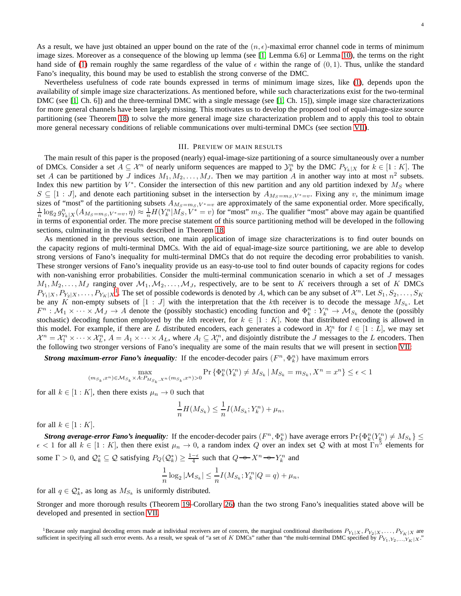Nevertheless usefulness of code rate bounds expressed in terms of minimum image sizes, like [\(1\)](#page-2-1), depends upon the availability of simple image size characterizations. As mentioned before, while such characterizations exist for the two-terminal DMC (see [\[1,](#page-27-0) Ch. 6]) and the three-terminal DMC with a single message (see [\[1,](#page-27-0) Ch. 15]), simple image size characterizations for more general channels have been largely missing. This motivates us to develop the proposed tool of equal-image-size source partitioning (see Theorem [18\)](#page-14-0) to solve the more general image size characterization problem and to apply this tool to obtain more general necessary conditions of reliable communications over multi-terminal DMCs (see section [VII\)](#page-19-1).

## III. PREVIEW OF MAIN RESULTS

<span id="page-3-0"></span>The main result of this paper is the proposed (nearly) equal-image-size partitioning of a source simultaneously over a number of DMCs. Consider a set  $A \subseteq \mathcal{X}^n$  of nearly uniform sequences are mapped to  $\mathcal{Y}_k^n$  by the DMC  $P_{Y_k|X}$  for  $k \in [1:K]$ . The set A can be partitioned by J indices  $M_1, M_2, \ldots, M_J$ . Then we may partition A in another way into at most  $n^2$  subsets. Index this new partition by  $V^*$ . Consider the intersection of this new partition and any old partition indexed by  $M_S$  where  $S \subseteq [1 : J]$ , and denote each partitioning subset in the intersection by  $A_{M_S=m_S, V^*=v}$ . Fixing any v, the minimum image sizes of "most" of the partitioning subsets  $A_{M_S=m_S, V^*=v}$  are approximately of the same exponential order. More specifically,  $\frac{1}{n} \log_2 g_{Y_k|X}^n(A_{M_S=m_S,V^*=v}, \eta) \approx \frac{1}{n} H(Y_k^n|M_S, V^*=v)$  for "most"  $m_S$ . The qualifier "most" above may again be quantified in terms of exponential order. The more precise statement of this source partitioning method will be developed in the following sections, culminating in the results described in Theorem [18.](#page-14-0)

As mentioned in the previous section, one main application of image size characterizations is to find outer bounds on the capacity regions of multi-terminal DMCs. With the aid of equal-image-size source partitioning, we are able to develop strong versions of Fano's inequality for multi-terminal DMCs that do not require the decoding error probabilities to vanish. These stronger versions of Fano's inequality provide us an easy-to-use tool to find outer bounds of capacity regions for codes with non-vanishing error probabilities. Consider the multi-terminal communication scenario in which a set of J messages  $M_1, M_2, \ldots, M_J$  ranging over  $M_1, M_2, \ldots, M_J$ , respectively, are to be sent to K receivers through a set of K DMCs  $P_{Y_1|X}, P_{Y_2|X}, \ldots, P_{Y_K|X}$  $P_{Y_1|X}, P_{Y_2|X}, \ldots, P_{Y_K|X}$  $P_{Y_1|X}, P_{Y_2|X}, \ldots, P_{Y_K|X}$ <sup>1</sup>. The set of possible codewords is denoted by A, which can be any subset of  $\mathcal{X}^n$ . Let  $S_1, S_2, \ldots, S_K$ be any K non-empty subsets of  $[1:J]$  with the interpretation that the kth receiver is to decode the message  $M_{S_k}$ . Let  $F^n: \mathcal{M}_1 \times \cdots \times \mathcal{M}_J \to A$  denote the (possibly stochastic) encoding function and  $\Phi_k^n: Y_k^n \to \mathcal{M}_{S_k}$  denote the (possibly stochastic) decoding function employed by the kth receiver, for  $k \in [1:K]$ . Note that distributed encoding is allowed in this model. For example, if there are L distributed encoders, each generates a codeword in  $\mathcal{X}_l^n$  for  $l \in [1:L]$ , we may set  $\mathcal{X}^n = \mathcal{X}_1^n \times \cdots \times \mathcal{X}_L^n$ ,  $A = A_1 \times \cdots \times A_L$ , where  $A_l \subseteq \mathcal{X}_l^n$ , and disjointly distribute the *J* messages to the *L* encoders. Then the following two stronger versions of Fano's inequality are some of the main results that we will present in section [VII:](#page-19-1)

*Strong maximum-error Fano's inequality*: If the encoder-decoder pairs  $(F^n, \Phi_k^n)$  have maximum errors

$$
\max_{(m_{S_k},x^n)\in \mathcal{M}_{S_k}\times A: P_{M_{S_k},X^n}(m_{S_k},x^n)>0}\Pr\left\{\Phi_k^n(Y_k^n)\neq M_{S_k}\:|\:M_{S_k}=m_{S_k},X^n=x^n\right\}\leq \epsilon<1
$$

for all  $k \in [1:K]$ , then there exists  $\mu_n \to 0$  such that

$$
\frac{1}{n}H(M_{S_k}) \leq \frac{1}{n}I(M_{S_k}; Y_k^n) + \mu_n,
$$

for all  $k \in [1:K]$ .

*Strong average-error Fano's inequality*: If the encoder-decoder pairs  $(F^n, \Phi_k^n)$  have average errors  $Pr{\Phi_k^n(Y_k^n) \neq M_{S_k}} \leq$  $\epsilon$  < 1 for all  $k \in [1:K]$ , then there exist  $\mu_n \to 0$ , a random index Q over an index set Q with at most  $\Gamma n^5$  elements for some  $\Gamma > 0$ , and  $\mathcal{Q}_k^* \subseteq \mathcal{Q}$  satisfying  $P_Q(\mathcal{Q}_k^*) \ge \frac{1-\epsilon}{4}$  such that  $Q \rightarrow X^n \rightarrow Y_k^n$  and

$$
\frac{1}{n}\log_2|M_{S_k}| \leq \frac{1}{n}I(M_{S_k}; Y_k^n|Q = q) + \mu_n,
$$

for all  $q \in \mathcal{Q}_k^*$ , as long as  $M_{S_k}$  is uniformly distributed.

Stronger and more thorough results (Theorem [19–](#page-19-0)Corollary [26\)](#page-26-0) than the two strong Fano's inequalities stated above will be developed and presented in section [VII.](#page-19-1)

<span id="page-3-1"></span><sup>&</sup>lt;sup>1</sup>Because only marginal decoding errors made at individual receivers are of concern, the marginal conditional distributions  $P_{Y_1|X}, P_{Y_2|X}, \ldots, P_{Y_K|X}$  are sufficient in specifying all such error events. As a result, we speak of "a set of K DMCs" rather than "the multi-terminal DMC specified by  $P_{Y_1,Y_2,...,Y_K|X}$ ."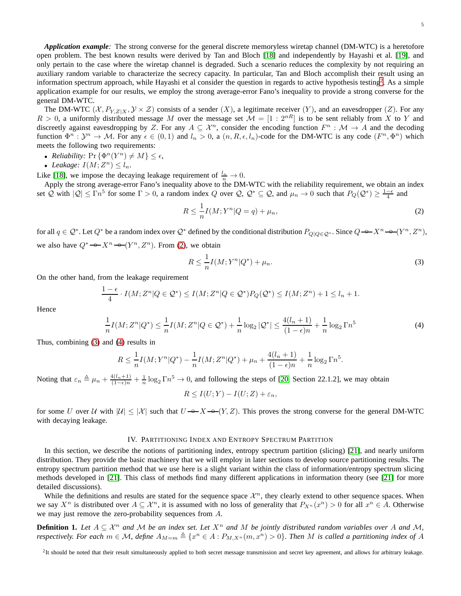*Application example:* The strong converse for the general discrete memoryless wiretap channel (DM-WTC) is a heretofore open problem. The best known results were derived by Tan and Bloch [\[18\]](#page-28-3) and independently by Hayashi et al. [\[19\]](#page-28-4), and only pertain to the case where the wiretap channel is degraded. Such a scenario reduces the complexity by not requiring an auxiliary random variable to characterize the secrecy capacity. In particular, Tan and Bloch accomplish their result using an information spectrum approach, while Hayashi et al consider the question in regards to active hypothesis testing<sup>[2](#page-4-1)</sup>. As a simple application example for our results, we employ the strong average-error Fano's inequality to provide a strong converse for the general DM-WTC.

The DM-WTC  $(\mathcal{X}, P_{Y,Z|X}, \mathcal{Y} \times \mathcal{Z})$  consists of a sender  $(X)$ , a legitimate receiver  $(Y)$ , and an eavesdropper  $(Z)$ . For any  $R > 0$ , a uniformly distributed message M over the message set  $\mathcal{M} = [1 : 2^{nR}]$  is to be sent reliably from X to Y and discreetly against eavesdropping by Z. For any  $A \subseteq \mathcal{X}^n$ , consider the encoding function  $F^n : \mathcal{M} \to A$  and the decoding function  $\Phi^n : \mathcal{Y}^n \to \mathcal{M}$ . For any  $\epsilon \in (0,1)$  and  $l_n > 0$ , a  $(n, R, \epsilon, l_n)$ -code for the DM-WTC is any code  $(F^n, \Phi^n)$  which meets the following two requirements:

- *Reliability:*  $\Pr\{\Phi^n(Y^n) \neq M\} \leq \epsilon$ ,
- *Leakage:*  $I(M; Z^n) \leq l_n$ .

Like [\[18\]](#page-28-3), we impose the decaying leakage requirement of  $\frac{l_n}{n} \to 0$ .

Apply the strong average-error Fano's inequality above to the DM-WTC with the reliability requirement, we obtain an index set Q with  $|Q| \le \Gamma n^5$  for some  $\Gamma > 0$ , a random index Q over Q,  $Q^* \subseteq Q$ , and  $\mu_n \to 0$  such that  $P_Q(Q^*) \ge \frac{1-\epsilon}{4}$  and

<span id="page-4-2"></span>
$$
R \le \frac{1}{n} I(M; Y^n | Q = q) + \mu_n,\tag{2}
$$

for all  $q \in \mathcal{Q}^*$ . Let  $Q^*$  be a random index over  $\mathcal{Q}^*$  defined by the conditional distribution  $P_{Q|Q \in \mathcal{Q}^*}$ . Since  $Q \to X^n \to (Y^n, Z^n)$ , we also have  $Q^* \rightarrow X^n \rightarrow (Y^n, Z^n)$ . From [\(2\)](#page-4-2), we obtain

<span id="page-4-4"></span><span id="page-4-3"></span>
$$
R \le \frac{1}{n} I(M; Y^n | Q^*) + \mu_n. \tag{3}
$$

On the other hand, from the leakage requirement

$$
\frac{1-\epsilon}{4} \cdot I(M; Z^n | Q \in \mathcal{Q}^*) \le I(M; Z^n | Q \in \mathcal{Q}^*) P_Q(\mathcal{Q}^*) \le I(M; Z^n) + 1 \le l_n + 1.
$$

Hence

$$
\frac{1}{n}I(M;Z^n|Q^*) \le \frac{1}{n}I(M;Z^n|Q \in \mathcal{Q}^*) + \frac{1}{n}\log_2|\mathcal{Q}^*| \le \frac{4(l_n+1)}{(1-\epsilon)n} + \frac{1}{n}\log_2\Gamma n^5
$$
\n(4)

Thus, combining [\(3\)](#page-4-3) and [\(4\)](#page-4-4) results in

$$
R \le \frac{1}{n} I(M; Y^n | Q^*) - \frac{1}{n} I(M; Z^n | Q^*) + \mu_n + \frac{4(l_n + 1)}{(1 - \epsilon)n} + \frac{1}{n} \log_2 \Gamma n^5.
$$

Noting that  $\varepsilon_n \triangleq \mu_n + \frac{4(l_n+1)}{(1-\epsilon)n} + \frac{1}{n} \log_2 \Gamma_n^5 \to 0$ , and following the steps of [\[20,](#page-28-5) Section 22.1.2], we may obtain

 $R \leq I(U;Y) - I(U;Z) + \varepsilon_n,$ 

for some U over U with  $|U| \leq |\mathcal{X}|$  such that  $U \rightarrow X \rightarrow (Y, Z)$ . This proves the strong converse for the general DM-WTC with decaying leakage.

## IV. PARTITIONING INDEX AND ENTROPY SPECTRUM PARTITION

<span id="page-4-0"></span>In this section, we describe the notions of partitioning index, entropy spectrum partition (slicing) [\[21\]](#page-28-6), and nearly uniform distribution. They provide the basic machinery that we will employ in later sections to develop source partitioning results. The entropy spectrum partition method that we use here is a slight variant within the class of information/entropy spectrum slicing methods developed in [\[21\]](#page-28-6). This class of methods find many different applications in information theory (see [\[21\]](#page-28-6) for more detailed discussions).

While the definitions and results are stated for the sequence space  $\mathcal{X}^n$ , they clearly extend to other sequence spaces. When we say  $X^n$  is distributed over  $A \subseteq \mathcal{X}^n$ , it is assumed with no loss of generality that  $P_{X^n}(x^n) > 0$  for all  $x^n \in A$ . Otherwise we may just remove the zero-probability sequences from A.

**Definition 1.** Let  $A \subseteq \mathcal{X}^n$  and M be an index set. Let  $X^n$  and M be jointly distributed random variables over A and M, *respectively. For each*  $m \in \mathcal{M}$ , define  $A_{M=m} \triangleq \{x^n \in A : P_{M,X^n}(m,x^n) > 0\}$ . Then M is called a partitioning index of A

<span id="page-4-1"></span> ${}^{2}$ It should be noted that their result simultaneously applied to both secret message transmission and secret key agreement, and allows for arbitrary leakage.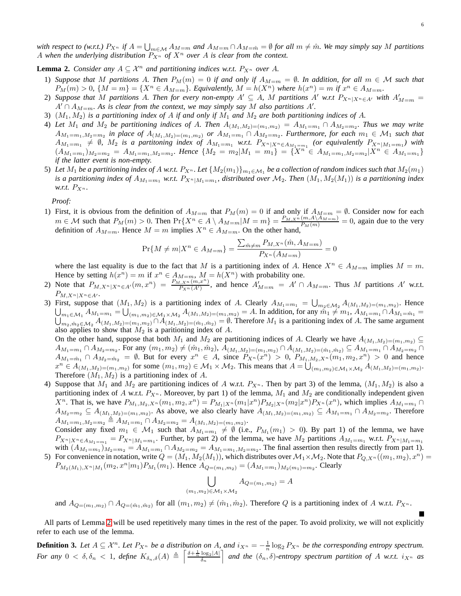*with respect to (w.r.t.)*  $P_{X^n}$  *if*  $A = \bigcup_{m \in \mathcal{M}} A_{M=m}$  and  $A_{M=m} \cap A_{M=\hat{m}} = \emptyset$  for all  $m \neq \hat{m}$ . We may simply say M partitions A when the underlying distribution  $P_{X^n}$  of  $X^n$  over A is clear from the context.

<span id="page-5-0"></span>**Lemma 2.** *Consider any*  $A \subseteq \mathcal{X}^n$  *and partitioning indices w.r.t.*  $P_{X^n}$  *over* A.

- 1) Suppose that M partitions A. Then  $P_M(m) = 0$  if and only if  $A_{M=m} = \emptyset$ . In addition, for all  $m \in \mathcal{M}$  such that  $P_M(m) > 0$ ,  $\{M = m\} = \{X^n \in A_{M=m}\}.$  Equivalently,  $M = h(X^n)$  where  $h(x^n) = m$  if  $x^n \in A_{M=m}$ .
- 2) Suppose that M partitions A. Then for every non-empty  $A' \subseteq A$ , M partitions  $A'$  w.r.t  $P_{X^n|X^n \in A'}$  with  $A'_{M=m}$  $A' \cap A_{M=m}$ . As is clear from the context, we may simply say M also partitions A'.
- 3)  $(M_1, M_2)$  *is a partitioning index of* A *if and only if*  $M_1$  *and*  $M_2$  *are both partitioning indices of* A.
- 4) Let  $M_1$  and  $M_2$  be partitioning indices of A. Then  $A_{(M_1,M_2)=(m_1,m_2)} = A_{M_1=m_1} \cap A_{M_2=m_2}$ . Thus we may write  $A_{M_1=m_1,M_2=m_2}$  in place of  $A_{(M_1,M_2)=(m_1,m_2)}$  or  $A_{M_1=m_1} \cap A_{M_2=m_2}$ . Furthermore, for each  $m_1 \in \mathcal{M}_1$  such that  $A_{M_1=m_1} \neq \emptyset$ ,  $M_2$  *is a partitoning index of*  $A_{M_1=m_1}$  *w.r.t.*  $P_{X^n|X^n \in A_{M_1=m_1}}$  *(or equivalently*  $P_{X^n|M_1=m_1}$ *) with*  $(A_{M_1=m_1})_{M_2=m_2} = A_{M_1=m_1,M_2=m_2}$ . Hence  $\{M_2 = m_2|M_1 = m_1\} = \{\tilde{X}^n \in A_{M_1=m_1,M_2=m_2}|X^n \in A_{M_1=m_1}\}$ *if the latter event is non-empty.*
- 5) Let  $M_1$  be a partitioning index of A w.r.t.  $P_{X^n}$ . Let  $\{M_2(m_1)\}_{m_1\in\mathcal{M}_1}$  be a collection of random indices such that  $M_2(m_1)$ *is a partitioning index of*  $A_{M_1=m_1}$  *w.r.t.*  $P_{X^n|M_1=m_1}$ , distributed over  $\mathcal{M}_2$ . Then  $(M_1, M_2(M_1))$  *is a partitioning index w.r.t.*  $P_{X^n}$ .

*Proof:*

1) First, it is obvious from the definition of  $A_{M=m}$  that  $P_M(m) = 0$  if and only if  $A_{M=m} = \emptyset$ . Consider now for each  $m \in \mathcal{M}$  such that  $P_M(m) > 0$ . Then  $Pr\{X^n \in A \setminus A_{M=m} | M=m\} = \frac{P_{M,X^n}(m, A \setminus A_{M=m})}{P_M(m)} = 0$ , again due to the very definition of  $A_{M=m}$ . Hence  $M = m$  implies  $X^n \in A_{M=m}$ . On the other hand,

$$
\Pr\{M \neq m | X^n \in A_{M=m}\} = \frac{\sum_{\hat{m} \neq m} P_{M,X^n}(\hat{m}, A_{M=m})}{P_{X^n}(A_{M=m})} =
$$

 $\overline{0}$ 

where the last equality is due to the fact that M is a partitioning index of A. Hence  $X^n \in A_{M=m}$  implies  $M = m$ . Hence by setting  $h(x^n) = m$  if  $x^n \in A_{M=m}$ ,  $M = h(X^n)$  with probability one.

- 2) Note that  $P_{M,X^n|X^n\in A'}(m,x^n) = \frac{P_{M,X^n}(m,x^n)}{P_{X^n}(A')}$ , and hence  $A'_{M=m} = A' \cap A_{M=m}$ . Thus M partitions A' w.r.t.  $P_{M,X^n|X^n\in A'}$ .
- 3) First, suppose that  $(M_1, M_2)$  is a partitioning index of A. Clearly  $A_{M_1=m_1} = \bigcup_{m_2 \in \mathcal{M}_2} A_{(M_1, M_2)=(m_1, m_2)}$ . Hence  $\bigcup_{m_1 \in \mathcal{M}_1} A_{M_1=m_1} = \bigcup_{(m_1,m_2) \in \mathcal{M}_1 \times \mathcal{M}_2} A_{(M_1,M_2)=(m_1,m_2)} = A$ . In addition, for any  $\tilde{m}_1 \neq m_1$ ,  $A_{M_1=m_1} \cap A_{M_1=m_1} = \bigcup_{m_1,m_2 \in \mathcal{M}_1} A_{(M_1,M_2)=(m_1,m_2)} \cap A_{(M_1,M_2)=(m_1,m_2)} = \emptyset$ . Therefore  $M_1$  i  $m_2, m_2 \in M_2$   $A_{(M_1,M_2)=(m_1,m_2)} \cap A_{(M_1,M_2)=(\hat{m}_1,\hat{m}_2)} = \emptyset$ . Therefore  $M_1$  is a paritioning index of A. The same argument also applies to show that  $M_2$  is a paritioning index of  $A$ .

On the other hand, suppose that both  $M_1$  and  $M_2$  are partitioning indices of A. Clearly we have  $A_{(M_1,M_2)=(m_1,m_2)} \subseteq$  $A_{M_1=m_1} \cap A_{M_2=m_2}$ . For any  $(m_1,m_2) \neq (\hat{m}_1,\hat{m}_2)$ ,  $A_{(M_1,M_2)=(m_1,m_2)} \cap A_{(M_1,M_2)=(\hat{m}_1,\hat{m}_2)} \subseteq A_{M_1=m_1} \cap A_{M_2=m_2} \cap$  $A_{M_1=\hat{m}_1} \cap A_{M_2=\hat{m}_2} = \emptyset$ . But for every  $x^n \in A$ , since  $P_{X^n}(x^n) > 0$ ,  $P_{M_1,M_2,X^n}(m_1,m_2,x^n) > 0$  and hence  $x^n \in A_{(M_1,M_2)=(m_1,m_2)}$  for some  $(m_1, m_2) \in M_1 \times M_2$ . This means that  $A = \bigcup_{(m_1,m_2) \in M_1 \times M_2} A_{(M_1,M_2)=(m_1,m_2)}$ . Therefore  $(M_1, M_2)$  is a partitioning index of A.

4) Suppose that  $M_1$  and  $M_2$  are partitioning indices of A w.r.t.  $P_{X^n}$ . Then by part 3) of the lemma,  $(M_1, M_2)$  is also a partitioning index of A w.r.t.  $P_{X^n}$ . Moreover, by part 1) of the lemma,  $M_1$  and  $M_2$  are conditionally independent given  $X^n$ . That is, we have  $P_{M_1,M_2,X^n}(m_1,m_2,x^n) = P_{M_1|X^n}(m_1|x^n)P_{M_2|X^n}(m_2|x^n)P_{X^n}(x^n)$ , which implies  $A_{M_1=m_1} \cap$  $A_{M_2=m_2}\subseteq A_{(M_1,M_2)=(m_1,m_2)}$ . As above, we also clearly have  $A_{(M_1,M_2)=(m_1,m_2)}\subseteq A_{M_1=m_1}\cap A_{M_2=m_2}$ . Therefore  $A_{M_1=m_1,M_2=m_2} \triangleq A_{M_1=m_1} \cap A_{M_2=m_2} = A_{(M_1,M_2)=(m_1,m_2)}$ 

Consider any fixed  $m_1 \in M_1$  such that  $A_{M_1=m_1} \neq \emptyset$  (i.e.,  $P_{M_1}(m_1) > 0$ ). By part 1) of the lemma, we have  $P_{X^n|X^n \in A_{M_1=m_1}} = P_{X^n|M_1=m_1}$ . Further, by part 2) of the lemma, we have  $M_2$  partitions  $A_{M_1=m_1}$  w.r.t.  $P_{X^n|M_1=m_1}$ with  $(A_{M_1=m_1})_{M_2=m_2} = A_{M_1=m_1} \cap A_{M_2=m_2} = A_{M_1=m_1,M_2=m_2}$ . The final assertion then results directly from part 1).

5) For convenience in notation, write  $Q = (M_1, M_2(M_1))$ , which distributes over  $M_1 \times M_2$ . Note that  $P_{Q,X^n}((m_1, m_2), x^n) =$  $P_{M_2(M_1),X^n|M_1}(m_2,x^n|m_1)P_{M_1}(m_1)$ . Hence  $A_{Q=(m_1,m_2)}=(A_{M_1=m_1})_{M_2(m_1)=m_2}$ . Clearly

$$
\bigcup_{(m_1,m_2)\in\mathcal{M}_1\times\mathcal{M}_2} A_{Q=(m_1,m_2)}=A
$$

and  $A_{Q=(m_1,m_2)} \cap A_{Q=(\hat{m}_1,\hat{m}_2)}$  for all  $(m_1,m_2) \neq (\hat{m}_1,\hat{m}_2)$ . Therefore Q is a partitioning index of A w.r.t.  $P_{X^n}$ .

All parts of Lemma [2](#page-5-0) will be used repetitively many times in the rest of the paper. To avoid prolixity, we will not explicitly refer to each use of the lemma.

**Definition 3.** Let  $A \subseteq \mathcal{X}^n$ . Let  $P_{X^n}$  be a distribution on A, and  $i_{X^n} = -\frac{1}{n} \log_2 P_{X^n}$  be the corresponding entropy spectrum. For any  $0 < \delta$ ,  $\delta_n < 1$ , define  $K_{\delta_n,\delta}(A) \triangleq \left\lceil \frac{\delta + \frac{1}{n} \log_2 |A|}{\delta_n} \right\rceil$  and the  $(\delta_n, \delta)$ -entropy spectrum partition of A w.r.t.  $i_{X^n}$  as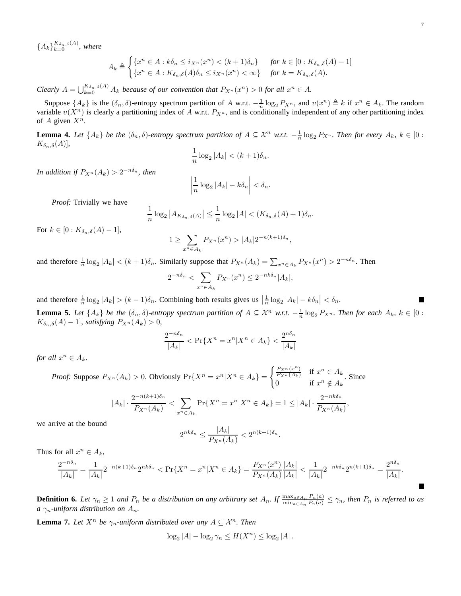${A_k\}}_{k=0}^{K_{\delta_n,\delta}(A)}$ , where

$$
A_k \triangleq \begin{cases} \{x^n \in A : k\delta_n \le i_{X^n}(x^n) < (k+1)\delta_n\} & \text{for } k \in [0:K_{\delta_n,\delta}(A)-1] \\ \{x^n \in A : K_{\delta_n,\delta}(A)\delta_n \le i_{X^n}(x^n) < \infty\} & \text{for } k = K_{\delta_n,\delta}(A). \end{cases}
$$

*Clearly*  $A = \bigcup_{k=0}^{K_{\delta_n,\delta}(A)} A_k$  *because of our convention that*  $P_{X^n}(x^n) > 0$  *for all*  $x^n \in A$ *.* 

Suppose  $\{A_k\}$  is the  $(\delta_n, \delta)$ -entropy spectrum partition of A w.r.t.  $-\frac{1}{n}\log_2 P_{X^n}$ , and  $v(x^n) \triangleq k$  if  $x^n \in A_k$ . The random variable  $v(X^n)$  is clearly a partitioning index of A w.r.t.  $P_{X^n}$ , and is conditionally independent of any other partitioning index of A given  $X^n$ .

<span id="page-6-1"></span>**Lemma 4.** Let  $\{A_k\}$  be the  $(\delta_n, \delta)$ -entropy spectrum partition of  $A \subseteq \mathcal{X}^n$  w.r.t.  $-\frac{1}{n} \log_2 P_{X^n}$ . Then for every  $A_k$ ,  $k \in [0 :$  $K_{\delta_n,\delta}(A)$ ],

$$
\frac{1}{n}\log_2|A_k| < (k+1)\delta_n.
$$

*In addition if*  $P_{X^n}(A_k) > 2^{-n\delta_n}$ , then

$$
\left|\frac{1}{n}\log_2|A_k| - k\delta_n\right| < \delta_n.
$$

*Proof:* Trivially we have

$$
\frac{1}{n}\log_2|A_{K_{\delta_n,\delta}(A)}| \leq \frac{1}{n}\log_2|A| < (K_{\delta_n,\delta}(A)+1)\delta_n.
$$

For  $k \in [0: K_{\delta_n,\delta}(A)-1],$ 

$$
1 \geq \sum_{x^n \in A_k} P_{X^n}(x^n) > |A_k| 2^{-n(k+1)\delta_n},
$$

and therefore  $\frac{1}{n} \log_2 |A_k| < (k+1)\delta_n$ . Similarly suppose that  $P_{X^n}(A_k) = \sum_{x^n \in A_k} P_{X^n}(x^n) > 2^{-n\delta_n}$ . Then

$$
2^{-n\delta_n} < \sum_{x^n \in A_k} P_{X^n}(x^n) \le 2^{-nk\delta_n} |A_k|,
$$

and therefore  $\frac{1}{n} \log_2 |A_k| > (k-1)\delta_n$ . Combining both results gives us  $\left|\frac{1}{n} \log_2 |A_k| - k \delta_n\right| < \delta_n$ . **Lemma 5.** Let  $\{A_k\}$  be the  $(\delta_n, \delta)$ -entropy spectrum partition of  $A \subseteq \mathcal{X}^n$  w.r.t.  $-\frac{1}{n} \log_2 P_{X^n}$ . Then for each  $A_k$ ,  $k \in [0 :$ 

<span id="page-6-0"></span> $K_{\delta_n,\delta}(A) - 1$ ]*, satisfying*  $P_{X^n}(A_k) > 0$ *,* 

$$
\frac{2^{-n\delta_n}}{|A_k|} < \Pr\{X^n = x^n | X^n \in A_k\} < \frac{2^{n\delta_n}}{|A_k|}
$$

*for all*  $x^n \in A_k$ *.* 

*Proof:* Suppose  $P_{X^n}(A_k) > 0$ . Obviously  $Pr\{X^n = x^n | X^n \in A_k\}$  $\int \frac{P_{X_n}(x^n)}{P_X(x^n)}$  $\frac{P_{X^n}(x^n)}{P_{X^n}(A_k)}$  if  $x^n \in A_k$  $\begin{array}{ll} P_{X^n}(A_k) & \text{if } x^n \in A_k \\ 0 & \text{if } x^n \notin A_k \end{array}$ . Since

$$
|A_k| \cdot \frac{2^{-n(k+1)\delta_n}}{P_{X^n}(A_k)} < \sum_{x^n \in A_k} \Pr\{X^n = x^n | X^n \in A_k\} = 1 \le |A_k| \cdot \frac{2^{-nk\delta_n}}{P_{X^n}(A_k)},
$$

we arrive at the bound

$$
2^{nk\delta_n} \le \frac{|A_k|}{P_{X^n}(A_k)} < 2^{n(k+1)\delta_n}.
$$

Thus for all  $x^n \in A_k$ ,

$$
\frac{2^{-n\delta_n}}{|A_k|} = \frac{1}{|A_k|} 2^{-n(k+1)\delta_n} 2^{nk\delta_n} < \Pr\{X^n = x^n | X^n \in A_k\} = \frac{P_{X^n}(x^n)}{P_{X^n}(A_k)} \frac{|A_k|}{|A_k|} < \frac{1}{|A_k|} 2^{-nk\delta_n} 2^{n(k+1)\delta_n} = \frac{2^{n\delta_n}}{|A_k|}.
$$

**Definition 6.** Let  $\gamma_n \geq 1$  and  $P_n$  be a distribution on any arbitrary set  $A_n$ . If  $\frac{\max_{a \in A_n} P_n(a)}{\min_{a \in A_n} P_n(a)} \leq \gamma_n$ , then  $P_n$  is referred to as *a*  $\gamma_n$ -uniform distribution on  $A_n$ .

<span id="page-6-2"></span>**Lemma 7.** Let  $X^n$  be  $\gamma_n$ -uniform distributed over any  $A \subseteq \mathcal{X}^n$ . Then

$$
\log_2|A| - \log_2 \gamma_n \le H(X^n) \le \log_2|A|.
$$

п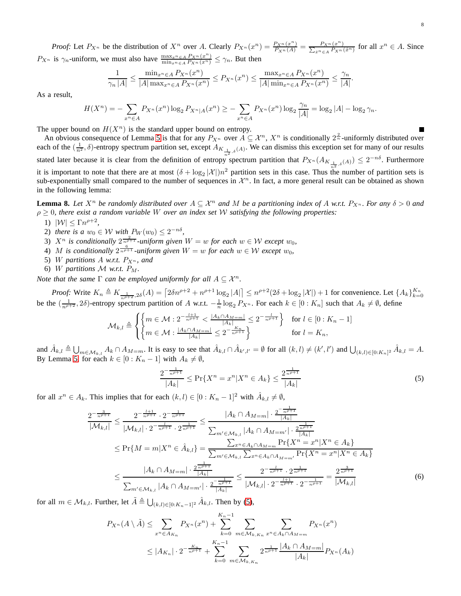*Proof:* Let  $P_{X^n}$  be the distribution of  $X^n$  over A. Clearly  $P_{X^n}(x^n) = \frac{P_{X^n}(x^n)}{P_{X^n}(A)} = \frac{P_{X^n}(x^n)}{\sum_{\hat{x}^n \in A} P_{X^n}(A)}$  $\Sigma$  $\frac{P_{X^n}(x^n)}{\hat{x}^n \in A} P_{X^n}(\hat{x}^n)}$  for all  $x^n \in A$ . Since  $P_{X^n}$  is  $\gamma_n$ -uniform, we must also have  $\frac{\max_{x^n \in A} P_{X^n}(x^n)}{\min_{x^n \in A} P_{X^n}(x^n)} \leq \gamma_n$ . But then

$$
\frac{1}{|\gamma_n| |A|} \le \frac{\min_{x^n \in A} P_{X^n}(x^n)}{|A| \max_{x^n \in A} P_{X^n}(x^n)} \le P_{X^n}(x^n) \le \frac{\max_{x^n \in A} P_{X^n}(x^n)}{|A| \min_{x^n \in A} P_{X^n}(x^n)} \le \frac{\gamma_n}{|A|}.
$$

As a result,

$$
H(X^n) = -\sum_{x^n \in A} P_{X^n}(x^n) \log_2 P_{X^n|A}(x^n) \ge -\sum_{x^n \in A} P_{X^n}(x^n) \log_2 \frac{\gamma_n}{|A|} = \log_2 |A| - \log_2 \gamma_n.
$$

The upper bound on  $H(X^n)$  is the standard upper bound on entropy.

An obvious consequence of Lemma [5](#page-6-0) is that for any  $P_{X^n}$  over  $A \subseteq \mathcal{X}^n$ ,  $X^n$  is conditionally  $2^{\frac{2}{n}}$ -uniformly distributed over each of the  $(\frac{1}{n^2}, \delta)$ -entropy spectrum partition set, except  $A_{K_{\frac{1}{n},\delta}(A)}$ . We can dismiss this exception set for many of our results stated later because it is clear from the definition of entropy spectrum partition that  $P_{X^n}(A_{K_{\frac{1}{n},\delta}(A)}) \leq 2^{-n\delta}$ . Furthermore it is important to note that there are at most  $(\delta + \log_2 |\mathcal{X}|)n^2$  partition sets in this case. Thus the number of partition sets is sub-exponentially small compared to the number of sequences in  $\mathcal{X}^n$ . In fact, a more general result can be obtained as shown in the following lemma:

<span id="page-7-2"></span>**Lemma 8.** Let  $X^n$  be randomly distributed over  $A \subseteq \mathcal{X}^n$  and M be a partitioning index of A w.r.t.  $P_{X^n}$ . For any  $\delta > 0$  and ρ ≥ 0*, there exist a random variable* W *over an index set* W *satisfying the following properties:*

- 1)  $|\mathcal{W}| \leq \Gamma n^{\rho+2}$ ,
- 2) there is a  $w_0 \in W$  with  $P_W(w_0) \leq 2^{-n\delta}$ ,
- 3)  $X^n$  is conditionally  $2\frac{2}{n+1}$  *-uniform given*  $W = w$  *for each*  $w \in \mathcal{W}$  *except*  $w_0$ *,*
- 4) M is conditionally  $2^{\frac{6}{n^{p+1}}}$  *-uniform given*  $W = w$  *for each*  $w \in W$  *except*  $w_0$ *,*
- 5) W partitions  $A$  w.r.t.  $P_{X^n}$ , and
- 6) W partitions  $M$  w.r.t.  $P_M$ .

*Note that the same*  $\Gamma$  *can be employed uniformly for all*  $A \subseteq \mathcal{X}^n$ *.* 

*Proof:* Write  $K_n \triangleq K_{\frac{1}{n^{p+2}}, 2\delta}(A) = \left[2\delta n^{p+2} + n^{p+1}\log_2|A|\right] \leq n^{p+2}(2\delta + \log_2|\mathcal{X}|) + 1$  for convenience. Let  $\{A_k\}_{k=0}^{K_n}$ be the  $(\frac{1}{n^{\rho+2}}, 2\delta)$ -entropy spectrum partition of A w.r.t.  $-\frac{1}{n}\log_2 P_{X^n}$ . For each  $k \in [0:K_n]$  such that  $A_k \neq \emptyset$ , define

$$
\mathcal{M}_{k,l} \triangleq \begin{cases} \left\{ m \in \mathcal{M} : 2^{-\frac{l+1}{n^{\rho+1}}} < \frac{|A_k \cap A_{M=m}|}{|A_k|} \le 2^{-\frac{l}{n^{\rho+1}}} \right\} & \text{for } l \in [0:K_n-1] \\ \left\{ m \in \mathcal{M} : \frac{|A_k \cap A_{M=m}|}{|A_k|} \le 2^{-\frac{K_n}{n^{\rho+1}}} \right\} & \text{for } l = K_n, \end{cases}
$$

and  $\hat{A}_{k,l} \triangleq \bigcup_{m \in \mathcal{M}_{k,l}} A_k \cap A_{M=m}$ . It is easy to see that  $\hat{A}_{k,l} \cap \hat{A}_{k',l'} = \emptyset$  for all  $(k,l) \neq (k',l')$  and  $\bigcup_{(k,l) \in [0:K_n]^2} \hat{A}_{k,l} = A$ . By Lemma [5,](#page-6-0) for each  $k \in [0: K_n - 1]$  with  $A_k \neq \emptyset$ ,

<span id="page-7-1"></span><span id="page-7-0"></span>
$$
\frac{2^{-\frac{1}{n\rho+1}}}{|A_k|} \le \Pr\{X^n = x^n | X^n \in A_k\} \le \frac{2^{\frac{1}{n\rho+1}}}{|A_k|} \tag{5}
$$

for all  $x^n \in A_k$ . This implies that for each  $(k, l) \in [0: K_n - 1]^2$  with  $\hat{A}_{k,l} \neq \emptyset$ ,

$$
\frac{2^{-\frac{3}{n^{\rho+1}}}}{|\mathcal{M}_{k,l}|} \leq \frac{2^{-\frac{l+1}{n^{\rho+1}}}\cdot 2^{-\frac{1}{n^{\rho+1}}}}{|\mathcal{M}_{k,l}| \cdot 2^{-\frac{l}{n^{\rho+1}}}\cdot 2^{\frac{1}{n^{\rho+1}}}} \leq \frac{|A_k \cap A_{M=m}| \cdot \frac{2^{-\frac{1}{n^{\rho+1}}}}{|A_k|}}{\sum_{m' \in \mathcal{M}_{k,l}} |A_k \cap A_{M=m'}| \cdot \frac{2^{\frac{1}{n^{\rho+1}}}}{|A_k|}} \leq \Pr\{M = m | X^n \in \hat{A}_{k,l}\} = \frac{\sum_{x^n \in A_k \cap A_{M=m}} \Pr\{X^n = x^n | X^n \in A_k\}}{\sum_{m' \in \mathcal{M}_{k,l}} \sum_{x^n \in A_k \cap A_{M=m'}} \Pr\{X^n = x^n | X^n \in A_k\}} \leq \frac{|A_k \cap A_{M=m}| \cdot \frac{2^{\frac{1}{n^{\rho+1}}}}{|A_k|}}{\sum_{m' \in \mathcal{M}_{k,l}} |A_k \cap A_{M=m'}| \cdot \frac{2^{-\frac{1}{n^{\rho+1}}}}{|A_k|}} \leq \frac{2^{-\frac{l}{n^{\rho+1}}}\cdot 2^{\frac{1}{n^{\rho+1}}}\cdot 2^{-\frac{1}{n^{\rho+1}}}}}{|\mathcal{M}_{k,l}| \cdot 2^{-\frac{l+1}{n^{\rho+1}}}\cdot 2^{-\frac{1}{n^{\rho+1}}}} = \frac{2^{\frac{3}{n^{\rho+1}}}}{|\mathcal{M}_{k,l}|} \tag{6}
$$

for all  $m \in \mathcal{M}_{k,l}$ . Further, let  $\tilde{A} \triangleq \bigcup_{(k,l) \in [0:Kn-1]^2} \hat{A}_{k,l}$ . Then by [\(5\)](#page-7-0),

$$
P_{X^n}(A \setminus \tilde{A}) \le \sum_{x^n \in A_{K_n}} P_{X^n}(x^n) + \sum_{k=0}^{K_n - 1} \sum_{m \in \mathcal{M}_{k, K_n}} \sum_{x^n \in A_k \cap A_{M=m}} P_{X^n}(x^n)
$$
  

$$
\le |A_{K_n}| \cdot 2^{-\frac{K_n}{n^{\rho+1}}} + \sum_{k=0}^{K_n - 1} \sum_{m \in \mathcal{M}_{k, K_n}} 2^{\frac{1}{n^{\rho+1}}} \frac{|A_k \cap A_{M=m}|}{|A_k|} P_{X^n}(A_k)
$$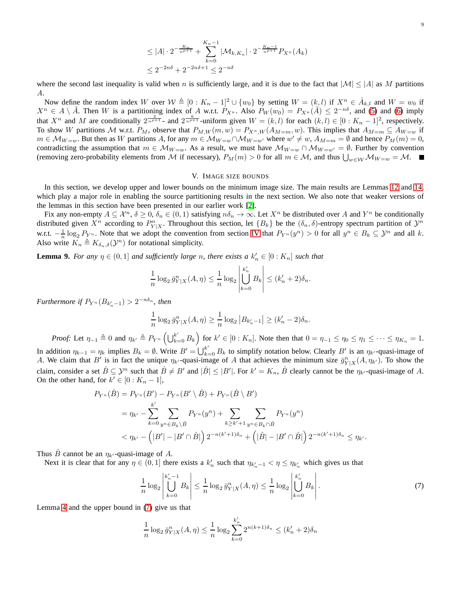$$
\leq |A| \cdot 2^{-\frac{K_n}{n^{p+1}}} + \sum_{k=0}^{K_n - 1} |\mathcal{M}_{k, K_n}| \cdot 2^{-\frac{K_n - 1}{n^{p+1}}} P_{X^n}(A_k)
$$
  

$$
\leq 2^{-2n\delta} + 2^{-2n\delta + 1} \leq 2^{-n\delta}
$$

where the second last inequality is valid when n is sufficiently large, and it is due to the fact that  $|M| \leq |A|$  as M partitions A.

Now define the random index W over  $W \triangleq [0 : K_n - 1]^2 \cup \{w_0\}$  by setting  $W = (k, l)$  if  $X^n \in \hat{A}_{k,l}$  and  $W = w_0$  if  $X^n \in A \setminus \tilde{A}$ . Then W is a partitioning index of A w.r.t.  $P_{X^n}$ . Also  $P_W(w_0) = P_{X^n}(\tilde{A}) \leq 2^{-n\delta}$ , and [\(5\)](#page-7-0) and [\(6\)](#page-7-1) imply that  $X^n$  and M are conditionally  $2^{\frac{2}{n^{\rho+1}}}$  and  $2^{\frac{6}{n^{\rho+1}}}$  -uniform given  $W = (k, l)$  for each  $(k, l) \in [0: K_n - 1]^2$ , respectively. To show W partitions M w.r.t.  $P_M$ , observe that  $P_{M,W}(m, w) = P_{X^n,W}(A_{M=m}, w)$ . This implies that  $A_{M=m} \subseteq A_{W=w}$  if  $m \in M_{W=w}$ . But then as W partitions A, for any  $m \in M_{W=w} \cap M_{W=w'}$  where  $w' \neq w$ ,  $A_{M=m} = \emptyset$  and hence  $P_M(m) = 0$ , contradicting the assumption that  $m \in \mathcal{M}_{W=w}$ . As a result, we must have  $\mathcal{M}_{W=w} \cap \mathcal{M}_{W=w'} = \emptyset$ . Further by convention (removing zero-probability elements from M if necessary),  $P_M(m) > 0$  for all  $m \in M$ , and thus  $\bigcup_{w \in \mathcal{W}} \mathcal{M}_{W=w} = \mathcal{M}$ .

## V. IMAGE SIZE BOUNDS

<span id="page-8-0"></span>In this section, we develop upper and lower bounds on the minimum image size. The main results are Lemmas [12](#page-9-1) and [14,](#page-11-0) which play a major role in enabling the source partitioning results in the next section. We also note that weaker versions of the lemmas in this section have been presented in our earlier work [\[2\]](#page-27-1).

Fix any non-empty  $A \subseteq \mathcal{X}^n$ ,  $\delta \ge 0$ ,  $\delta_n \in (0,1)$  satisfying  $n\delta_n \to \infty$ . Let  $X^n$  be distributed over A and  $Y^n$  be conditionally distributed given  $X^n$  according to  $P^n_{Y|X}$ . Throughout this section, let  $\{B_k\}$  be the  $(\delta_n, \delta)$ -entropy spectrum partition of  $\mathcal{Y}^n$ w.r.t.  $-\frac{1}{n}\log_2 P_{Y^n}$ . Note that we adopt the convention from section [IV](#page-4-0) that  $P_{Y^n}(y^n) > 0$  for all  $y^n \in B_k \subseteq \mathcal{Y}^n$  and all k. Also write  $K_n \triangleq K_{\delta_n,\delta}(\mathcal{Y}^n)$  for notational simplicity.

<span id="page-8-2"></span>**Lemma 9.** *For any*  $\eta \in (0,1]$  *and sufficiently large n, there exists a*  $k'_n \in [0:K_n]$  *such that* 

$$
\frac{1}{n}\log_2 \bar{g}_{Y|X}^n(A,\eta) \le \frac{1}{n}\log_2 \left|\bigcup_{k=0}^{k'_n} B_k\right| \le (k'_n+2)\delta_n.
$$

*Furthermore if*  $P_{Y^n}(B_{k'_n-1}) > 2^{-n\delta_n}$ , then

$$
\frac{1}{n}\log_2 \bar{g}_{Y|X}^n(A,\eta) \ge \frac{1}{n}\log_2 |B_{k'_n-1}| \ge (k'_n-2)\delta_n.
$$

*Proof:* Let  $\eta_{-1} \triangleq 0$  and  $\eta_{k'} \triangleq P_{Y^n} \left( \bigcup_{k=0}^{k'} B_k \right)$  for  $k' \in [0:K_n]$ . Note then that  $0 = \eta_{-1} \leq \eta_0 \leq \eta_1 \leq \cdots \leq \eta_{K_n} = 1$ . In addition  $\eta_{k-1} = \eta_k$  implies  $B_k = \emptyset$ . Write  $B' = \bigcup_{k=0}^{k'} B_k$  to simplify notation below. Clearly B' is an  $\eta_{k'}$ -quasi-image of A. We claim that B' is in fact the unique  $\eta_{k'}$ -quasi-image of A that achieves the minimum size  $\bar{g}_{Y|X}^n(A, \eta_{k'})$ . To show the claim, consider a set  $\hat{B} \subseteq \mathcal{Y}^n$  such that  $\hat{B} \neq B'$  and  $|\hat{B}| \leq |B'|$ . For  $k' = K_n$ ,  $\hat{B}$  clearly cannot be the  $\eta_{k'}$ -quasi-image of A. On the other hand, for  $k' \in [0:K_n-1]$ ,

$$
P_{Y^n}(\hat{B}) = P_{Y^n}(B') - P_{Y^n}(B' \setminus \hat{B}) + P_{Y^n}(\hat{B} \setminus B')
$$
  
=  $\eta_{k'} - \sum_{k=0}^{k'} \sum_{y^n \in B_k \setminus \hat{B}} P_{Y^n}(y^n) + \sum_{k \ge k' + 1} \sum_{y^n \in B_k \cap \hat{B}} P_{Y^n}(y^n)$   
<  $\eta_{k'} - (|B'| - |B' \cap \hat{B}|) 2^{-n(k' + 1)\delta_n} + (|\hat{B}| - |B' \cap \hat{B}|) 2^{-n(k' + 1)\delta_n} \le \eta_{k'}.$ 

Thus  $\hat{B}$  cannot be an  $\eta_{k'}$ -quasi-image of A.

Next it is clear that for any  $\eta \in (0,1]$  there exists a  $k'_n$  such that  $\eta_{k'_n-1} < \eta \le \eta_{k'_n}$  which gives us that

<span id="page-8-1"></span>
$$
\frac{1}{n}\log_2\left|\bigcup_{k=0}^{k'_n-1}B_k\right| \le \frac{1}{n}\log_2\bar{g}_{Y|X}^n(A,\eta) \le \frac{1}{n}\log_2\left|\bigcup_{k=0}^{k'_n}B_k\right|.
$$
\n(7)

Lemma [4](#page-6-1) and the upper bound in [\(7\)](#page-8-1) give us that

$$
\frac{1}{n}\log_2 \bar{g}_{Y|X}^n(A,\eta) \le \frac{1}{n}\log_2 \sum_{k=0}^{k'_n} 2^{n(k+1)\delta_n} \le (k'_n+2)\delta_n
$$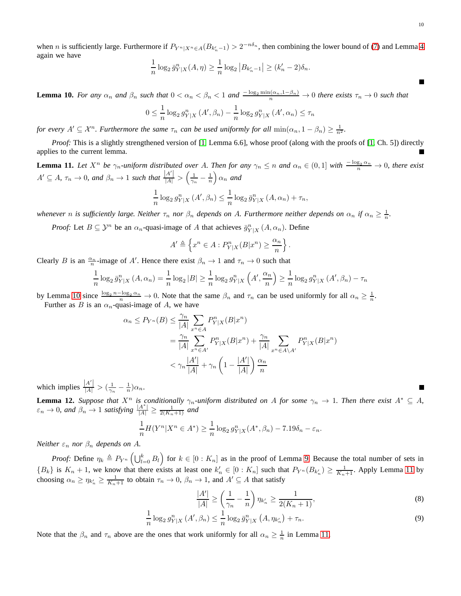when *n* is sufficiently large. Furthermore if  $P_{Y^n|X^n \in A}(B_{k'_n-1}) > 2^{-n\delta_n}$ , then combining the lower bound of [\(7\)](#page-8-1) and Lemma [4](#page-6-1) again we have

$$
\frac{1}{n}\log_2 \bar{g}_{Y|X}^n(A,\eta) \ge \frac{1}{n}\log_2 |B_{k'_n-1}| \ge (k'_n-2)\delta_n.
$$

<span id="page-9-0"></span>**Lemma 10.** *For any*  $\alpha_n$  *and*  $\beta_n$  *such that*  $0 < \alpha_n < \beta_n < 1$  *and*  $\frac{-\log_2 \min(\alpha_n, 1-\beta_n)}{n} \to 0$  *there exists*  $\tau_n \to 0$  *such that* 

$$
0 \leq \frac{1}{n} \log_2 g_{Y|X}^n(A', \beta_n) - \frac{1}{n} \log_2 g_{Y|X}^n(A', \alpha_n) \leq \tau_n
$$

*for every*  $A' \subseteq \mathcal{X}^n$ . *Furthermore the same*  $\tau_n$  *can be used uniformly for all*  $\min(\alpha_n, 1 - \beta_n) \ge \frac{1}{n^2}$ *.* 

*Proof:* This is a slightly strengthened version of [\[1,](#page-27-0) Lemma 6.6], whose proof (along with the proofs of [1, Ch. 5]) directly applies to the current lemma.

<span id="page-9-2"></span>**Lemma 11.** Let  $X^n$  be  $\gamma_n$ -uniform distributed over A. Then for any  $\gamma_n \leq n$  and  $\alpha_n \in (0,1]$  with  $\frac{-\log_2 \alpha_n}{n} \to 0$ , there exist  $A' \subseteq A$ ,  $\tau_n \to 0$ , and  $\beta_n \to 1$  such that  $\frac{|A'|}{|A|} > \left(\frac{1}{\gamma_n} - \frac{1}{n}\right) \alpha_n$  and

$$
\frac{1}{n}\log_2 g_{Y|X}^n(A',\beta_n) \leq \frac{1}{n}\log_2 \bar{g}_{Y|X}^n(A,\alpha_n) + \tau_n,
$$

*whenever n* is sufficiently large. Neither  $\tau_n$  nor  $\beta_n$  depends on A. Furthermore neither depends on  $\alpha_n$  if  $\alpha_n \geq \frac{1}{n}$ .

*Proof:* Let  $B \subseteq \mathcal{Y}^n$  be an  $\alpha_n$ -quasi-image of A that achieves  $\bar{g}_{Y|X}^n(A, \alpha_n)$ . Define

$$
A' \triangleq \left\{ x^n \in A : P_{Y|X}^n(B|x^n) \ge \frac{\alpha_n}{n} \right\}.
$$

Clearly B is an  $\frac{\alpha_n}{n}$ -image of A'. Hence there exist  $\beta_n \to 1$  and  $\tau_n \to 0$  such that

$$
\frac{1}{n}\log_2 \bar{g}_{Y|X}^n(A,\alpha_n) = \frac{1}{n}\log_2|B| \ge \frac{1}{n}\log_2 g_{Y|X}^n\left(A',\frac{\alpha_n}{n}\right) \ge \frac{1}{n}\log_2 g_{Y|X}^n(A',\beta_n) - \tau_n
$$

by Lemma [10](#page-9-0) since  $\frac{\log_2 n - \log_2 \alpha_n}{n} \to 0$ . Note that the same  $\beta_n$  and  $\tau_n$  can be used uniformly for all  $\alpha_n \ge \frac{1}{n}$ . Further as B is an  $\alpha_n$ -quasi-image of A, we have

$$
\alpha_n \le P_{Y^n}(B) \le \frac{\gamma_n}{|A|} \sum_{x^n \in A} P_{Y|X}^n(B|x^n)
$$
  
= 
$$
\frac{\gamma_n}{|A|} \sum_{x^n \in A'} P_{Y|X}^n(B|x^n) + \frac{\gamma_n}{|A|} \sum_{x^n \in A \setminus A'} P_{Y|X}^n(B|x^n)
$$
  
< 
$$
< \gamma_n \frac{|A'|}{|A|} + \gamma_n \left(1 - \frac{|A'|}{|A|}\right) \frac{\alpha_n}{n}
$$

which implies  $\frac{|A'|}{|A|} > (\frac{1}{\gamma_n} - \frac{1}{n})\alpha_n$ .

<span id="page-9-1"></span>**Lemma 12.** *Suppose that*  $X^n$  *is conditionally*  $\gamma_n$ -uniform distributed on A for some  $\gamma_n \to 1$ . Then there exist  $A^* \subseteq A$ ,  $\varepsilon_n \to 0$ , and  $\beta_n \to 1$  satisfying  $\frac{|A^*|}{|A|} \ge \frac{1}{2(K_n+1)}$  and

$$
\frac{1}{n}H(Y^n|X^n \in A^*) \ge \frac{1}{n}\log_2 g_{Y|X}^n(A^*, \beta_n) - 7.19\delta_n - \varepsilon_n.
$$

*Neither*  $\varepsilon_n$  *nor*  $\beta_n$  *depends on A.* 

*Proof:* Define  $\eta_k \triangleq P_{Y^n} \left( \bigcup_{l=0}^k B_l \right)$  for  $k \in [0:K_n]$  as in the proof of Lemma [9.](#page-8-2) Because the total number of sets in  ${B_k}$  is  $K_n + 1$ , we know that there exists at least one  $k'_n \in [0: K_n]$  such that  $P_{Y^n}(B_{k'_n}) \ge \frac{1}{K_n+1}$ . Apply Lemma [11](#page-9-2) by choosing  $\alpha_n \ge \eta_{k'_n} \ge \frac{1}{K_n+1}$  to obtain  $\tau_n \to 0$ ,  $\beta_n \to 1$ , and  $A' \subseteq A$  that satisfy

<span id="page-9-4"></span><span id="page-9-3"></span>
$$
\frac{|A'|}{|A|} \ge \left(\frac{1}{\gamma_n} - \frac{1}{n}\right) \eta_{k'_n} \ge \frac{1}{2(K_n + 1)},\tag{8}
$$

$$
\frac{1}{n}\log_2 g_{Y|X}^n(A', \beta_n) \le \frac{1}{n}\log_2 \bar{g}_{Y|X}^n(A, \eta_{k_n'}) + \tau_n.
$$
\n(9)

Note that the  $\beta_n$  and  $\tau_n$  above are the ones that work uniformly for all  $\alpha_n \geq \frac{1}{n}$  in Lemma [11.](#page-9-2)

Е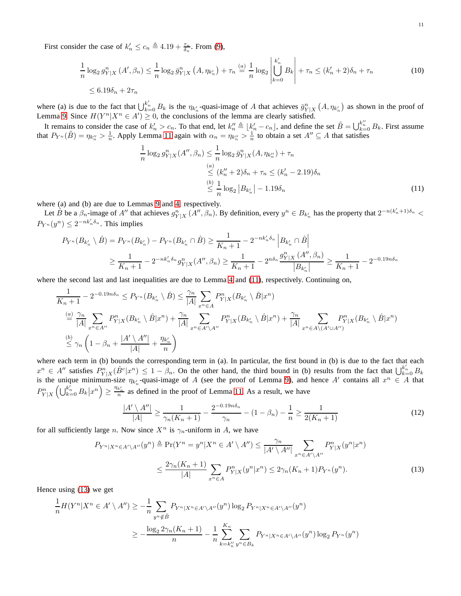First consider the case of  $k'_n \leq c_n \triangleq 4.19 + \frac{\tau_n}{\delta_n}$ . From [\(9\)](#page-9-3),

$$
\frac{1}{n}\log_2 g_{Y|X}^n(A',\beta_n) \le \frac{1}{n}\log_2 \bar{g}_{Y|X}^n(A,\eta_{k_n}) + \tau_n \stackrel{(a)}{=} \frac{1}{n}\log_2 \left| \bigcup_{k=0}^{k_n'} B_k \right| + \tau_n \le (k_n' + 2)\delta_n + \tau_n \tag{10}
$$
\n
$$
\le 6.19\delta_n + 2\tau_n
$$

where (a) is due to the fact that  $\bigcup_{k=0}^{k'_n} B_k$  is the  $\eta_{k'_n}$ -quasi-image of A that achieves  $\bar{g}^n_{Y|X}(A, \eta_{k'_n})$  as shown in the proof of Lemma [9.](#page-8-2) Since  $H(Y^n | X^n \in A') \ge 0$ , the conclusions of the lemma are clearly satisfied.

It remains to consider the case of  $k'_n > c_n$ . To that end, let  $k''_n \triangleq \lfloor k'_n - c_n \rfloor$ , and define the set  $\tilde{B} = \bigcup_{k=0}^{k''} B_k$ . First assume that  $P_{Y^n}(\tilde{B}) = \eta_{k''_n} > \frac{1}{n}$ . Apply Lemma [11](#page-9-2) again with  $\alpha_n = \eta_{k''_n} > \frac{1}{n}$  to obtain a set  $A'' \subseteq A$  that satisfies

<span id="page-10-2"></span><span id="page-10-0"></span>
$$
\frac{1}{n}\log_2 g_{Y|X}^n(A'', \beta_n) \le \frac{1}{n}\log_2 \bar{g}_{Y|X}^n(A, \eta_{k_n''}) + \tau_n
$$
\n
$$
\stackrel{(a)}{\le} (k_n'' + 2)\delta_n + \tau_n \le (k_n' - 2.19)\delta_n
$$
\n
$$
\stackrel{(b)}{\le} \frac{1}{n}\log_2|B_{k_n'}| - 1.19\delta_n
$$
\n(11)

where (a) and (b) are due to Lemmas [9](#page-8-2) and [4,](#page-6-1) respectively.

Let  $\hat{B}$  be a  $\beta_n$ -image of A'' that achieves  $g_{Y|X}^n(A'', \beta_n)$ . By definition, every  $y^n \in B_{k'_n}$  has the property that  $2^{-n(k'_n+1)\delta_n}$  <  $P_{Y^n}(y^n) \leq 2^{-nk'_n \delta_n}$ . This implies

$$
P_{Y^n}(B_{k'_n} \setminus \hat{B}) = P_{Y^n}(B_{k'_n}) - P_{Y^n}(B_{k'_n} \cap \hat{B}) \ge \frac{1}{K_n + 1} - 2^{-nk'_n \delta_n} \left| B_{k'_n} \cap \hat{B} \right|
$$
  

$$
\ge \frac{1}{K_n + 1} - 2^{-nk'_n \delta_n} g_{Y|X}^n(A'', \beta_n) \ge \frac{1}{K_n + 1} - 2^{n \delta_n} \frac{g_{Y|X}^n(A'', \beta_n)}{|B_{k'_n}|} \ge \frac{1}{K_n + 1} - 2^{-0.19n \delta_n}
$$

where the second last and last inequalities are due to Lemma [4](#page-6-1) and [\(11\)](#page-10-0), respectively. Continuing on,

$$
\frac{1}{K_n+1} - 2^{-0.19n\delta_n} \le P_{Y^n}(B_{k'_n} \setminus \hat{B}) \le \frac{\gamma_n}{|A|} \sum_{x^n \in A} P_{Y|X}^n(B_{k'_n} \setminus \hat{B}|x^n)
$$
\n
$$
\stackrel{(a)}{=} \frac{\gamma_n}{|A|} \sum_{x^n \in A''} P_{Y|X}^n(B_{k'_n} \setminus \hat{B}|x^n) + \frac{\gamma_n}{|A|} \sum_{x^n \in A' \setminus A''} P_{Y|X}^n(B_{k'_n} \setminus \hat{B}|x^n) + \frac{\gamma_n}{|A|} \sum_{x^n \in A \setminus (A' \cup A'')} P_{Y|X}^n(B_{k'_n} \setminus \hat{B}|x^n)
$$
\n
$$
\stackrel{(b)}{\leq} \gamma_n \left(1 - \beta_n + \frac{|A' \setminus A''|}{|A|} + \frac{\eta_{k'_n}}{n}\right)
$$

where each term in (b) bounds the corresponding term in (a). In particular, the first bound in (b) is due to the fact that each  $x^n \in A''$  satisfies  $P_{Y|X}^n(\hat{B}^c|x^n) \leq 1 - \beta_n$ . On the other hand, the third bound in (b) results from the fact that  $\bigcup_{k=0}^{k'_n} B_k$ is the unique minimum-size  $\eta_{k'_n}$ -quasi-image of A (see the proof of Lemma [9\)](#page-8-2), and hence A' contains all  $x^n \in A$  that  $P_{Y|X}^n \left( \bigcup_{k=0}^{k'_n} B_k | x^n \right) \ge \frac{\eta_{k'_n}}{n}$  as defined in the proof of Lemma [11.](#page-9-2) As a result, we have

<span id="page-10-3"></span><span id="page-10-1"></span>
$$
\frac{|A' \setminus A''|}{|A|} \ge \frac{1}{\gamma_n(K_n+1)} - \frac{2^{-0.19n\delta_n}}{\gamma_n} - (1 - \beta_n) - \frac{1}{n} \ge \frac{1}{2(K_n+1)}
$$
(12)

for all sufficiently large n. Now since  $X^n$  is  $\gamma_n$ -uniform in A, we have

$$
P_{Y^n|X^n \in A' \setminus A''}(y^n) \triangleq \Pr(Y^n = y^n | X^n \in A' \setminus A'') \le \frac{\gamma_n}{|A' \setminus A''|} \sum_{x^n \in A' \setminus A''} P_{Y|X}^n(y^n | x^n)
$$
  

$$
\le \frac{2\gamma_n (K_n + 1)}{|A|} \sum_{x^n \in A} P_{Y|X}^n(y^n | x^n) \le 2\gamma_n (K_n + 1) P_{Y^n}(y^n). \tag{13}
$$

Hence using [\(13\)](#page-10-1) we get

$$
\frac{1}{n}H(Y^n|X^n \in A' \setminus A'') \ge -\frac{1}{n} \sum_{y^n \notin \tilde{B}} P_{Y^n|X^n \in A' \setminus A''}(y^n) \log_2 P_{Y^n|X^n \in A' \setminus A''}(y^n)
$$
\n
$$
\ge -\frac{\log_2 2\gamma_n(K_n+1)}{n} - \frac{1}{n} \sum_{k=k''_n}^{K_n} \sum_{y^n \in B_k} P_{Y^n|X^n \in A' \setminus A''}(y^n) \log_2 P_{Y^n}(y^n)
$$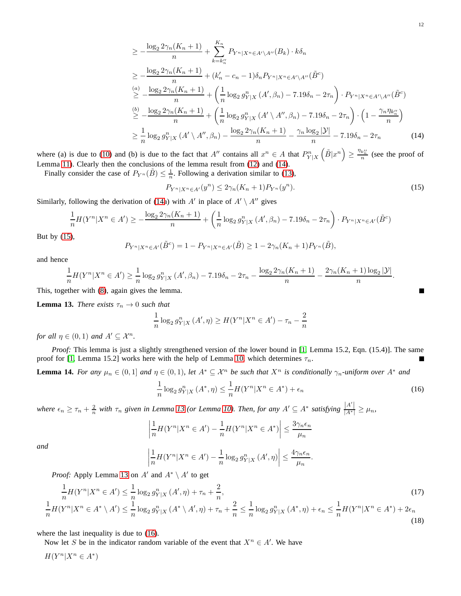$$
\geq -\frac{\log_2 2\gamma_n (K_n + 1)}{n} + \sum_{k=k_n''}^{K_n} P_{Y^n|X^n \in A' \setminus A''}(B_k) \cdot k\delta_n
$$
  
\n
$$
\geq -\frac{\log_2 2\gamma_n (K_n + 1)}{n} + (k_n' - c_n - 1)\delta_n P_{Y^n|X^n \in A' \setminus A''}(\tilde{B}^c)
$$
  
\n
$$
\geq -\frac{\log_2 2\gamma_n (K_n + 1)}{n} + \left(\frac{1}{n} \log_2 g_{Y|X}^n (A', \beta_n) - 7.19\delta_n - 2\tau_n\right) \cdot P_{Y^n|X^n \in A' \setminus A''}(\tilde{B}^c)
$$
  
\n
$$
\geq -\frac{\log_2 2\gamma_n (K_n + 1)}{n} + \left(\frac{1}{n} \log_2 g_{Y|X}^n (A' \setminus A'', \beta_n) - 7.19\delta_n - 2\tau_n\right) \cdot \left(1 - \frac{\gamma_n \eta_{k_n''}}{n}\right)
$$
  
\n
$$
\geq \frac{1}{n} \log_2 g_{Y|X}^n (A' \setminus A'', \beta_n) - \frac{\log_2 2\gamma_n (K_n + 1)}{n} - \frac{\gamma_n \log_2 |\mathcal{Y}|}{n} - 7.19\delta_n - 2\tau_n
$$
 (14)

where (a) is due to [\(10\)](#page-10-2) and (b) is due to the fact that  $A''$  contains all  $x^n \in A$  that  $P_{Y|X}^n$  $\left(\tilde{B}|x^n\right) \geq \frac{\eta_{k''_n}}{n}$  (see the proof of Lemma [11\)](#page-9-2). Clearly then the conclusions of the lemma result from [\(12\)](#page-10-3) and [\(14\)](#page-11-1).

Finally consider the case of  $P_{Y^n}(\tilde{B}) \leq \frac{1}{n}$ . Following a derivation similar to [\(13\)](#page-10-1),

<span id="page-11-2"></span>
$$
P_{Y^n|X^n \in A'}(y^n) \le 2\gamma_n(K_n+1)P_{Y^n}(y^n). \tag{15}
$$

Similarly, following the derivation of [\(14a](#page-11-1)) with  $A'$  in place of  $A' \setminus A''$  gives

$$
\frac{1}{n}H(Y^n|X^n \in A') \ge -\frac{\log_2 2\gamma_n(K_n+1)}{n} + \left(\frac{1}{n}\log_2 g_{Y|X}^n(A',\beta_n) - 7.19\delta_n - 2\tau_n\right) \cdot P_{Y^n|X^n \in A'}(\tilde{B}^c)
$$

But by [\(15\)](#page-11-2),

$$
P_{Y^n|X^n \in A'}(\tilde{B}^c) = 1 - P_{Y^n|X^n \in A'}(\tilde{B}) \ge 1 - 2\gamma_n(K_n + 1)P_{Y^n}(\tilde{B}),
$$

and hence

$$
\frac{1}{n}H(Y^n|X^n \in A') \ge \frac{1}{n}\log_2 g_{Y|X}^n(A',\beta_n) - 7.19\delta_n - 2\tau_n - \frac{\log_2 2\gamma_n(K_n+1)}{n} - \frac{2\gamma_n(K_n+1)\log_2 |\mathcal{Y}|}{n}.
$$

This, together with [\(8\)](#page-9-4), again gives the lemma.

<span id="page-11-3"></span>**Lemma 13.** *There exists*  $\tau_n \to 0$  *such that* 

$$
\frac{1}{n}\log_2 g_{Y|X}^n(A',\eta) \ge H(Y^n|X^n \in A') - \tau_n - \frac{2}{n}
$$

*for all*  $\eta \in (0,1)$  *and*  $A' \subset \mathcal{X}^n$ *.* 

*Proof:* This lemma is just a slightly strengthened version of the lower bound in [\[1,](#page-27-0) Lemma 15.2, Eqn. (15.4)]. The same proof for [\[1,](#page-27-0) Lemma 15.2] works here with the help of Lemma [10,](#page-9-0) which determines  $\tau_n$ .

<span id="page-11-0"></span>**Lemma 14.** For any  $\mu_n \in (0,1]$  and  $\eta \in (0,1)$ , let  $A^* \subseteq \mathcal{X}^n$  be such that  $X^n$  is conditionally  $\gamma_n$ -uniform over  $A^*$  and

<span id="page-11-4"></span>
$$
\frac{1}{n}\log_2 g_{Y|X}^n\left(A^*,\eta\right) \le \frac{1}{n}H(Y^n|X^n \in A^*) + \epsilon_n \tag{16}
$$

*where*  $\epsilon_n \geq \tau_n + \frac{2}{n}$  *with*  $\tau_n$  given in Lemma [13](#page-11-3) (or Lemma [10\)](#page-9-0). Then, for any  $A' \subseteq A^*$  satisfying  $\frac{|A'|}{|A^*|} \geq \mu_n$ ,

$$
\left|\frac{1}{n}H(Y^n|X^n \in A') - \frac{1}{n}H(Y^n|X^n \in A^*)\right| \le \frac{3\gamma_n\epsilon_n}{\mu_n}
$$

*and* 

$$
\left|\frac{1}{n}H(Y^n|X^n \in A') - \frac{1}{n}\log_2 g_{Y|X}^n(A',\eta)\right| \leq \frac{4\gamma_n\epsilon_n}{\mu_n}.
$$

*Proof:* Apply Lemma [13](#page-11-3) on  $A'$  and  $A^* \setminus A'$  to get

$$
\frac{1}{n}H(Y^n|X^n \in A') \le \frac{1}{n}\log_2 g_{Y|X}^n(A',\eta) + \tau_n + \frac{2}{n},\tag{17}
$$
\n
$$
\frac{1}{n}H(Y^n|X^n \in A^* \setminus A') \le \frac{1}{n}\log_2 g_{Y|X}^n(A^* \setminus A',\eta) + \tau_n + \frac{2}{n} \le \frac{1}{n}\log_2 g_{Y|X}^n(A^*,\eta) + \epsilon_n \le \frac{1}{n}H(Y^n|X^n \in A^*) + 2\epsilon_n
$$
\n
$$
(18)
$$

where the last inequality is due to  $(16)$ .

Now let S be in the indicator random variable of the event that  $X^n \in A'$ . We have

 $H(Y^n | X^n \in A^*)$ 

<span id="page-11-6"></span><span id="page-11-5"></span><span id="page-11-1"></span>E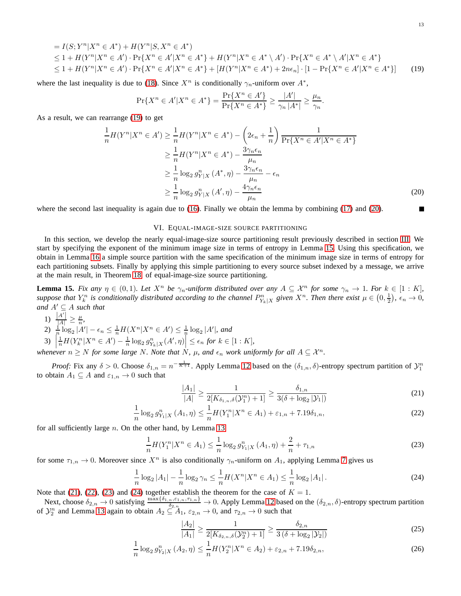$$
= I(S; Y^{n} | X^{n} \in A^{*}) + H(Y^{n} | S, X^{n} \in A^{*})
$$
  
\n
$$
\leq 1 + H(Y^{n} | X^{n} \in A') \cdot \Pr\{X^{n} \in A' | X^{n} \in A^{*}\} + H(Y^{n} | X^{n} \in A^{*} \setminus A') \cdot \Pr\{X^{n} \in A^{*} \setminus A' | X^{n} \in A^{*}\}
$$
  
\n
$$
\leq 1 + H(Y^{n} | X^{n} \in A') \cdot \Pr\{X^{n} \in A' | X^{n} \in A^{*}\} + [H(Y^{n} | X^{n} \in A^{*}) + 2n\epsilon_{n}] \cdot [1 - \Pr\{X^{n} \in A' | X^{n} \in A^{*}\}] \tag{19}
$$

where the last inequality is due to [\(18\)](#page-11-5). Since  $X^n$  is conditionally  $\gamma_n$ -uniform over  $A^*$ ,

$$
\Pr\{X^n \in A' | X^n \in A^*\} = \frac{\Pr\{X^n \in A'\}}{\Pr\{X^n \in A^*\}} \ge \frac{|A'|}{\gamma_n |A^*|} \ge \frac{\mu_n}{\gamma_n}.
$$

As a result, we can rearrange [\(19\)](#page-12-1) to get

$$
\frac{1}{n}H(Y^n|X^n \in A') \ge \frac{1}{n}H(Y^n|X^n \in A^*) - \left(2\epsilon_n + \frac{1}{n}\right) \frac{1}{\Pr\{X^n \in A'|X^n \in A^*\}} \ge \frac{1}{n}H(Y^n|X^n \in A^*) - \frac{3\gamma_n\epsilon_n}{\mu_n} \ge \frac{1}{n}\log_2 g_{Y|X}^n(A^*, \eta) - \frac{3\gamma_n\epsilon_n}{\mu_n} - \epsilon_n \ge \frac{1}{n}\log_2 g_{Y|X}^n(A', \eta) - \frac{4\gamma_n\epsilon_n}{\mu_n}
$$
\n(20)

<span id="page-12-0"></span>where the second last inequality is again due to [\(16\)](#page-11-4). Finally we obtain the lemma by combining [\(17\)](#page-11-6) and [\(20\)](#page-12-2).

# VI. EQUAL-IMAGE-SIZE SOURCE PARTITIONING

In this section, we develop the nearly equal-image-size source partitioning result previously described in section [III.](#page-3-0) We start by specifying the exponent of the minimum image size in terms of entropy in Lemma [15.](#page-12-3) Using this specification, we obtain in Lemma [16](#page-13-0) a simple source partition with the same specification of the minimum image size in terms of entropy for each partitioning subsets. Finally by applying this simple partitioning to every source subset indexed by a message, we arrive at the main result, in Theorem [18,](#page-14-0) of equal-image-size source partitioning.

<span id="page-12-3"></span>**Lemma 15.** Fix any  $\eta \in (0,1)$ *. Let*  $X^n$  *be*  $\gamma_n$ *-uniform distributed over any*  $A \subseteq \mathcal{X}^n$  *for some*  $\gamma_n \to 1$ *. For*  $k \in [1:K]$ *, suppose that*  $Y_k^n$  *is conditionally distributed according to the channel*  $P_{Y_k|X}^n$  *given*  $X^n$ *. Then there exist*  $\mu \in (0, \frac{1}{2})$ *,*  $\epsilon_n \to 0$ *, and*  $A' \subseteq A$  *such that* 

1) 
$$
\frac{|A'|}{|A|} \ge \frac{\mu}{n},
$$

1)  $\frac{1}{|A|} \geq \frac{1}{n}$ ,<br>
2)  $\frac{1}{n} \log_2 |A'| - \epsilon_n \leq \frac{1}{n} H(X^n | X^n \in A') \leq \frac{1}{n} \log_2 |A'|$ , and<br>
3)  $\frac{1}{n} H(Y^n | Y^n \in A') - \frac{1}{n} \log_2 n - (A' - n) \leq \epsilon_n$  for  $k \in \mathbb{R}$ 

3) 
$$
\left|\frac{1}{n}H(Y_k^n|X^n \in A') - \frac{1}{n}\log_2 g_{Y_k|X}^n(A',\eta)\right| \leq \epsilon_n \text{ for } k \in [1:K],
$$

*whenever*  $n \geq N$  *for some large* N. Note that  $N$ ,  $\mu$ , and  $\epsilon_n$  work uniformly for all  $A \subseteq \mathcal{X}^n$ .

*Proof:* Fix any  $\delta > 0$ . Choose  $\delta_{1,n} = n^{-\frac{1}{K+1}}$ . Apply Lemma [12](#page-9-1) based on the  $(\delta_{1,n}, \delta)$ -entropy spectrum partition of  $\mathcal{Y}_1^n$ to obtain  $A_1 \subseteq A$  and  $\varepsilon_{1,n} \to 0$  such that

$$
\frac{|A_1|}{|A|} \ge \frac{1}{2[K_{\delta_{1,n},\delta}(\mathcal{Y}_1^n) + 1]} \ge \frac{\delta_{1,n}}{3(\delta + \log_2 |\mathcal{Y}_1|)}\tag{21}
$$

$$
\frac{1}{n}\log_2 g_{Y_1|X}^n(A_1,\eta) \le \frac{1}{n}H(Y_1^n|X^n \in A_1) + \varepsilon_{1,n} + 7.19\delta_{1,n},\tag{22}
$$

for all sufficiently large  $n$ . On the other hand, by Lemma [13](#page-11-3)

<span id="page-12-6"></span>
$$
\frac{1}{n}H(Y_1^n|X^n \in A_1) \le \frac{1}{n}\log_2 g_{Y_1|X}^n(A_1, \eta) + \frac{2}{n} + \tau_{1,n} \tag{23}
$$

for some  $\tau_{1,n} \to 0$ . Moreover since  $X^n$  is also conditionally  $\gamma_n$ -uniform on  $A_1$ , applying Lemma [7](#page-6-2) gives us

<span id="page-12-7"></span>
$$
\frac{1}{n}\log_2|A_1| - \frac{1}{n}\log_2\gamma_n \le \frac{1}{n}H(X^n|X^n \in A_1) \le \frac{1}{n}\log_2|A_1| \,. \tag{24}
$$

Note that [\(21\)](#page-12-4), [\(22\)](#page-12-5), [\(23\)](#page-12-6) and [\(24\)](#page-12-7) together establish the theorem for the case of  $K = 1$ .

Next, choose  $\delta_{2,n} \to 0$  satisfying  $\frac{\max\{\delta_{1,n}, \varepsilon_{1,n}, \tau_{1,n}\}}{\delta_{2,n}} \to 0$ . Apply Lemma [12](#page-9-1) based on the  $(\delta_{2,n}, \delta)$ -entropy spectrum partition of  $\mathcal{Y}_2^n$  and Lemma [13](#page-11-3) again to obtain  $A_2 \subseteq A_1$ ,  $\varepsilon_{2,n} \to 0$ , and  $\tau_{2,n} \to 0$  such that

<span id="page-12-9"></span><span id="page-12-8"></span>
$$
\frac{|A_2|}{|A_1|} \ge \frac{1}{2[K_{\delta_{2,n},\delta}(\mathcal{Y}_2^n) + 1]} \ge \frac{\delta_{2,n}}{3(\delta + \log_2 |\mathcal{Y}_2|)}\tag{25}
$$

$$
\frac{1}{n}\log_2 g_{Y_2|X}^n(A_2,\eta) \le \frac{1}{n}H(Y_2^n|X^n \in A_2) + \varepsilon_{2,n} + 7.19\delta_{2,n},\tag{26}
$$

<span id="page-12-5"></span><span id="page-12-4"></span><span id="page-12-2"></span><span id="page-12-1"></span>Г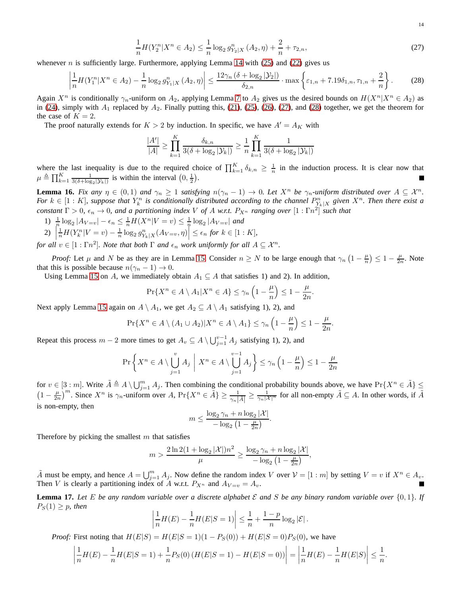<span id="page-13-1"></span>14

$$
\frac{1}{n}H(Y_2^n|X^n \in A_2) \le \frac{1}{n}\log_2 g_{Y_2|X}^n(A_2, \eta) + \frac{2}{n} + \tau_{2,n},\tag{27}
$$

whenever n is sufficiently large. Furthermore, applying Lemma [14](#page-11-0) with  $(25)$  and  $(22)$  gives us

<span id="page-13-2"></span>
$$
\left|\frac{1}{n}H(Y_1^n|X^n \in A_2) - \frac{1}{n}\log_2 g_{Y_1|X}^n(A_2, \eta)\right| \le \frac{12\gamma_n\left(\delta + \log_2|\mathcal{Y}_2|\right)}{\delta_{2,n}} \cdot \max\left\{\varepsilon_{1,n} + 7.19\delta_{1,n}, \tau_{1,n} + \frac{2}{n}\right\}.\tag{28}
$$

Again  $X^n$  is conditionally  $\gamma_n$ -uniform on  $A_2$ , applying Lemma [7](#page-6-2) to  $A_2$  gives us the desired bounds on  $H(X^n|X^n \in A_2)$  as in [\(24\)](#page-12-7), simply with  $A_1$  replaced by  $A_2$ . Finally putting this, [\(21\)](#page-12-4), [\(25\)](#page-12-8), [\(26\)](#page-12-9), [\(27\)](#page-13-1), and [\(28\)](#page-13-2) together, we get the theorem for the case of  $K = 2$ .

The proof naturally extends for  $K > 2$  by induction. In specific, we have  $A' = A_K$  with

$$
\frac{|A'|}{|A|} \ge \prod_{k=1}^K \frac{\delta_{k,n}}{3(\delta + \log_2 |\mathcal{Y}_k|)} \ge \frac{1}{n} \prod_{k=1}^K \frac{1}{3(\delta + \log_2 |\mathcal{Y}_k|)}
$$

where the last inequality is due to the required choice of  $\prod_{k=1}^{K} \delta_{k,n} \geq \frac{1}{n}$  in the induction process. It is clear now that  $\mu \triangleq \prod_{k=1}^K \frac{1}{3(\delta + \log_2 |\mathcal{Y}_k|)}$  is within the interval  $(0, \frac{1}{2})$ .

<span id="page-13-0"></span>**Lemma 16.** Fix any  $\eta \in (0,1)$  and  $\gamma_n \geq 1$  satisfying  $n(\gamma_n - 1) \to 0$ . Let  $X^n$  be  $\gamma_n$ -uniform distributed over  $A \subseteq X^n$ . *For*  $k \in [1:K]$ , suppose that  $Y_k^n$  is conditionally distributed according to the channel  $P_{Y_k|X}^n$  given  $X^n$ . Then there exist a *constant*  $\Gamma > 0$ ,  $\epsilon_n \to 0$ , and a partitioning index V of A w.r.t.  $P_{X^n}$  ranging over  $[1:\Gamma n^2]$  such that

1)  $\frac{1}{n} \log_2 |A_{V=v}| - \epsilon_n \leq \frac{1}{n} H(X^n | V=v) \leq \frac{1}{n} \log_2 |A_{V=v}|$  and<br>2)  $\left| \frac{1}{n} H(Y^n | V=v) - \frac{1}{n} \log_2 n \right|$  (Axima)  $\leq \epsilon$  for  $k \in [1, 1]$ 

2) 
$$
\left| \frac{1}{n} H(Y_k^n | V = v) - \frac{1}{n} \log_2 g_{Y_k|X}^n(A_{V=v}, \eta) \right| \le \epsilon_n
$$
 for  $k \in [1:K]$ ,

*for all*  $v \in [1:\Gamma n^2]$ *. Note that both*  $\Gamma$  *and*  $\epsilon_n$  *work uniformly for all*  $A \subseteq \mathcal{X}^n$ *.* 

*Proof:* Let  $\mu$  and N be as they are in Lemma [15.](#page-12-3) Consider  $n \geq N$  to be large enough that  $\gamma_n \left(1 - \frac{\mu}{n}\right) \leq 1 - \frac{\mu}{2n}$ . Note that this is possible because  $n(\gamma_n - 1) \to 0$ .

Using Lemma [15](#page-12-3) on A, we immediately obtain  $A_1 \subseteq A$  that satisfies 1) and 2). In addition,

$$
\Pr\{X^n \in A \setminus A_1 | X^n \in A\} \le \gamma_n \left(1 - \frac{\mu}{n}\right) \le 1 - \frac{\mu}{2n}.
$$

Next apply Lemma [15](#page-12-3) again on  $A \setminus A_1$ , we get  $A_2 \subseteq A \setminus A_1$  satisfying 1), 2), and

$$
\Pr\{X^n \in A \setminus (A_1 \cup A_2)| X^n \in A \setminus A_1\} \le \gamma_n \left(1 - \frac{\mu}{n}\right) \le 1 - \frac{\mu}{2n}.
$$

Repeat this process  $m-2$  more times to get  $A_v \subseteq A \setminus \bigcup_{j=1}^{v-1} A_j$  satisfying 1), 2), and

$$
\Pr\left\{X^n \in A \setminus \bigcup_{j=1}^v A_j \mid X^n \in A \setminus \bigcup_{j=1}^{v-1} A_j\right\} \le \gamma_n \left(1 - \frac{\mu}{n}\right) \le 1 - \frac{\mu}{2n}
$$

for  $v \in [3:m]$ . Write  $\tilde{A} \triangleq A \setminus \bigcup_{j=1}^{m} A_j$ . Then combining the conditional probability bounds above, we have  $Pr\{X^n \in \tilde{A}\}\leq$  $\left(1-\frac{\mu}{2n}\right)^m$ . Since  $X^n$  is  $\gamma_n$ -uniform over  $A$ ,  $\Pr\{X^n \in \tilde{A}\} \ge \frac{1}{\gamma_n |\tilde{A}|} \ge \frac{1}{\gamma_n |\tilde{X}|^n}$  for all non-empty  $\tilde{A} \subseteq A$ . In other words, if  $\tilde{A}$ is non-empty, then

$$
m \leq \frac{\log_2 \gamma_n + n \log_2 |\mathcal{X}|}{-\log_2 \left(1 - \frac{\mu}{2n}\right)}.
$$

Therefore by picking the smallest  $m$  that satisfies

$$
m > \frac{2\ln 2(1 + \log_2 |\mathcal{X}|)n^2}{\mu} \ge \frac{\log_2 \gamma_n + n \log_2 |\mathcal{X}|}{-\log_2 \left(1 - \frac{\mu}{2n}\right)},
$$

 $\tilde{A}$  must be empty, and hence  $A = \bigcup_{j=1}^{m} A_j$ . Now define the random index V over  $V = [1:m]$  by setting  $V = v$  if  $X^n \in A_v$ . Then V is clearly a partitioning index of A w.r.t.  $P_{X^n}$  and  $A_{V=v} = A_v$ .

<span id="page-13-3"></span>**Lemma 17.** Let E be any random variable over a discrete alphabet E and S be any binary random variable over  $\{0,1\}$ . If  $P_S(1) \geq p$ , then

$$
\left|\frac{1}{n}H(E) - \frac{1}{n}H(E|S=1)\right| \le \frac{1}{n} + \frac{1-p}{n}\log_2 |\mathcal{E}|.
$$

*Proof:* First noting that  $H(E|S) = H(E|S = 1)(1 - P_S(0)) + H(E|S = 0)P_S(0)$ , we have

$$
\left| \frac{1}{n} H(E) - \frac{1}{n} H(E|S=1) + \frac{1}{n} P_S(0) \left( H(E|S=1) - H(E|S=0) \right) \right| = \left| \frac{1}{n} H(E) - \frac{1}{n} H(E|S) \right| \le \frac{1}{n}.
$$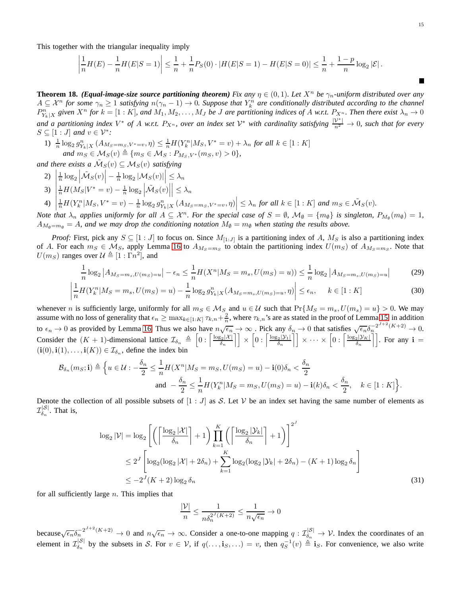This together with the triangular inequality imply

$$
\left|\frac{1}{n}H(E) - \frac{1}{n}H(E|S=1)\right| \le \frac{1}{n} + \frac{1}{n}P_S(0) \cdot |H(E|S=1) - H(E|S=0)| \le \frac{1}{n} + \frac{1-p}{n}\log_2 |\mathcal{E}|.
$$

<span id="page-14-0"></span>**Theorem 18.** *(Equal-image-size source partitioning theorem) Fix any*  $\eta \in (0,1)$ *. Let*  $X^n$  *be*  $\gamma_n$ *-uniform distributed over any*  $A \subseteq \mathcal{X}^n$  for some  $\gamma_n \ge 1$  satisfying  $n(\gamma_n - 1) \to 0$ . Suppose that  $Y_k^n$  are conditionally distributed according to the channel  $P_{Y_k|X}^n$  given  $X^n$  for  $k = [1:K]$ , and  $M_1, M_2, \ldots, M_J$  be J are partitioning indices of A w.r.t.  $P_{X^n}$ . Then there exist  $\lambda_n \to 0$ and a partitioning index  $V^*$  of A w.r.t.  $P_{X^n}$ , over an index set  $V^*$  with cardinality satisfying  $\frac{|\mathcal{V}^*|}{n^2} \to 0$ , such that for every  $S \subseteq [1:J]$  and  $v \in \mathcal{V}^*$ :

1)  $\frac{1}{n} \log_2 g_{Y_k|X}^n(A_{M_S=m_S, V^*=v}, \eta) \leq \frac{1}{n} H(Y_k^n|M_S, V^*=v) + \lambda_n$  for all  $k \in [1:K]$ *and*  $m_S \in M_S(v) \triangleq \{m_S \in M_S : P_{M_S, V^*}(m_S, v) > 0\},$ 

and there exists a  $\tilde{M}_S(v) \subseteq M_S(v)$  satisfying

- 2)  $\vert$  $\frac{1}{n} \log_2 \left| \tilde{\mathcal{M}}_S(v) \right| - \frac{1}{n} \log_2 \left| \mathcal{M}_S(v) \right| \leq \lambda_n$
- 3)     $\frac{1}{n}H(M_S|V^* = v) - \frac{1}{n}\log_2 \left| \tilde{\mathcal{M}}_S(v) \right|$  $\Big|\leq \lambda_n$
- $4)$   $\left| \frac{1}{n} H(Y_k^n|M_S, V^* = v) \frac{1}{n} \log_2 g_{Y_k|X}^n(A_{M_S = m_S, V^* = v}, \eta) \right| \leq \lambda_n$  *for all*  $k \in [1:K]$  *and*  $m_S \in \tilde{\mathcal{M}}_S(v)$ *.*

*Note that*  $\lambda_n$  *applies uniformly for all*  $A \subseteq \mathcal{X}^n$ *. For the special case of*  $S = \emptyset$ *,*  $\mathcal{M}_{\emptyset} = \{m_{\emptyset}\}$  *is singleton,*  $P_{M_{\emptyset}}(m_{\emptyset}) = 1$ *,*  $A_{M_{\phi}=m_{\phi}} = A$ , and we may drop the conditioning notation  $M_{\phi}=m_{\phi}$  when stating the results above.

*Proof:* First, pick any  $S \subseteq [1:J]$  to focus on. Since  $M_{[1:J]}$  is a partitioning index of A,  $M_S$  is also a partitioning index of A. For each  $m_S \in M_S$ , apply Lemma [16](#page-13-0) to  $A_{M_S=m_S}$  to obtain the partitioning index  $U(m_S)$  of  $A_{M_S=m_S}$ . Note that  $U(m_S)$  ranges over  $\mathcal{U} \triangleq [1 : \overline{\Gamma} n^2]$ , and

$$
\frac{1}{n}\log_2|A_{M_S=m_s, U(m_S)=u}| - \epsilon_n \le \frac{1}{n}H(X^n|M_S=m_s, U(m_S)=u)) \le \frac{1}{n}\log_2|A_{M_S=m_s, U(m_S)=u}| \tag{29}
$$

$$
\left| \frac{1}{n} H(Y_k^n | M_S = m_s, U(m_S) = u) - \frac{1}{n} \log_2 g_{Y_k|X}^n(A_{M_S = m_s, U(m_S) = u}, \eta) \right| \le \epsilon_n, \quad k \in [1:K]
$$
\n(30)

whenever n is sufficiently large, uniformly for all  $m_S \in \mathcal{M}_S$  and  $u \in \mathcal{U}$  such that  $\Pr\{M_S = m_s, U(m_s) = u\} > 0$ . We may assume with no loss of generality that  $\epsilon_n \ge \max_{k \in [1:K]} \tau_{k,n} + \frac{2}{n}$ , where  $\tau_{k,n}$ 's are as stated in the proof of Lemma [15,](#page-12-3) in addition to  $\epsilon_n \to 0$  as provided by Lemma [16.](#page-13-0) Thus we also have  $n\sqrt{\epsilon_n} \to \infty$ . Pick any  $\delta_n \to 0$  that satisfies  $\sqrt{\epsilon_n} \delta_n^{-2^{J+2}(K+2)} \to 0$ . Consider the  $(K + 1)$ -dimensional lattice  $\mathcal{I}_{\delta_n} \triangleq \left[0 : \left\lceil \frac{\log_2 |\mathcal{X}|}{\delta_n} \right\rceil \right] \times \left[0 : \left\lceil \frac{\log_2 |\mathcal{Y}_1|}{\delta_n} \right\rceil \right] \times \cdots \times \left[0 : \left\lceil \frac{\log_2 |\mathcal{Y}_K|}{\delta_n} \right\rceil \right]$ . For any  $\mathbf{i} =$  $(i(0), i(1), \ldots, i(K)) \in \mathcal{I}_{\delta_n}$ , define the index bin

$$
\mathcal{B}_{\delta_n}(m_S; \mathbf{i}) \triangleq \Big\{ u \in \mathcal{U} : -\frac{\delta_n}{2} \leq \frac{1}{n} H(X^n | M_S = m_S, U(m_S) = u) - \mathbf{i}(0)\delta_n < \frac{\delta_n}{2} \text{ and } -\frac{\delta_n}{2} \leq \frac{1}{n} H(Y_k^n | M_S = m_S, U(m_S) = u) - \mathbf{i}(k)\delta_n < \frac{\delta_n}{2}, \quad k \in [1:K] \Big\}.
$$

Denote the collection of all possible subsets of  $[1 : J]$  as S. Let V be an index set having the same number of elements as  $\mathcal{I}_{\delta_n}^{|\mathcal{S}|}$ . That is,

$$
\log_2 |\mathcal{V}| = \log_2 \left[ \left( \left\lceil \frac{\log_2 |\mathcal{X}|}{\delta_n} \right\rceil + 1 \right) \prod_{k=1}^K \left( \left\lceil \frac{\log_2 |\mathcal{Y}_k|}{\delta_n} \right\rceil + 1 \right) \right]^2
$$
  

$$
\leq 2^J \left[ \log_2 (\log_2 |\mathcal{X}| + 2\delta_n) + \sum_{k=1}^K \log_2 (\log_2 |\mathcal{Y}_k| + 2\delta_n) - (K+1) \log_2 \delta_n \right]
$$
  

$$
\leq -2^J (K+2) \log_2 \delta_n
$$
 (31)

for all sufficiently large  $n$ . This implies that

<span id="page-14-3"></span><span id="page-14-2"></span><span id="page-14-1"></span>
$$
\frac{|\mathcal{V}|}{n} \le \frac{1}{n\delta_n^{2^J(K+2)}} \le \frac{1}{n\sqrt{\epsilon_n}} \to 0
$$

because $\sqrt{\epsilon_n} \delta_n^{-2^{J+2}(K+2)} \to 0$  and  $n \sqrt{\epsilon_n} \to \infty$ . Consider a one-to-one mapping  $q : \mathcal{I}_{\delta_n}^{|\mathcal{S}|} \to \mathcal{V}$ . Index the coordinates of an element in  $\mathcal{I}_{\delta_n}^{|\mathcal{S}|}$  by the subsets in S. For  $v \in \mathcal{V}$ , if  $q(\ldots, \mathbf{i}_S, \ldots) = v$ , then  $q_S^{-1}(v) \triangleq \mathbf{i}_S$ . For convenience, we also write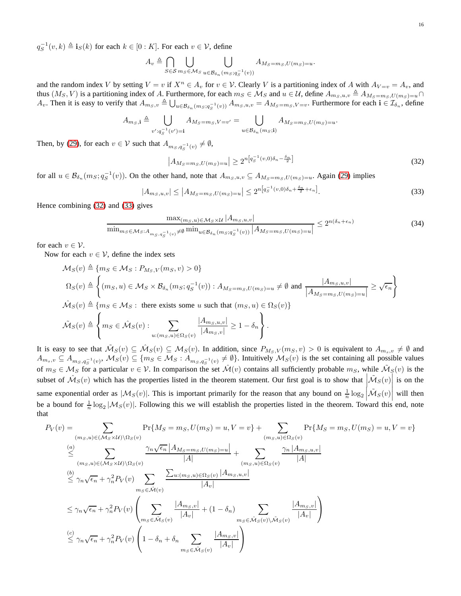$q_S^{-1}(v,k) \triangleq \mathbf{i}_S(k)$  for each  $k \in [0:K]$ . For each  $v \in \mathcal{V}$ , define

$$
A_v \triangleq \bigcap_{S \in \mathcal{S}} \bigcup_{m_S \in \mathcal{M}_S} \bigcup_{u \in \mathcal{B}_{\delta_n}(m_S; q_S^{-1}(v))} A_{M_S = m_S, U(m_S) = u}.
$$

and the random index V by setting  $V = v$  if  $X^n \in A_v$  for  $v \in V$ . Clearly V is a partitioning index of A with  $A_{V=v} = A_v$ , and thus  $(M_S, V)$  is a partitioning index of A. Furthermore, for each  $m_S \in M_S$  and  $u \in \mathcal{U}$ , define  $A_{m_S, u, v} \triangleq A_{M_S=m_S, U(m_S) = u} \cap$  $A_v$ . Then it is easy to verify that  $A_{m_S,v} \triangleq \bigcup_{u \in \mathcal{B}_{\delta_n}(m_S; q_S^{-1}(v))} A_{m_S,u,v} = A_{M_S=m_S, V=v}$ . Furthermore for each  $\mathbf{i} \in \mathcal{I}_{\delta_n}$ , define

$$
A_{m_S,\mathbf{i}} \triangleq \bigcup_{v':q_S^{-1}(v')=\mathbf{i}} A_{M_S=m_S,V=v'} = \bigcup_{u \in \mathcal{B}_{\delta_n}(m_S;\mathbf{i})} A_{M_S=m_S,U(m_S)=u}.
$$

Then, by [\(29\)](#page-14-1), for each  $v \in V$  such that  $A_{m_S, q_S^{-1}(v)} \neq \emptyset$ ,

<span id="page-15-0"></span>
$$
|A_{M_S=m_S, U(m_S)=u}| \ge 2^{n\left[q_S^{-1}(v,0)\delta_n - \frac{\delta_n}{2}\right]}
$$
\n(32)

for all  $u \in \mathcal{B}_{\delta_n}(m_S; q_S^{-1}(v))$ . On the other hand, note that  $A_{m_S,u,v} \subseteq A_{M_S=m_S, U(m_S)=u}$ . Again [\(29\)](#page-14-1) implies

<span id="page-15-1"></span>
$$
|A_{m_S, u, v}| \le |A_{M_S = m_S, U(m_S) = u}| \le 2^{n \left[q_S^{-1}(v, 0)\delta_n + \frac{\delta_n}{2} + \epsilon_n\right]}.
$$
\n(33)

Hence combining [\(32\)](#page-15-0) and [\(33\)](#page-15-1) gives

<span id="page-15-2"></span>
$$
\frac{\max_{(m_S, u) \in \mathcal{M}_S \times \mathcal{U}} |A_{m_S, u, v}|}{\min_{m_S \in \mathcal{M}_S: A_{m_S, q_S^{-1}(v)} \neq \emptyset} \min_{u \in \mathcal{B}_{\delta_n}(m_S; q_S^{-1}(v))} |A_{M_S = m_S, U(m_S) = u}|} \le 2^{n(\delta_n + \epsilon_n)} \tag{34}
$$

for each  $v \in \mathcal{V}$ .

Now for each  $v \in V$ , define the index sets

$$
\mathcal{M}_S(v) \triangleq \{ m_S \in \mathcal{M}_S : P_{M_S,V}(m_S, v) > 0 \}
$$
\n
$$
\Omega_S(v) \triangleq \left\{ (m_S, u) \in \mathcal{M}_S \times \mathcal{B}_{\delta_n}(m_S; q_S^{-1}(v)) : A_{M_S = m_S, U(m_S) = u} \neq \emptyset \text{ and } \frac{|A_{m_S, u, v}|}{|A_{M_S = m_S, U(m_S) = u}|} \ge \sqrt{\epsilon_n} \right\}
$$
\n
$$
\hat{\mathcal{M}}_S(v) \triangleq \left\{ m_S \in \mathcal{M}_S : \text{ there exists some } u \text{ such that } (m_S, u) \in \Omega_S(v) \right\}
$$
\n
$$
\tilde{\mathcal{M}}_S(v) \triangleq \left\{ m_S \in \hat{\mathcal{M}}_S(v) : \sum_{u: (m_S, u) \in \Omega_S(v)} \frac{|A_{m_S, u, v}|}{|A_{m_S, v}|} \ge 1 - \delta_n \right\}.
$$

It is easy to see that  $\tilde{M}_S(v) \subseteq \hat{M}_S(v) \subseteq M_S(v)$ . In addition, since  $P_{M_S,V}(m_S,v) > 0$  is equivalent to  $A_{m_S,v} \neq \emptyset$  and  $A_{m_s,v} \subseteq A_{m_S,q_S^{-1}(v)}, M_S(v) \subseteq \{m_S \in M_S : A_{m_S,q_S^{-1}(v)} \neq \emptyset\}$ . Intuitively  $M_S(v)$  is the set containing all possible values of  $m_S \in M_S$  for a particular  $v \in V$ . In comparison the set  $\hat{\mathcal{M}}(v)$  contains all sufficiently probable  $m_S$ , while  $\hat{\mathcal{M}}_S(v)$  is the subset of  $\mathcal{M}_S(v)$  which has the properties listed in the theorem statement. Our first goal is to show that  $\left|\mathcal{M}_S(v)\right|$  is on the same exponential order as  $|\mathcal{M}_S(v)|$ . This is important primarily for the reason that any bound on  $\frac{1}{n} \log_2 |\mathcal{\tilde{M}}_S(v)|$  will then be a bound for  $\frac{1}{n} \log_2 |\mathcal{M}_S(v)|$ . Following this we will establish the properties listed in the theorem. Toward this end, note that

$$
P_V(v) = \sum_{(m_S, u) \in (M_S \times \mathcal{U}) \setminus \Omega_S(v)} \Pr\{M_S = m_S, U(m_S) = u, V = v\} + \sum_{(m_S, u) \in \Omega_S(v)} \Pr\{M_S = m_S, U(m_S) = u, V = v\}
$$
  
\n
$$
\leq \sum_{(m_S, u) \in (M_S \times \mathcal{U}) \setminus \Omega_S(v)} \frac{\gamma_n \sqrt{\epsilon_n} |A_{M_S = m_S, U(m_S) = u}|}{|A|} + \sum_{(m_S, u) \in \Omega_S(v)} \frac{\gamma_n |A_{m_S, u, v}|}{|A|}
$$
  
\n
$$
\leq \gamma_n \sqrt{\epsilon_n} + \gamma_n^2 P_V(v) \sum_{m_S \in \hat{\mathcal{M}}(v)} \frac{\sum_{u:(m_S, u) \in \Omega_S(v)} |A_{m_S, u, v}|}{|A_v|}
$$
  
\n
$$
\leq \gamma_n \sqrt{\epsilon_n} + \gamma_n^2 P_V(v) \left( \sum_{m_S \in \hat{\mathcal{M}}_S(v)} \frac{|A_{m_S, v}|}{|A_v|} + (1 - \delta_n) \sum_{m_S \in \hat{\mathcal{M}}_S(v) \setminus \hat{\mathcal{M}}_S(v)} \frac{|A_{m_S, v}|}{|A_v|} \right)
$$
  
\n
$$
\leq \gamma_n \sqrt{\epsilon_n} + \gamma_n^2 P_V(v) \left( 1 - \delta_n + \delta_n \sum_{m_S \in \hat{\mathcal{M}}_S(v)} \frac{|A_{m_S, v}|}{|A_v|} \right)
$$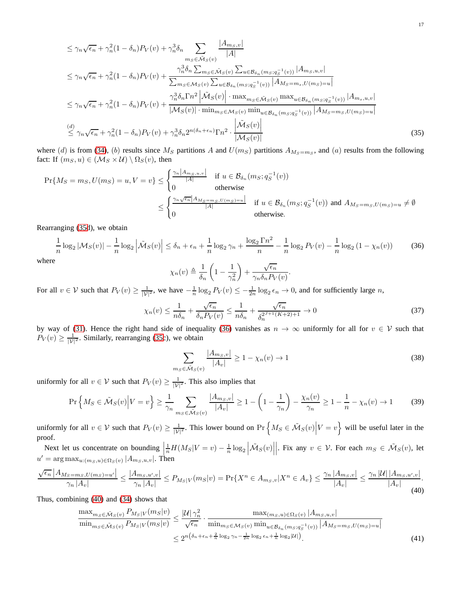$$
\leq \gamma_n \sqrt{\epsilon_n} + \gamma_n^2 (1 - \delta_n) P_V(v) + \gamma_n^3 \delta_n \sum_{m_S \in \tilde{\mathcal{M}}_S(v)} \frac{|A_{m_S, v}|}{|A|}
$$
\n
$$
\leq \gamma_n \sqrt{\epsilon_n} + \gamma_n^2 (1 - \delta_n) P_V(v) + \frac{\gamma_n^3 \delta_n \sum_{m_S \in \tilde{\mathcal{M}}_S(v)} \sum_{u \in \mathcal{B}_{\delta_n}(m_S; q_S^{-1}(v))} |A_{m_S, u, v}|}{\sum_{m_S \in \mathcal{M}_S(v)} \sum_{u \in \mathcal{B}_{\delta_n}(m_S; q_S^{-1}(v))} |A_{M_S = m_s, U(m_S) = u}|}
$$
\n
$$
\leq \gamma_n \sqrt{\epsilon_n} + \gamma_n^2 (1 - \delta_n) P_V(v) + \frac{\gamma_n^3 \delta_n \Gamma_n^2 \left| \tilde{\mathcal{M}}_S(v) \right| \cdot \max_{m_S \in \tilde{\mathcal{M}}_S(v)} \max_{u \in \mathcal{B}_{\delta_n}(m_S; q_S^{-1}(v))} |A_{m_s, u, v}|}{|M_S(v)| \cdot \min_{m_S \in \mathcal{M}_S(v)} \min_{u \in \mathcal{B}_{\delta_n}(m_S; q_S^{-1}(v))} |A_{M_S = m_S, U(m_S) = u}|}
$$
\n
$$
\leq \gamma_n \sqrt{\epsilon_n} + \gamma_n^2 (1 - \delta_n) P_V(v) + \gamma_n^3 \delta_n 2^{n(\delta_n + \epsilon_n)} \Gamma_n^2 \cdot \frac{\left| \tilde{\mathcal{M}}_S(v) \right|}{|M_S(v)|}
$$
\n(35)

where (d) is from [\(34\)](#page-15-2), (b) results since  $M_S$  partitions A and  $U(m_S)$  partitions  $A_{M_S=m_S}$ , and (a) results from the following fact: If  $(m_S, u) \in (\mathcal{M}_S \times \mathcal{U}) \setminus \Omega_S(v)$ , then

$$
\Pr\{M_S = m_S, U(m_S) = u, V = v\} \le \begin{cases} \frac{\gamma_n |A_{m_S, u, v}|}{|A|} & \text{if } u \in \mathcal{B}_{\delta_n}(m_S; q_S^{-1}(v)) \\ 0 & \text{otherwise} \end{cases}
$$
  

$$
\le \begin{cases} \frac{\gamma_n \sqrt{\epsilon_n} |A_{M_S = m_S, U(m_S) = u}|}{|A|} & \text{if } u \in \mathcal{B}_{\delta_n}(m_S; q_S^{-1}(v)) \text{ and } A_{M_S = m_S, U(m_S) = u} \ne \emptyset \\ 0 & \text{otherwise.} \end{cases}
$$

Rearranging [\(35d](#page-16-0)), we obtain

<span id="page-16-1"></span>
$$
\frac{1}{n}\log_2|\mathcal{M}_S(v)| - \frac{1}{n}\log_2\left|\tilde{\mathcal{M}}_S(v)\right| \le \delta_n + \epsilon_n + \frac{1}{n}\log_2\gamma_n + \frac{\log_2\Gamma n^2}{n} - \frac{1}{n}\log_2P_V(v) - \frac{1}{n}\log_2\left(1 - \chi_n(v)\right) \tag{36}
$$

where

<span id="page-16-0"></span>
$$
\chi_n(v) \triangleq \frac{1}{\delta_n} \left( 1 - \frac{1}{\gamma_n^2} \right) + \frac{\sqrt{\epsilon_n}}{\gamma_n \delta_n P_V(v)}.
$$

For all  $v \in V$  such that  $P_V(v) \ge \frac{1}{|V|^2}$ , we have  $-\frac{1}{n} \log_2 P_V(v) \le -\frac{1}{2n} \log_2 \epsilon_n \to 0$ , and for sufficiently large *n*,

<span id="page-16-5"></span>
$$
\chi_n(v) \le \frac{1}{n\delta_n} + \frac{\sqrt{\epsilon_n}}{\delta_n P_V(v)} \le \frac{1}{n\delta_n} + \frac{\sqrt{\epsilon_n}}{\delta_n^{2^{J+1}(K+2)+1}} \to 0
$$
\n(37)

by way of [\(31\)](#page-14-2). Hence the right hand side of inequality [\(36\)](#page-16-1) vanishes as  $n \to \infty$  uniformly for all for  $v \in V$  such that  $P_V(v) \ge \frac{1}{|\mathcal{V}|^2}$ . Similarly, rearranging [\(35c](#page-16-0)), we obtain

<span id="page-16-3"></span>
$$
\sum_{m_S \in \tilde{\mathcal{M}}_S(v)} \frac{|A_{m_S, v}|}{|A_v|} \ge 1 - \chi_n(v) \to 1
$$
\n(38)

uniformly for all  $v \in V$  such that  $P_V(v) \ge \frac{1}{|V|^2}$ . This also implies that

<span id="page-16-4"></span>
$$
\Pr\left\{M_S \in \tilde{\mathcal{M}}_S(v) \middle| V=v\right\} \ge \frac{1}{\gamma_n} \sum_{m_S \in \tilde{\mathcal{M}}_S(v)} \frac{|A_{m_S, v}|}{|A_v|} \ge 1 - \left(1 - \frac{1}{\gamma_n}\right) - \frac{\chi_n(v)}{\gamma_n} \ge 1 - \frac{1}{n} - \chi_n(v) \to 1\tag{39}
$$

uniformly for all  $v \in V$  such that  $P_V(v) \ge \frac{1}{|V|^2}$ . This lower bound on  $\Pr\left\{M_S \in \tilde{\mathcal{M}}_S(v)\middle| V=v\right\}$  will be useful later in the proof.

Next let us concentrate on bounding  $\frac{1}{n}H(M_S|V=v) - \frac{1}{n}\log_2\left|\tilde{\mathcal{M}}_S(v)\right|$ |. Fix any  $v \in V$ . For each  $m_S \in \tilde{\mathcal{M}}_S(v)$ , let  $u' = \arg \max_{u: (m_S, u) \in \Omega_S(v)} |A_{m_S, u, v}|$ . Then

<span id="page-16-2"></span>
$$
\frac{\sqrt{\epsilon_n} |A_{M_S=m_S, U(m_S)=u'}|}{\gamma_n |A_v|} \le \frac{|A_{m_S, u', v}|}{\gamma_n |A_v|} \le P_{M_S|V}(m_S|v) = \Pr\{X^n \in A_{m_S, v}| X^n \in A_v\} \le \frac{\gamma_n |A_{m_S, v}|}{|A_v|} \le \frac{\gamma_n |U| |A_{m_S, u', v}|}{|A_v|}.
$$
\n(40)

Thus, combining [\(40\)](#page-16-2) and [\(34\)](#page-15-2) shows that

$$
\frac{\max_{m_S \in \tilde{\mathcal{M}}_S(v)} P_{M_S|V}(m_S|v)}{\min_{m_S \in \tilde{\mathcal{M}}_S(v)} P_{M_S|V}(m_S|v)} \le \frac{|\mathcal{U}| \gamma_n^2}{\sqrt{\epsilon_n}} \cdot \frac{\max_{(m_S, u) \in \Omega_S(v)} |A_{m_S, u, v}|}{\min_{m_S \in \mathcal{M}_S(v)} \min_{u \in \mathcal{B}_{\delta_n}(m_S; q_S^{-1}(v))} |A_{M_S = m_S, U(m_S) = u}|} \n\le 2^{n(\delta_n + \epsilon_n + \frac{2}{n} \log_2 \gamma_n - \frac{1}{2n} \log_2 \epsilon_n + \frac{1}{n} \log_2 |\mathcal{U}|)}.
$$
\n(41)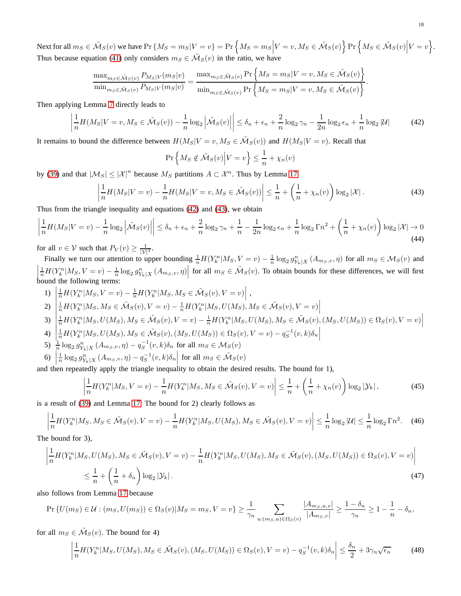Next for all  $m_S \in \tilde{M}_S(v)$  we have  $\Pr \{ M_S = m_S | V = v \} = \Pr \left\{ M_S = m_S \Big| V = v, M_S \in \tilde{M}_S(v) \right\} \Pr \left\{ M_S \in \tilde{M}_S(v) \Big| V = v \right\}$ . Thus because equation [\(41\)](#page-16-3) only considers  $m_S \in \tilde{M}_S(v)$  in the ratio, we have

$$
\frac{\max_{m_S \in \tilde{\mathcal{M}}_S(v)} P_{M_S|V}(m_S|v)}{\min_{m_S \in \tilde{\mathcal{M}}_S(v)} P_{M_S|V}(m_S|v)} = \frac{\max_{m_S \in \tilde{\mathcal{M}}_S(v)} \Pr\left\{ M_S = m_S | V = v, M_S \in \tilde{\mathcal{M}}_S(v) \right\}}{\min_{m_S \in \tilde{\mathcal{M}}_S(v)} \Pr\left\{ M_S = m_S | V = v, M_S \in \tilde{\mathcal{M}}_S(v) \right\}}.
$$

Then applying Lemma [7](#page-6-2) directly leads to

$$
\left| \frac{1}{n} H(M_S|V=v, M_S \in \tilde{\mathcal{M}}_S(v)) - \frac{1}{n} \log_2 \left| \tilde{\mathcal{M}}_S(v) \right| \right| \le \delta_n + \epsilon_n + \frac{2}{n} \log_2 \gamma_n - \frac{1}{2n} \log_2 \epsilon_n + \frac{1}{n} \log_2 |\mathcal{U}| \tag{42}
$$

It remains to bound the difference between  $H(M_S|V = v, M_S \in \tilde{\mathcal{M}}_S(v))$  and  $H(M_S|V = v)$ . Recall that

<span id="page-17-0"></span>
$$
\Pr\left\{M_S \notin \tilde{\mathcal{M}}_S(v) \middle| V = v\right\} \le \frac{1}{n} + \chi_n(v)
$$

by [\(39\)](#page-16-4) and that  $|M_S| \leq |\mathcal{X}|^n$  because  $M_S$  partitions  $A \subset \mathcal{X}^n$ . Thus by Lemma [17](#page-13-3)

$$
\frac{1}{n}H(M_S|V=v) - \frac{1}{n}H(M_S|V=v, M_S \in \tilde{\mathcal{M}}_S(v))\Big| \leq \frac{1}{n} + \left(\frac{1}{n} + \chi_n(v)\right) \log_2|\mathcal{X}|.
$$
\n(43)

Thus from the triangle inequality and equations [\(42\)](#page-17-0) and [\(43\)](#page-17-1), we obtain

<span id="page-17-4"></span>
$$
\left|\frac{1}{n}H(M_S|V=v) - \frac{1}{n}\log_2\left|\tilde{\mathcal{M}}_S(v)\right|\right| \le \delta_n + \epsilon_n + \frac{2}{n}\log_2\gamma_n + \frac{1}{n} - \frac{1}{2n}\log_2\epsilon_n + \frac{1}{n}\log_2\Gamma_n^2 + \left(\frac{1}{n} + \chi_n(v)\right)\log_2|\mathcal{X}| \to 0
$$
\n(44)

for all  $v \in V$  such that  $P_V(v) \geq \frac{1}{|V|^2}$ .

<span id="page-17-1"></span> $\overline{\phantom{a}}$ I I  $\overline{\phantom{a}}$ 

Finally we turn our attention to upper bounding  $\frac{1}{n}H(Y_k^n|M_S, V = v) - \frac{1}{n}\log_2 g_{Y_k|X}^n(A_{m_S,v}, \eta)$  for all  $m_S \in \mathcal{M}_S(v)$  and  $\overline{\phantom{a}}$  $\frac{1}{n}H(Y_k^n|M_S, V=v) - \frac{1}{n}\log_2 g_{Y_k|X}^n(A_{m_S,v}, \eta)$  for all  $m_S \in \tilde{\mathcal{M}}_S(v)$ . To obtain bounds for these differences, we will first bound the following terms:

1) 
$$
\left| \frac{1}{n} H(Y_k^n|M_S, V=v) - \frac{1}{n} H(Y_k^n|M_S, M_S \in \tilde{\mathcal{M}}_S(v), V=v) \right|,
$$

 $2)$  $\frac{1}{n}H(Y_k^n|M_S,M_S\in \tilde{\mathcal{M}}_S(v),V=v)-\frac{1}{n}H(Y_k^n|M_S,U(M_S),M_S\in \tilde{\mathcal{M}}_S(v),V=v)\bigg|$ 

$$
3)\left|\frac{1}{n}H(Y_k^n|M_S,U(M_S),M_S\in \tilde{\mathcal{M}}_S(v),V=v)-\frac{1}{n}H(Y_k^n|M_S,U(M_S),M_S\in \tilde{\mathcal{M}}_S(v), (M_S,U(M_S))\in \Omega_S(v),V=v)\right|
$$

- 4)  $\left| \begin{array}{c} 4 \end{array} \right|$ 4)  $\left| \frac{1}{n} H(Y_k^n | M_S, U(M_S), M_S \in \tilde{M}_S(v), (M_S, U(M_S)) \in \Omega_S(v), V = v) - q_S^{-1}(v, k) \delta_n \right|$ <br>5)  $\frac{1}{n} \log_2 g_{Y_k|X}^n (A_{m_S, v}, \eta) - q_S^{-1}(v, k) \delta_n$  for all  $m_S \in \mathcal{M}_S(v)$
- 
- 6)  $\left| \frac{1}{n} \log_2 g_{Y_k|X}^n(A_{m_S,v}, \eta) q_S^{-1}(v, k) \delta_n \right|$  for all  $m_S \in \tilde{\mathcal{M}}_S(v)$  $\left[ n \frac{1652 \, 3 \gamma_k |X| \cdot 1 \cdot m_S, 0, 0}{15} \right]$

and then repeatedly apply the triangle inequality to obtain the desired results. The bound for 1),

<span id="page-17-2"></span>
$$
\left|\frac{1}{n}H(Y_k^n|M_S, V=v) - \frac{1}{n}H(Y_k^n|M_S, M_S \in \tilde{\mathcal{M}}_S(v), V=v)\right| \leq \frac{1}{n} + \left(\frac{1}{n} + \chi_n(v)\right) \log_2|\mathcal{Y}_k|,
$$
\n(45)

is a result of [\(39\)](#page-16-4) and Lemma [17.](#page-13-3) The bound for 2) clearly follows as

$$
\left| \frac{1}{n} H(Y_k^n | M_S, M_S \in \tilde{\mathcal{M}}_S(v), V = v) - \frac{1}{n} H(Y_k^n | M_S, U(M_S), M_S \in \tilde{\mathcal{M}}_S(v), V = v) \right| \le \frac{1}{n} \log_2 |\mathcal{U}| \le \frac{1}{n} \log_2 \Gamma n^2. \tag{46}
$$

The bound for 3),

$$
\left| \frac{1}{n} H(Y_k^n|M_S, U(M_S), M_S \in \tilde{\mathcal{M}}_S(v), V = v) - \frac{1}{n} H(Y_k^n|M_S, U(M_S), M_S \in \tilde{\mathcal{M}}_S(v), (M_S, U(M_S)) \in \Omega_S(v), V = v) \right|
$$
  

$$
\leq \frac{1}{n} + \left( \frac{1}{n} + \delta_n \right) \log_2 |\mathcal{Y}_k|.
$$
 (47)

also follows from Lemma [17](#page-13-3) because

$$
\Pr\left\{U(m_S) \in \mathcal{U} : (m_S, U(m_S)) \in \Omega_S(v) | M_S = m_S, V = v\right\} \ge \frac{1}{\gamma_n} \sum_{u: (m_S, u) \in \Omega_S(v)} \frac{|A_{m_S, u, v}|}{|A_{m_S, v}|} \ge \frac{1 - \delta_n}{\gamma_n} \ge 1 - \frac{1}{n} - \delta_n,
$$

for all  $m_S \in \tilde{\mathcal{M}}_S(v)$ . The bound for 4)

<span id="page-17-3"></span>
$$
\left| \frac{1}{n} H(Y_k^n|M_S, U(M_S), M_S \in \tilde{\mathcal{M}}_S(v), (M_S, U(M_S)) \in \Omega_S(v), V = v) - q_S^{-1}(v, k)\delta_n \right| \le \frac{\delta_n}{2} + 3\gamma_n \sqrt{\epsilon_n}
$$
(48)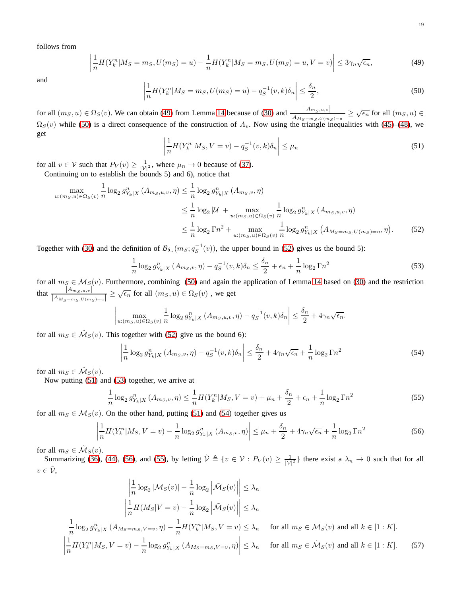follows from

<span id="page-18-0"></span>
$$
\left| \frac{1}{n} H(Y_k^n | M_S = m_S, U(m_S) = u) - \frac{1}{n} H(Y_k^n | M_S = m_S, U(m_S) = u, V = v) \right| \le 3\gamma_n \sqrt{\epsilon_n},\tag{49}
$$

and 

<span id="page-18-1"></span>
$$
\left|\frac{1}{n}H(Y_k^n|M_S=m_S, U(m_S)=u)-q_S^{-1}(v,k)\delta_n\right| \leq \frac{\delta_n}{2},\tag{50}
$$

for all  $(m_S, u) \in \Omega_S(v)$ . We can obtain [\(49\)](#page-18-0) from Lemma [14](#page-11-0) because of [\(30\)](#page-14-3) and  $\frac{|A_{m_S, u, v}|}{|A_{M_S=m_S, U(m_S)=u}|} \ge \sqrt{\epsilon_n}$  for all  $(m_S, u) \in \Omega$  $\Omega_S(v)$  while [\(50\)](#page-18-1) is a direct consequence of the construction of  $A_v$ . Now using the triangle inequalities with [\(45\)](#page-17-2)–[\(48\)](#page-17-3), we get and the set of the set of the set of the set of the set of the set of the set of the set of the set of the<br>Internal set of the set of the set of the set of the set of the set of the set of the set of the set of the se

<span id="page-18-3"></span><span id="page-18-2"></span>
$$
\left|\frac{1}{n}H(Y_k^n|M_S, V=v) - q_S^{-1}(v,k)\delta_n\right| \leq \mu_n\tag{51}
$$

for all  $v \in V$  such that  $P_V(v) \ge \frac{1}{|V|^2}$ , where  $\mu_n \to 0$  because of [\(37\)](#page-16-5).<br>Continuing on to establish the bounds 5) and 6), notice that

$$
\max_{u:(m_S,u)\in\Omega_S(v)} \frac{1}{n} \log_2 g_{Y_k|X}^n (A_{m_S,u,v}, \eta) \le \frac{1}{n} \log_2 g_{Y_k|X}^n (A_{m_S,v}, \eta)
$$
\n
$$
\le \frac{1}{n} \log_2 |\mathcal{U}| + \max_{u:(m_S,u)\in\Omega_S(v)} \frac{1}{n} \log_2 g_{Y_k|X}^n (A_{m_S,u,v}, \eta)
$$
\n
$$
\le \frac{1}{n} \log_2 \Gamma n^2 + \max_{u:(m_S,u)\in\Omega_S(v)} \frac{1}{n} \log_2 g_{Y_k|X}^n (A_{M_S=m_S,U(m_S)=u}, \eta).
$$
\n(52)

Together with [\(30\)](#page-14-3) and the definition of  $\mathcal{B}_{\delta_n}(m_S; q_S^{-1}(v))$ , the upper bound in [\(52\)](#page-18-2) gives us the bound 5):

<span id="page-18-4"></span>
$$
\frac{1}{n}\log_2 g_{Y_k|X}^n(A_{m_S,v},\eta) - q_S^{-1}(v,k)\delta_n \le \frac{\delta_n}{2} + \epsilon_n + \frac{1}{n}\log_2 \Gamma_n^2 \tag{53}
$$

for all  $m<sub>S</sub> \in M<sub>S</sub>(v)$ . Furthermore, combining [\(50\)](#page-18-1) and again the application of Lemma [14](#page-11-0) based on [\(30\)](#page-14-3) and the restriction that  $\frac{|A_{m_S,u,v}|}{|A|}$  $\frac{|A_{m_S,u,v}|}{|A_{M_S=m_S,U(m_S)=u}|} \ge \sqrt{\epsilon_n}$  for all  $(m_S, u) \in \Omega_S(v)$ , we get

$$
\max_{u:(m_S,u)\in\Omega_S(v)}\frac{1}{n}\log_2 g_{Y_k|X}^n(A_{m_S,u,v},\eta)-q_S^{-1}(v,k)\delta_n\bigg|\leq \frac{\delta_n}{2}+4\gamma_n\sqrt{\epsilon_n}.
$$

for all  $m_S \in \tilde{\mathcal{M}}_S(v)$ . This together with [\(52\)](#page-18-2) give us the bound 6):

<span id="page-18-5"></span>
$$
\left|\frac{1}{n}\log_2 g_{Y_k|X}^n\left(A_{m_S,v},\eta\right)-q_S^{-1}(v,k)\delta_n\right| \le \frac{\delta_n}{2} + 4\gamma_n\sqrt{\epsilon_n} + \frac{1}{n}\log_2\Gamma_n^2\tag{54}
$$

for all  $m_S \in \tilde{\mathcal{M}}_S(v)$ .

Now putting [\(51\)](#page-18-3) and [\(53\)](#page-18-4) together, we arrive at

 $\overline{\phantom{a}}$ I I  $\overline{\phantom{a}}$ 

<span id="page-18-7"></span>
$$
\frac{1}{n}\log_2 g_{Y_k|X}^n(A_{m_S,v},\eta) \le \frac{1}{n}H(Y_k^n|M_S,V=v) + \mu_n + \frac{\delta_n}{2} + \epsilon_n + \frac{1}{n}\log_2 \Gamma_n^2
$$
\n(55)

for all  $m_S \in \mathcal{M}_S(v)$ . On the other hand, putting [\(51\)](#page-18-3) and [\(54\)](#page-18-5) together gives us

<span id="page-18-8"></span><span id="page-18-6"></span>
$$
\left| \frac{1}{n} H(Y_k^n | M_S, V = v) - \frac{1}{n} \log_2 g_{Y_k|X}^n (A_{m_S, v}, \eta) \right| \le \mu_n + \frac{\delta_n}{2} + 4\gamma_n \sqrt{\epsilon_n} + \frac{1}{n} \log_2 \Gamma n^2
$$
\n(56)

for all  $m_S \in \tilde{\mathcal{M}}_S(v)$ .

Summarizing [\(36\)](#page-16-1), [\(44\)](#page-17-4), [\(56\)](#page-18-6), and [\(55\)](#page-18-7), by letting  $\tilde{V} \triangleq \{v \in V : P_V(v) \geq \frac{1}{|V|^2}\}$  there exist a  $\lambda_n \to 0$  such that for all  $v \in \mathcal{V}$ ,

$$
\left|\frac{1}{n}\log_2|\mathcal{M}_S(v)| - \frac{1}{n}\log_2\left|\tilde{\mathcal{M}}_S(v)\right|\right| \le \lambda_n
$$
\n
$$
\left|\frac{1}{n}H(M_S|V=v) - \frac{1}{n}\log_2\left|\tilde{\mathcal{M}}_S(v)\right|\right| \le \lambda_n
$$
\n
$$
\frac{1}{n}\log_2 g_{Y_k|X}^n (A_{M_S=m_S,V=v}, \eta) - \frac{1}{n}H(Y_k^n|M_S, V=v) \le \lambda_n \quad \text{for all } m_S \in \mathcal{M}_S(v) \text{ and all } k \in [1:K].
$$
\n
$$
\left|\frac{1}{n}H(Y_k^n|M_S, V=v) - \frac{1}{n}\log_2 g_{Y_k|X}^n (A_{M_S=m_S, V=v}, \eta)\right| \le \lambda_n \quad \text{for all } m_S \in \tilde{\mathcal{M}}_S(v) \text{ and all } k \in [1:K].
$$
\n(57)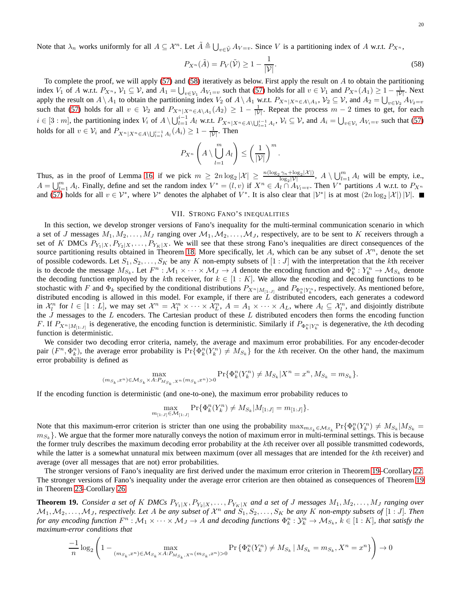Note that  $\lambda_n$  works uniformly for all  $A \subseteq \mathcal{X}^n$ . Let  $\tilde{A} \triangleq \bigcup_{v \in \tilde{\mathcal{V}}} A_{V=v}$ . Since V is a partitioning index of A w.r.t.  $P_{X^n}$ ,

<span id="page-19-2"></span>
$$
P_{X^n}(\tilde{A}) = P_V(\tilde{\mathcal{V}}) \ge 1 - \frac{1}{|\mathcal{V}|}.
$$
\n(58)

To complete the proof, we will apply [\(57\)](#page-18-8) and [\(58\)](#page-19-2) iteratively as below. First apply the result on  $A$  to obtain the partitioning index  $V_1$  of A w.r.t.  $P_{X^n}$ ,  $V_1 \subseteq V$ , and  $A_1 = \bigcup_{v \in V_1} A_{V_1=v}$  such that [\(57\)](#page-18-8) holds for all  $v \in V_1$  and  $P_{X^n}(A_1) \ge 1 - \frac{1}{|V|}$ . Next apply the result on  $A \setminus A_1$  to obtain the partitioning index  $V_2$  of  $A \setminus A_1$  w.r.t.  $P_{X^n|X^n \in A \setminus A_1}$ ,  $V_2 \subseteq V$ , and  $A_2 = \bigcup_{v \in V_2} A_{V_2 = v}$ such that [\(57\)](#page-18-8) holds for all  $v \in V_2$  and  $P_{X^n|X^n \in A \setminus A_1}(A_2) \geq 1 - \frac{1}{|V|}$ . Repeat the process  $m-2$  times to get, for each  $i \in [3:m]$ , the partitioning index  $V_i$  of  $A \setminus \bigcup_{l=1}^{i-1} A_l$  w.r.t.  $P_{X^n | X^n \in A \setminus \bigcup_{l=1}^{i-1} A_l}$ ,  $V_i \subseteq V$ , and  $A_i = \bigcup_{v \in V_i} A_{V_i=v}$  such that [\(57\)](#page-18-8) holds for all  $v \in V_i$  and  $P_{X^n | X^n \in A \setminus \bigcup_{l=1}^{i-1} A_l}(A_i) \geq 1 - \frac{1}{|\mathcal{V}|}$ . Then

$$
P_{X^n}\left(A\setminus\bigcup_{l=1}^mA_l\right)\leq\left(\frac{1}{|\mathcal{V}|}\right)^m.
$$

Thus, as in the proof of Lemma [16,](#page-13-0) if we pick  $m \geq 2n \log_2 |\mathcal{X}| \geq \frac{n(\log_2 \gamma_n + \log_2 |\mathcal{X}|)}{\log_2 |\mathcal{Y}|}$ ,  $A \setminus \bigcup_{l=1}^m A_l$  will be empty, i.e.,  $A = \bigcup_{l=1}^{m} A_l$ . Finally, define and set the random index  $V^* = (l, v)$  if  $X^n \in A_l \cap A_{V_l=v}$ . Then  $V^*$  partitions A w.r.t. to  $P_{X^n}$ and [\(57\)](#page-18-8) holds for all  $v \in \mathcal{V}^*$ , where  $\mathcal{V}^*$  denotes the alphabet of  $V^*$ . It is also clear that  $|\mathcal{V}^*|$  is at most  $(2n \log_2 |\mathcal{X}|)|\mathcal{V}|$ .

#### VII. STRONG FANO'S INEQUALITIES

<span id="page-19-1"></span>In this section, we develop stronger versions of Fano's inequality for the multi-terminal communication scenario in which a set of J messages  $M_1, M_2, \ldots, M_J$  ranging over  $M_1, M_2, \ldots, M_J$ , respectively, are to be sent to K receivers through a set of K DMCs  $P_{Y_1|X}, P_{Y_2|X}, \ldots, P_{Y_K|X}$ . We will see that these strong Fano's inequalities are direct consequences of the source partitioning results obtained in Theorem [18.](#page-14-0) More specifically, let A, which can be any subset of  $\mathcal{X}^n$ , denote the set of possible codewords. Let  $S_1, S_2, \ldots, S_K$  be any K non-empty subsets of  $[1:J]$  with the interpretation that the kth receiver is to decode the message  $M_{S_k}$ . Let  $F^n: \mathcal{M}_1 \times \cdots \times \mathcal{M}_J \to A$  denote the encoding function and  $\Phi_k^n: Y_k^n \to \mathcal{M}_{S_k}$  denote the decoding function employed by the kth receiver, for  $k \in [1:K]$ . We allow the encoding and decoding functions to be stochastic with F and  $\Phi_k$  specified by the conditional distributions  $P_{X^n|M_{[1:J]}}$  and  $P_{\Phi_k^n|Y_k^n}$ , respectively. As mentioned before, distributed encoding is allowed in this model. For example, if there are  $L$  distributed encoders, each generates a codeword in  $\mathcal{X}_l^n$  for  $l \in [1:L]$ , we may set  $\mathcal{X}_l^n = \mathcal{X}_1^n \times \cdots \times \mathcal{X}_L^n$ ,  $A = A_1 \times \cdots \times A_L$ , where  $A_l \subseteq \mathcal{X}_l^n$ , and disjointly distribute the  $J$  messages to the  $L$  encoders. The Cartesian product of these  $L$  distributed encoders then forms the encoding function F. If  $P_{X^n|M_{[1:J]}}$  is degenerative, the encoding function is deterministic. Similarly if  $P_{\Phi_k^n|Y_k^n}$  is degenerative, the kth decoding function is deterministic.

We consider two decoding error criteria, namely, the average and maximum error probabilities. For any encoder-decoder pair  $(F^n, \Phi_k^n)$ , the average error probability is  $Pr{\Phi_k^n(Y_k^n) \neq M_{S_k}}$  for the kth receiver. On the other hand, the maximum error probability is defined as

$$
\max_{(m_{S_k},x^n)\in \mathcal{M}_{S_k}\times A: P_{M_{S_k},X^n}(m_{S_k},x^n)>0}\Pr\{\Phi_k^n(Y_k^n)\neq M_{S_k}|X^n=x^n,M_{S_k}=m_{S_k}\}.
$$

If the encoding function is deterministic (and one-to-one), the maximum error probability reduces to

$$
\max_{m_{[1:J]} \in \mathcal{M}_{[1:J]}} \Pr\{\Phi_k^n(Y_k^n) \neq M_{S_k} | M_{[1:J]} = m_{[1:J]}\}.
$$

Note that this maximum-error criterion is stricter than one using the probability  $\max_{m_{S_k} \in \mathcal{M}_{S_k}} \Pr{\Phi_k^n(Y_k^n) \neq M_{S_k} | M_{S_k} = \emptyset}$  $m_{S_k}$ . We argue that the former more naturally conveys the notion of maximum error in multi-terminal settings. This is because the former truly describes the maximum decoding error probability at the kth receiver over all possible transmitted codewords, while the latter is a somewhat unnatural mix between maximum (over all messages that are intended for the kth receiver) and average (over all messages that are not) error probabilities.

The stronger versions of Fano's inequality are first derived under the maximum error criterion in Theorem [19–](#page-19-0)Corollary [22.](#page-24-1) The stronger versions of Fano's inequality under the average error criterion are then obtained as consequences of Theorem [19](#page-19-0) in Theorem [23–](#page-24-0)Corollary [26.](#page-26-0)

<span id="page-19-0"></span>**Theorem 19.** *Consider a set of* K DMCs  $P_{Y_1|X}, P_{Y_2|X}, \ldots, P_{Y_K|X}$  *and a set of* J messages  $M_1, M_2, \ldots, M_J$  ranging over  $M_1, M_2, \ldots, M_J$ , respectively. Let A be any subset of  $\mathcal{X}^n$  and  $S_1, S_2, \ldots, S_K$  be any K non-empty subsets of  $[1:J]$ . Then *for any encoding function*  $F^n : \mathcal{M}_1 \times \cdots \times \mathcal{M}_J \to A$  and decoding functions  $\Phi^n_k : \mathcal{Y}^n_k \to \mathcal{M}_{S_k}$ ,  $k \in [1:K]$ , that satisfy the *maximum-error conditions that*

$$
\frac{-1}{n}\log_{2}\left(1-\max_{(m_{S_{k}},x^{n})\in\mathcal{M}_{S_{k}}\times A: P_{M_{S_{k}},X^{n}}(m_{S_{k}},x^{n})>0}\Pr\left\{\Phi_{k}^{n}(Y_{k}^{n})\neq M_{S_{k}}\,|\,M_{S_{k}}=m_{S_{k}},X^{n}=x^{n}\right\}\right)\rightarrow0
$$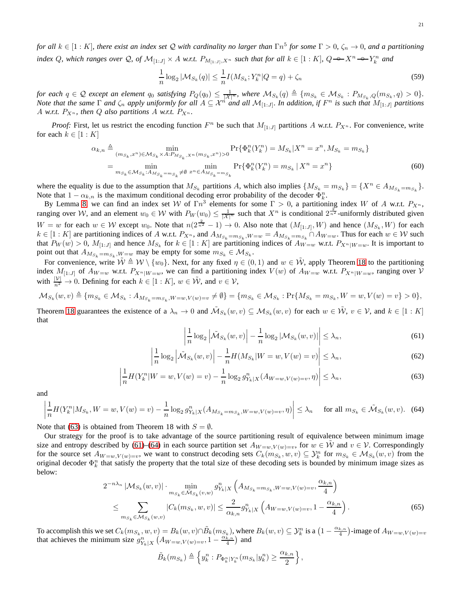*for all* k ∈ [1 : K]*, there exist an index set* Q *with cardinality no larger than* Γn 5 *for some* Γ > 0*,* ζ<sup>n</sup> → 0*, and a partitioning* index Q, which ranges over Q, of  $\mathcal{M}_{[1:J]} \times A$  w.r.t.  $P_{M_{[1:J]},X^n}$  such that for all  $k \in [1:K]$ ,  $Q \rightarrow X^n \rightarrow Y_k^n$  and

<span id="page-20-5"></span><span id="page-20-4"></span>
$$
\frac{1}{n}\log_2|M_{S_k}(q)| \le \frac{1}{n}I(M_{S_k}; Y_k^n|Q = q) + \zeta_n
$$
\n(59)

*for each*  $q \in \mathcal{Q}$  *except an element*  $q_0$  *satisfying*  $P_Q(q_0) \leq \frac{1}{|\mathcal{X}|^n}$ , where  $\mathcal{M}_{S_k}(q) \triangleq \{m_{S_k} \in \mathcal{M}_{S_k} : P_{M_{S_k},Q}(m_{S_k},q) > 0\}.$ *Note that the same*  $\Gamma$  *and*  $\zeta_n$  *apply uniformly for all*  $A \subseteq \mathcal{X}^{n'}$  *and all*  $\mathcal{M}_{[1:J]}$ *. In addition, if*  $F^n$  *is such that*  $M_{[1:J]}$  *partitions* A *w.r.t.*  $P_{X^n}$ *, then Q* also partitions A *w.r.t.*  $P_{X^n}$ *.* 

*Proof:* First, let us restrict the encoding function  $F^n$  be such that  $M_{[1:J]}$  partitions A w.r.t.  $P_{X^n}$ . For convenience, write for each  $k \in [1:K]$ 

$$
\alpha_{k,n} \triangleq \min_{(m_{S_k}, x^n) \in \mathcal{M}_{S_k} \times A: P_{M_{S_k}, X^n}(m_{S_k}, x^n) > 0} \Pr\{\Phi_k^n(Y_k^n) = M_{S_k} | X^n = x^n, M_{S_k} = m_{S_k}\} \\
= \min_{m_{S_k} \in \mathcal{M}_{S_k}: A_{M_{S_k} = m_{S_k}} \neq \emptyset} \min_{x^n \in A_{M_{S_k} = m_{S_k}}} \Pr\{\Phi_k^n(Y_k^n) = m_{S_k} | X^n = x^n\} \tag{60}
$$

where the equality is due to the assumption that  $M_{S_k}$  partitions A, which also implies  $\{M_{S_k} = m_{S_k}\} = \{X^n \in A_{M_{S_k} = m_{S_k}}\}$ . Note that  $1 - \alpha_{k,n}$  is the maximum conditional decoding error probability of the decoder  $\Phi_k^n$ .

By Lemma [8,](#page-7-2) we can find an index set W of  $\Gamma n^3$  elements for some  $\Gamma > 0$ , a partitioning index W of A w.r.t.  $P_{X^n}$ , ranging over W, and an element  $w_0 \in W$  with  $P_W(w_0) \leq \frac{1}{|X|^n}$  such that  $X^n$  is conditional  $2^{\frac{2}{n^2}}$ -uniformly distributed given  $W = w$  for each  $w \in W$  except  $w_0$ . Note that  $n(2^{\frac{2}{n^2}} - 1) \to 0$ . Also note that  $(M_{[1:J]}, W)$  and hence  $(M_{S_k}, W)$  for each  $k \in [1:K]$  are partitioning indices of A w.r.t.  $P_{X^n}$ , and  $A_{M_{S_k} = m_{S_k}, W=w} = A_{M_{S_k} = m_{S_k}} \cap A_{W=w}$ . Thus for each  $w \in W$  such that  $P_W(w) > 0$ ,  $M_{[1:J]}$  and hence  $M_{S_k}$  for  $k \in [1:K]$  are partitioning indices of  $A_{W=w}$  w.r.t.  $P_{X^n|W=w}$ . It is important to point out that  $A_{M_{S_k} = m_{S_k}, W = w}$  may be empty for some  $m_{S_k} \in M_{S_k}$ .

For convenience, write  $\tilde{W} \triangleq W \setminus \{w_0\}$ . Next, for any fixed  $\eta \in (0,1)$  and  $w \in \tilde{W}$ , apply Theorem [18](#page-14-0) to the partitioning index  $M_{[1:J]}$  of  $A_{W=w}$  w.r.t.  $P_{X^n|W=w}$ , we can find a partitioning index  $V(w)$  of  $A_{W=w}$  w.r.t.  $P_{X^n|W=w}$ , ranging over  $V$ with  $\frac{|\mathcal{V}|}{n^2} \to 0$ . Defining for each  $k \in [1:K]$ ,  $w \in \tilde{\mathcal{W}}$ , and  $v \in \mathcal{V}$ ,

$$
\mathcal{M}_{S_k}(w,v) \triangleq \{m_{S_k} \in \mathcal{M}_{S_k} : A_{M_{S_k}=m_{S_k}, W=w, V(w)=v} \neq \emptyset\} = \{m_{S_k} \in \mathcal{M}_{S_k} : \Pr\{M_{S_k}=m_{S_k}, W=w, V(w)=v\} > 0\},
$$

Theorem [18](#page-14-0) guarantees the existence of a  $\lambda_n \to 0$  and  $\tilde{M}_{S_k}(w, v) \subseteq M_{S_k}(w, v)$  for each  $w \in \tilde{W}$ ,  $v \in V$ , and  $k \in [1:K]$ that

<span id="page-20-1"></span><span id="page-20-0"></span>
$$
\left|\frac{1}{n}\log_2\left|\tilde{\mathcal{M}}_{S_k}(w,v)\right| - \frac{1}{n}\log_2|\mathcal{M}_{S_k}(w,v)|\right| \leq \lambda_n,\tag{61}
$$

$$
\left|\frac{1}{n}\log_2\left|\tilde{\mathcal{M}}_{S_k}(w,v)\right| - \frac{1}{n}H(M_{S_k}|W=w,V(w)=v)\right| \leq \lambda_n,\tag{62}
$$

$$
\left| \frac{1}{n} H(Y_k^n | W = w, V(w) = v) - \frac{1}{n} \log_2 g_{Y_k|X}^n(A_{W=w, V(w)=v}, \eta) \right| \le \lambda_n,
$$
\n(63)

and

<span id="page-20-2"></span>
$$
\left| \frac{1}{n} H(Y_k^n | M_{S_k}, W = w, V(w) = v) - \frac{1}{n} \log_2 g_{Y_k|X}^n(A_{M_{S_k} = m_{S_k}, W = w, V(w) = v}, \eta) \right| \le \lambda_n \quad \text{for all } m_{S_k} \in \tilde{\mathcal{M}}_{S_k}(w, v). \tag{64}
$$

Note that [\(63\)](#page-20-0) is obtained from Theorem 18 with  $S = \emptyset$ .

Our strategy for the proof is to take advantage of the source partitioning result of equivalence between minimum image size and entropy described by [\(61\)](#page-20-1)–[\(64\)](#page-20-2) in each source partition set  $A_{W=w,V(w)=v}$ , for  $w \in \mathcal{W}$  and  $v \in V$ . Correspondingly for the source set  $A_{W=w, V(w)=v}$ , we want to construct decoding sets  $C_k(m_{S_k}, w, v) \subseteq \mathcal{Y}_k^n$  for  $m_{S_k} \in \mathcal{M}_{S_k}(w, v)$  from the original decoder  $\Phi_k^n$  that satisfy the property that the total size of these decoding sets is bounded by minimum image sizes as below:

$$
2^{-n\lambda_n} |\mathcal{M}_{S_k}(w, v)| \cdot \min_{m_{S_k} \in \tilde{\mathcal{M}}_{S_k}(v, w)} g_{Y_k|X}^n \left( A_{M_{S_k} = m_{S_k}, W=w, V(w)=v}, \frac{\alpha_{k,n}}{4} \right)
$$
  

$$
\leq \sum_{m_{S_k} \in \mathcal{M}_{S_k}(w, v)} |C_k(m_{S_k}, w, v)| \leq \frac{2}{\alpha_{k,n}} g_{Y_k|X}^n \left( A_{W=w, V(w)=v}, 1 - \frac{\alpha_{k,n}}{4} \right).
$$
(65)

To accomplish this we set  $C_k(m_{S_k}, w, v) = B_k(w, v) \cap \tilde{B}_k(m_{S_k}),$  where  $B_k(w, v) \subseteq \mathcal{Y}_k^n$  is a  $\left(1 - \frac{\alpha_{k,n}}{4}\right)$  $\binom{k,n}{4}$ -image of  $A_{W=w,V(w)=v}$ that achieves the minimum size  $g_{Y_k|X}^n (A_{W=w, V(w)=v}, 1 - \frac{\alpha_{k,n}^n}{4})$  $\frac{\binom{k}{4}}{4}$  and

<span id="page-20-3"></span>
$$
\tilde{B}_k(m_{S_k}) \triangleq \left\{ y_k^n : P_{\Phi_k^n | Y_k^n}(m_{S_k} | y_k^n) \geq \frac{\alpha_{k,n}}{2} \right\},\,
$$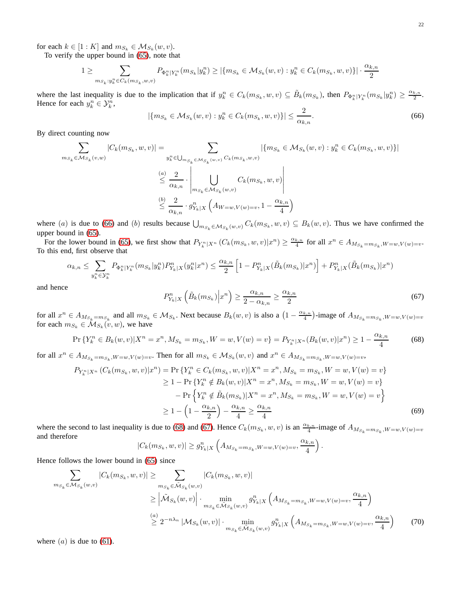for each  $k \in [1:K]$  and  $m_{S_k} \in \mathcal{M}_{S_k}(w, v)$ .

To verify the upper bound in [\(65\)](#page-20-3), note that

$$
1 \geq \sum_{m_{S_k}: y_k^n \in C_k(m_{S_k}, w, v)} P_{\Phi_k^n|Y_k^n}(m_{S_k}|y_k^n) \geq |\{m_{S_k} \in \mathcal{M}_{S_k}(w, v): y_k^n \in C_k(m_{S_k}, w, v)\}| \cdot \frac{\alpha_{k,n}}{2}
$$

where the last inequality is due to the implication that if  $y_k^n \in C_k(m_{S_k}, w, v) \subseteq \tilde{B}_k(m_{S_k})$ , then  $P_{\Phi_k^n|Y_k^n}(m_{S_k}|y_k^n) \ge \frac{\alpha_{k,n}}{2}$  $\frac{k,n}{2}$ . Hence for each  $y_k^n \in \mathcal{Y}_k^n$ ,

<span id="page-21-0"></span>
$$
|\{m_{S_k} \in \mathcal{M}_{S_k}(w, v) : y_k^n \in C_k(m_{S_k}, w, v)\}| \le \frac{2}{\alpha_{k, n}}.
$$
\n(66)

By direct counting now

$$
\sum_{m_{S_k} \in \mathcal{M}_{S_k}(v,w)} |C_k(m_{S_k}, w, v)| = \sum_{\substack{y_k^n \in \bigcup_{m_{S_k} \in \mathcal{M}_{S_k}(w,v)}} C_k(m_{S_k}, w, v)} |\{m_{S_k} \in \mathcal{M}_{S_k}(w, v) : y_k^n \in C_k(m_{S_k}, w, v)\}|
$$
  

$$
\leq \frac{a}{\alpha_{k,n}} \cdot \left| \bigcup_{m_{S_k} \in \mathcal{M}_{S_k}(w, v)} C_k(m_{S_k}, w, v) \right|
$$
  

$$
\leq \frac{b}{\alpha_{k,n}} \cdot g_{Y_k|X}^n \left( A_{W=w, V(w)=v}, 1 - \frac{\alpha_{k,n}}{4} \right)
$$

where (a) is due to [\(66\)](#page-21-0) and (b) results because  $\bigcup_{m_{S_k} \in \mathcal{M}_{S_k}(w,v)} C_k(m_{S_k},w,v) \subseteq B_k(w,v)$ . Thus we have confirmed the upper bound in [\(65\)](#page-20-3).

For the lower bound in [\(65\)](#page-20-3), we first show that  $P_{Y_k^n|X^n}$   $(C_k(m_{S_k}, w, v)|x^n) \ge \frac{\alpha_{k,n}}{4}$  $\frac{k,n}{4}$  for all  $x^n \in A_{M_{S_k} = m_{S_k}, W=w, V(w)=v}$ . To this end, first observe that

$$
\alpha_{k,n} \leq \sum_{y_k^n \in \mathcal{Y}_k^n} P_{\Phi_k^n | Y_k^n} (m_{S_k} | y_k^n) P_{Y_k | X}^n(y_k^n | x^n) \leq \frac{\alpha_{k,n}}{2} \left[ 1 - P_{Y_k | X}^n(\tilde{B}_k(m_{S_k}) | x^n) \right] + P_{Y_k | X}^n(\tilde{B}_k(m_{S_k}) | x^n)
$$

and hence

<span id="page-21-2"></span>
$$
P_{Y_k|X}^n\left(\tilde{B}_k(m_{S_k})\Big| x^n\right) \ge \frac{\alpha_{k,n}}{2 - \alpha_{k,n}} \ge \frac{\alpha_{k,n}}{2} \tag{67}
$$

.

for all  $x^n \in A_{M_{S_k}} = m_{S_k}$  and all  $m_{S_k} \in M_{S_k}$ . Next because  $B_k(w, v)$  is also a  $\left(1 - \frac{\alpha_{k,n}}{4}\right)$ for all  $x^n \in A_{M_{S_k} = m_{S_k}}$  and all  $m_{S_k} \in M_{S_k}$ . Next because  $B_k(w, v)$  is also a  $\left(1 - \frac{\alpha_{k,n}}{4}\right)$ -image of  $A_{M_{S_k} = m_{S_k}, W = w, V(w) = v}$  for each  $m_{S_k} \in M_{S_k}(v, w)$ , we have

<span id="page-21-1"></span>
$$
\Pr\left\{Y_k^n \in B_k(w,v)|X^n = x^n, M_{S_k} = m_{S_k}, W = w, V(w) = v\right\} = P_{Y_k^n|X^n}(B_k(w,v)|x^n) \ge 1 - \frac{\alpha_{k,n}}{4} \tag{68}
$$

for all  $x^n \in A_{M_{S_k} = m_{S_k}, W=w, V(w)=v}$ . Then for all  $m_{S_k} \in M_{S_k}(w, v)$  and  $x^n \in A_{M_{S_k} = m_{S_k}, W=w, V(w)=v}$ ,

$$
P_{Y_k^n|X^n} (C_k(m_{S_k}, w, v)|x^n) = \Pr \{ Y_k^n \in C_k(m_{S_k}, w, v) | X^n = x^n, M_{S_k} = m_{S_k}, W = w, V(w) = v \}
$$
  
\n
$$
\geq 1 - \Pr \{ Y_k^n \notin B_k(w, v) | X^n = x^n, M_{S_k} = m_{S_k}, W = w, V(w) = v \}
$$
  
\n
$$
- \Pr \{ Y_k^n \notin \tilde{B}_k(m_{S_k}) | X^n = x^n, M_{S_k} = m_{S_k}, W = w, V(w) = v \}
$$
  
\n
$$
\geq 1 - \left( 1 - \frac{\alpha_{k,n}}{2} \right) - \frac{\alpha_{k,n}}{4} \geq \frac{\alpha_{k,n}}{4}
$$
 (69)

where the second to last inequality is due to [\(68\)](#page-21-1) and [\(67\)](#page-21-2). Hence  $C_k(m_{S_k}, w, v)$  is an  $\frac{\alpha_{k,n}}{4}$ -image of  $A_{M_{S_k} = m_{S_k}, W = w, V(w) = v}$ and therefore

$$
|C_k(m_{S_k}, w, v)| \geq g_{Y_k \mid X}^n\left(A_{M_{S_k}=m_{S_k}, W=w, V(w)=v}, \frac{\alpha_{k,n}}{4}\right)
$$

Hence follows the lower bound in [\(65\)](#page-20-3) since

$$
\sum_{m_{S_k} \in \mathcal{M}_{S_k}(w,v)} |C_k(m_{S_k}, w, v)| \ge \sum_{m_{S_k} \in \tilde{\mathcal{M}}_{S_k}(w,v)} |C_k(m_{S_k}, w, v)|
$$
\n
$$
\ge \left| \tilde{\mathcal{M}}_{S_k}(w, v) \right| \cdot \min_{m_{S_k} \in \tilde{\mathcal{M}}_{S_k}(w,v)} g_{Y_k|X}^n \left( A_{M_{S_k} = m_{S_k}, W = w, V(w) = v}, \frac{\alpha_{k,n}}{4} \right)
$$
\n
$$
\stackrel{(a)}{\ge} 2^{-n\lambda_n} |\mathcal{M}_{S_k}(w, v)| \cdot \min_{m_{S_k} \in \tilde{\mathcal{M}}_{S_k}(w, v)} g_{Y_k|X}^n \left( A_{M_{S_k} = m_{S_k}, W = w, V(w) = v}, \frac{\alpha_{k,n}}{4} \right) \tag{70}
$$

where  $(a)$  is due to  $(61)$ .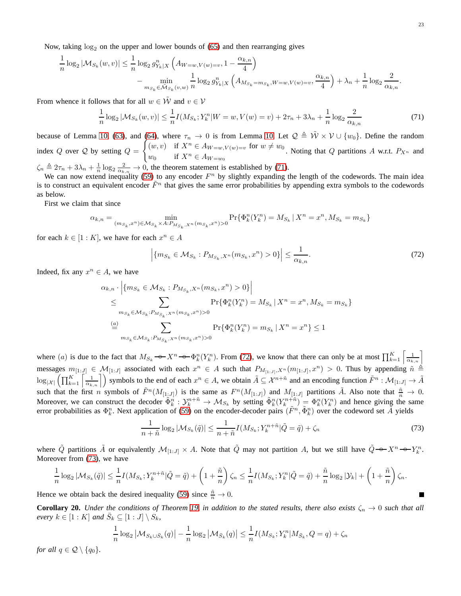Now, taking  $log_2$  on the upper and lower bounds of [\(65\)](#page-20-3) and then rearranging gives

$$
\frac{1}{n}\log_2|\mathcal{M}_{S_k}(w,v)| \leq \frac{1}{n}\log_2 g_{Y_k|X}^n\left(A_{W=w,V(w)=v}, 1-\frac{\alpha_{k,n}}{4}\right)
$$
\n
$$
-\min_{m_{S_k}\in\mathcal{M}_{S_k}(v,w)} \frac{1}{n}\log_2 g_{Y_k|X}^n\left(A_{M_{S_k}=m_{S_k},W=w,V(w)=v}, \frac{\alpha_{k,n}}{4}\right) + \lambda_n + \frac{1}{n}\log_2 \frac{2}{\alpha_{k,n}}.
$$

From whence it follows that for all  $w \in \tilde{\mathcal{W}}$  and  $v \in \mathcal{V}$ 

<span id="page-22-0"></span>
$$
\frac{1}{n}\log_2|\mathcal{M}_{S_k}(w,v)| \le \frac{1}{n}I(M_{S_k}; Y_k^n|W=w, V(w)=v) + 2\tau_n + 3\lambda_n + \frac{1}{n}\log_2\frac{2}{\alpha_{k,n}}\tag{71}
$$

because of Lemma [10,](#page-9-0) [\(63\)](#page-20-0), and [\(64\)](#page-20-2), where  $\tau_n \to 0$  is from Lemma [10.](#page-9-0) Let  $\mathcal{Q} \triangleq \tilde{W} \times \mathcal{V} \cup \{w_0\}$ . Define the random index  $Q$  over  $Q$  by setting  $Q =$  $\int (w, v)$  if  $X^n \in A_{W=w, V(w)=v}$  for  $w \neq w_0$  $w_0$  if  $X^n \in A_{W=w_0}$ ,  $w(v) = v$  for  $w \neq w_0$ . Noting that Q partitions A w.r.t.  $P_{X^n}$  and  $w_0$ 

 $\zeta_n \triangleq 2\tau_n + 3\lambda_n + \frac{1}{n}\log_2\frac{2}{\alpha_{k,n}} \to 0$ , the theorem statement is established by [\(71\)](#page-22-0). We can now extend inequality [\(59\)](#page-20-4) to any encoder  $F<sup>n</sup>$  by slightly expanding the length of the codewords. The main idea

is to construct an equivalent encoder  $\tilde{F}^n$  that gives the same error probabilities by appending extra symbols to the codewords as below.

First we claim that since

$$
\alpha_{k,n} = \min_{(m_{S_k}, x^n) \in \mathcal{M}_{S_k} \times A: P_{M_{S_k}, X^n}(m_{S_k}, x^n) > 0} \Pr{\{\Phi_k^n(Y_k^n) = M_{S_k} \mid X^n = x^n, M_{S_k} = m_{S_k}\}}
$$

for each  $k \in [1:K]$ , we have for each  $x^n \in A$ 

<span id="page-22-1"></span>
$$
\left| \{ m_{S_k} \in \mathcal{M}_{S_k} : P_{M_{S_k}, X^n}(m_{S_k}, x^n) > 0 \} \right| \le \frac{1}{\alpha_{k,n}}.
$$
\n(72)

Indeed, fix any  $x^n \in A$ , we have

$$
\alpha_{k,n} \cdot \left| \{ m_{S_k} \in \mathcal{M}_{S_k} : P_{M_{S_k}, X^n}(m_{S_k}, x^n) > 0 \} \right|
$$
  
\n
$$
\leq \sum_{m_{S_k} \in \mathcal{M}_{S_k} : P_{M_{S_k}, X^n}(m_{S_k}, x^n) > 0} \Pr \{ \Phi_k^n(Y_k^n) = M_{S_k} \mid X^n = x^n, M_{S_k} = m_{S_k} \}
$$
  
\n
$$
\stackrel{(a)}{=} \sum_{m_{S_k} \in \mathcal{M}_{S_k} : P_{M_{S_k}, X^n}(m_{S_k}, x^n) > 0} \Pr \{ \Phi_k^n(Y_k^n) = m_{S_k} \mid X^n = x^n \} \leq 1
$$

where (a) is due to the fact that  $M_{S_k} \rightarrow X^n \rightarrow \Phi_k^n(Y_k^n)$ . From [\(72\)](#page-22-1), we know that there can only be at most  $\prod_{k=1}^K \left[\frac{1}{\alpha_{k,n}}\right]$ messages  $m_{[1:J]} \in \mathcal{M}_{[1:J]}$  associated with each  $x^n \in A$  such that  $P_{M_{[1:J]},X^n}(m_{[1:J]},x^n) > 0$ . Thus by appending  $\tilde{n} \triangleq$  $\log_{|\mathcal{X}|}\left(\prod_{k=1}^K\left\lceil\frac{1}{\alpha_{k,n}}\right\rceil\right)$  symbols to the end of each  $x^n \in A$ , we obtain  $\tilde{A} \subseteq \mathcal{X}^{n+\tilde{n}}$  and an encoding function  $\tilde{F}^n : \mathcal{M}_{[1:J]} \to \tilde{A}$ such that the first n symbols of  $\tilde{F}^n(M_{[1:J]})$  is the same as  $F^n(M_{[1:J]})$  and  $M_{[1:J]}$  partitions  $\tilde{A}$ . Also note that  $\frac{\tilde{n}}{n} \to 0$ . Moreover, we can construct the decoder  $\tilde{\Phi}_k^n : \mathcal{Y}_k^{n+\tilde{n}} \to \mathcal{M}_{S_k}$  by setting  $\tilde{\Phi}_k^n(Y_k^{n+\tilde{n}}) = \Phi_k^n(Y_k^n)$  and hence giving the same error probabilities as  $\Phi_k^n$ . Next application of [\(59\)](#page-20-4) on the encoder-decoder pairs  $(\tilde{F}^n, \tilde{\Phi}_k^n)$  over the codeword set  $\tilde{A}$  yields

<span id="page-22-2"></span>
$$
\frac{1}{n+\tilde{n}}\log_2|\mathcal{M}_{S_k}(\tilde{q})| \le \frac{1}{n+\tilde{n}}I(M_{S_k}; Y_k^{n+\tilde{n}}|\tilde{Q} = \tilde{q}) + \zeta_n
$$
\n(73)

where  $\tilde{Q}$  partitions  $\tilde{A}$  or equivalently  $\mathcal{M}_{[1:J]} \times A$ . Note that  $\tilde{Q}$  may not partition A, but we still have  $\tilde{Q} \rightarrow X^n \rightarrow Y_k^n$ . Moreover from [\(73\)](#page-22-2), we have

$$
\frac{1}{n}\log_2|\mathcal{M}_{S_k}(\tilde{q})| \leq \frac{1}{n}I(M_{S_k}; Y_k^{n+\tilde{n}}|\tilde{Q}=\tilde{q}) + \left(1+\frac{\tilde{n}}{n}\right)\zeta_n \leq \frac{1}{n}I(M_{S_k}; Y_k^n|\tilde{Q}=\tilde{q}) + \frac{\tilde{n}}{n}\log_2|\mathcal{Y}_k| + \left(1+\frac{\tilde{n}}{n}\right)\zeta_n.
$$

Hence we obtain back the desired inequality [\(59\)](#page-20-4) since  $\frac{\tilde{n}}{n} \to 0$ .

<span id="page-22-3"></span>**Corollary 20.** *Under the conditions of Theorem [19,](#page-19-0) in addition to the stated results, there also exists*  $\zeta_n \to 0$  *such that all every*  $k \in [1:K]$  *and*  $\overline{S}_k \subseteq [1:J] \setminus \overline{S}_k$ ,

$$
\frac{1}{n}\log_2 |M_{S_k \cup \bar{S}_k}(q)| - \frac{1}{n}\log_2 |M_{\bar{S}_k}(q)| \le \frac{1}{n}I(M_{S_k}; Y_k^n | M_{\bar{S}_k}, Q = q) + \zeta_n
$$

*for all*  $q \in \mathcal{Q} \setminus \{q_0\}.$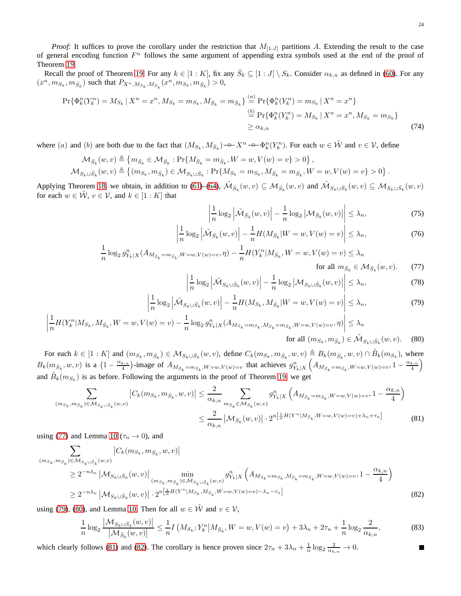*Proof:* It suffices to prove the corollary under the restriction that  $M_{[1, J]}$  partitions A. Extending the result to the case of general encoding function  $F<sup>n</sup>$  follows the same argument of appending extra symbols used at the end of the proof of Theorem [19.](#page-19-0)

Recall the proof of Theorem [19.](#page-19-0) For any  $k \in [1:K]$ , fix any  $\overline{S}_k \subseteq [1:J] \setminus S_k$ . Consider  $\alpha_{k,n}$  as defined in [\(60\)](#page-20-5). For any  $(x^n, m_{S_k}, m_{\bar{S}_k})$  such that  $P_{X^n, M_{S_k}, M_{\bar{S}_k}}(x^n, m_{S_k}, m_{\bar{S}_k}) > 0$ ,

$$
\Pr\{\Phi_k^n(Y_k^n) = M_{S_k} \mid X^n = x^n, M_{S_k} = m_{S_k}, M_{\bar{S}_k} = m_{\bar{S}_k}\} \stackrel{(a)}{=} \Pr\{\Phi_k^n(Y_k^n) = m_{S_k} \mid X^n = x^n\}
$$
\n
$$
\stackrel{(b)}{=} \Pr\{\Phi_k^n(Y_k^n) = M_{S_k} \mid X^n = x^n, M_{S_k} = m_{S_k}\}
$$
\n
$$
\ge \alpha_{k,n} \tag{74}
$$

where (a) and (b) are both due to the fact that  $(M_{S_k}, M_{\bar{S}_k}) \to X^n \to \Phi_k^n(Y_k^n)$ . For each  $w \in \tilde{W}$  and  $v \in V$ , define

$$
\begin{split} \mathcal{M}_{\bar{S}_k}(w,v) & \triangleq \left\{ m_{\bar{S}_k} \in \mathcal{M}_{\bar{S}_k} : \Pr\{ M_{\bar{S}_k} = m_{\bar{S}_k}, W=w, V(w)=v \} > 0 \right\}, \\ \mathcal{M}_{S_k \cup \bar{S}_k}(w,v) & \triangleq \left\{ (m_{S_k}, m_{\bar{S}_k}) \in \mathcal{M}_{S_k \cup \bar{S}_k} : \Pr\{ M_{S_k} = m_{S_k}, M_{\bar{S}_k} = m_{\bar{S}_k}, W=w, V(w)=v \} > 0 \right\}. \end{split}
$$

Applying Theorem [18,](#page-14-0) we obtain, in addition to [\(61\)](#page-20-1)–[\(64\)](#page-20-2),  $\tilde{M}_{\bar{S}_k}(w, v) \subseteq M_{\bar{S}_k}(w, v)$  and  $\tilde{M}_{S_k \cup \bar{S}_k}(w, v) \subseteq M_{S_k \cup \bar{S}_k}(w, v)$ for each  $w \in \tilde{\mathcal{W}}$ ,  $v \in \mathcal{V}$ , and  $k \in [1:K]$  that

$$
\left| \frac{1}{n} \log_2 \left| \tilde{\mathcal{M}}_{\bar{S}_k}(w, v) \right| - \frac{1}{n} \log_2 \left| \mathcal{M}_{\bar{S}_k}(w, v) \right| \right| \leq \lambda_n,
$$
\n(75)

$$
\left|\frac{1}{n}\log_2\left|\tilde{\mathcal{M}}_{\bar{S}_k}(w,v)\right| - \frac{1}{n}H(M_{\bar{S}_k}|W=w,V(w)=v)\right| \leq \lambda_n,\tag{76}
$$

$$
\frac{1}{n}\log_2 g_{Y_k|X}^n(A_{M_{\bar{S}_k}=m_{\bar{S}_k},W=w,V(w)=v},\eta) - \frac{1}{n}H(Y_k^n|M_{\bar{S}_k},W=w,V(w)=v) \le \lambda_n
$$

<span id="page-23-6"></span><span id="page-23-5"></span><span id="page-23-2"></span><span id="page-23-1"></span><span id="page-23-0"></span>for all  $m_{\bar{S}_k} \in \mathcal{M}_{\bar{S}_k}(w, v)$ . (77)

$$
\left| \frac{1}{n} \log_2 \left| \tilde{\mathcal{M}}_{S_k \cup \bar{S}_k}(w, v) \right| - \frac{1}{n} \log_2 \left| \mathcal{M}_{S_k \cup \bar{S}_k}(w, v) \right| \right| \leq \lambda_n,
$$
\n(78)

$$
\left| \frac{1}{n} \log_2 \left| \tilde{\mathcal{M}}_{S_k \cup \bar{S}_k}(w, v) \right| - \frac{1}{n} H(M_{S_k}, M_{\bar{S}_k} | W = w, V(w) = v) \right| \le \lambda_n,
$$
\n(79)

$$
\left| \frac{1}{n} H(Y_k^n | M_{S_k}, M_{\bar{S}_k}, W = w, V(w) = v) - \frac{1}{n} \log_2 g_{Y_k|X}^n (A_{M_{S_k} = m_{S_k}, M_{\bar{S}_k} = m_{\bar{S}_k}, W = w, V(w) = v, \eta)} \right| \le \lambda_n
$$

for all 
$$
(m_{S_k}, m_{\bar{S}_k}) \in \tilde{\mathcal{M}}_{S_k \cup \bar{S}_k}(w, v)
$$
. (80)

For each  $k \in [1:K]$  and  $(m_{S_k}, m_{\bar{S}_k}) \in M_{S_k \cup \bar{S}_k}(w, v)$ , define  $C_k(m_{S_k}, m_{\bar{S}_k}, w, v) \triangleq B_k(m_{\bar{S}_k}, w, v) \cap \tilde{B}_k(m_{S_k})$ , where  $B_k(m_{\bar{S}_k}, w, v)$  is a  $\left(1 - \frac{\alpha_{k,n}}{4}\right)$  $\frac{(k,n)}{4}$ -image of  $A_{M_{\bar{S}_k} = m_{\bar{S}_k}, W=w, V(w)=v}$  that achieves  $g_{Y_k|X}^n$  $A_{M_{\bar{S}_k}=m_{\bar{S}_k}, W=w, V(w)=v}, 1-\frac{\alpha_{k,n}}{4}$  $\binom{k,n}{4}$ and  $\tilde{B}_k(m_{S_k})$  is as before. Following the arguments in the proof of Theorem [19,](#page-19-0) we get

$$
\sum_{(m_{S_k}, m_{\bar{S}_k}) \in \mathcal{M}_{S_k \cup S_k}(w, v)} |C_k(m_{S_k}, m_{\bar{S}_k}, w, v)| \leq \frac{2}{\alpha_{k, n}} \sum_{m_{S_k} \in \mathcal{M}_{\bar{S}_k}(w, v)} g_{Y_k|X}^n \left( A_{M_{\bar{S}_k} = m_{\bar{S}_k}, W = w, V(w) = v}, 1 - \frac{\alpha_{k, n}}{4} \right)
$$
  

$$
\leq \frac{2}{\alpha_{k, n}} \left| \mathcal{M}_{\bar{S}_k}(w, v) \right| \cdot 2^{n \left[ \frac{1}{n} H(Y^n | M_{\bar{S}_k}, W = w, V(w) = v) + \lambda_n + \tau_n \right]}
$$
(81)

using [\(77\)](#page-23-0) and Lemma [10](#page-9-0) ( $\tau_n \to 0$ ), and

$$
\sum_{\substack{(m_{S_k}, m_{\bar{S}_k}) \in \mathcal{M}_{S_k \cup S_k}(w, v) \\ \geq 2^{-n\lambda_n} \, | \, \mathcal{M}_{S_k \cup \bar{S}_k}(w, v) |}} |C_k(m_{S_k}, m_{\bar{S}_k}, w, v)| \, \min_{\substack{(m_{S_k}, m_{\bar{S}_k}) \in \tilde{\mathcal{M}}_{S_k \cup S_k}(w, v) \\ \geq 2^{-n\lambda_n} \, | \, \mathcal{M}_{S_k \cup \bar{S}_k}(w, v) |}} \cdot 2^{n \left[ \frac{1}{n} H(Y^n | M_{S_k}, M_{\bar{S}_k}, w = w, V(w) = v) - \lambda_n - \tau_n \right]} \tag{82}
$$

using [\(79\)](#page-23-1), [\(80\)](#page-23-2), and Lemma [10.](#page-9-0) Then for all  $w \in \tilde{\mathcal{W}}$  and  $v \in \mathcal{V}$ ,

$$
\frac{1}{n}\log_2\frac{|\mathcal{M}_{S_k\cup \bar{S}_k}(w,v)|}{|\mathcal{M}_{\bar{S}_k}(w,v)|} \leq \frac{1}{n}I\left(M_{S_k}; Y_k^n | M_{\bar{S}_k}, W=w, V(w)=v\right) + 3\lambda_n + 2\tau_n + \frac{1}{n}\log_2\frac{2}{\alpha_{k,n}},\tag{83}
$$

which clearly follows [\(81\)](#page-23-3) and [\(82\)](#page-23-4). The corollary is hence proven since  $2\tau_n + 3\lambda_n + \frac{1}{n}\log_2\frac{2}{\alpha_{k,n}} \to 0$ .

<span id="page-23-4"></span><span id="page-23-3"></span> $\blacksquare$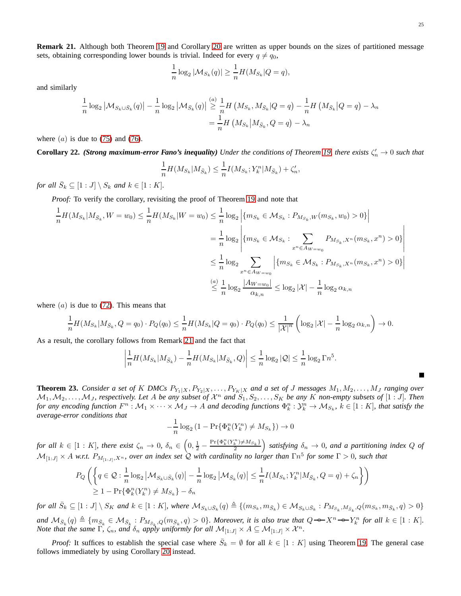<span id="page-24-2"></span>**Remark 21.** Although both Theorem [19](#page-19-0) and Corollary [20](#page-22-3) are written as upper bounds on the sizes of partitioned message sets, obtaining corresponding lower bounds is trivial. Indeed for every  $q \neq q_0$ ,

$$
\frac{1}{n}\log_2|\mathcal{M}_{S_k}(q)|\geq \frac{1}{n}H(M_{S_k}|Q=q),
$$

and similarly

$$
\frac{1}{n}\log_2|M_{S_k\cup \bar{S}_k}(q)| - \frac{1}{n}\log_2|M_{\bar{S}_k}(q)| \stackrel{(a)}{\geq} \frac{1}{n}H(M_{S_k}, M_{\bar{S}_k}|Q = q) - \frac{1}{n}H(M_{\bar{S}_k}|Q = q) - \lambda_n
$$

$$
= \frac{1}{n}H(M_{S_k}|M_{\bar{S}_k}, Q = q) - \lambda_n
$$

where  $(a)$  is due to [\(75\)](#page-23-5) and [\(76\)](#page-23-6).

<span id="page-24-1"></span>**Corollary 22.** *(Strong maximum-error Fano's inequality) Under the conditions of Theorem [19,](#page-19-0) there exists*  $\zeta'_n \to 0$  *such that* 

$$
\frac{1}{n}H(M_{S_k}|M_{\bar{S}_k}) \leq \frac{1}{n}I(M_{S_k}; Y_k^n|M_{\bar{S}_k}) + \zeta'_n,
$$

for all  $\bar{S}_k \subseteq [1:J] \setminus S_k$  and  $k \in [1:K]$ .

*Proof:* To verify the corollary, revisiting the proof of Theorem [19](#page-19-0) and note that

$$
\frac{1}{n}H(M_{S_k}|M_{\bar{S}_k}, W = w_0) \le \frac{1}{n}H(M_{S_k}|W = w_0) \le \frac{1}{n}\log_2\left|\{m_{S_k} \in \mathcal{M}_{S_k} : P_{M_{S_k}, W}(m_{S_k}, w_0) > 0\}\right|
$$
\n
$$
= \frac{1}{n}\log_2\left|\{m_{S_k} \in \mathcal{M}_{S_k} : \sum_{x^n \in A_{W = w_0}} P_{M_{S_k}, X^n}(m_{S_k}, x^n) > 0\}\right|
$$
\n
$$
\le \frac{1}{n}\log_2\sum_{x^n \in A_{W = w_0}}\left|\{m_{S_k} \in \mathcal{M}_{S_k} : P_{M_{S_k}, X^n}(m_{S_k}, x^n) > 0\}\right|
$$
\n
$$
\le \frac{1}{n}\log_2\frac{|A_{W = w_0}|}{\alpha_{k,n}} \le \log_2|\mathcal{X}| - \frac{1}{n}\log_2\alpha_{k,n}
$$

where  $(a)$  is due to [\(72\)](#page-22-1). This means that

$$
\frac{1}{n}H(M_{S_k}|M_{\bar{S}_k},Q=q_0)\cdot P_Q(q_0)\leq \frac{1}{n}H(M_{S_k}|Q=q_0)\cdot P_Q(q_0)\leq \frac{1}{|\mathcal{X}|^n}\left(\log_2|\mathcal{X}|-\frac{1}{n}\log_2\alpha_{k,n}\right)\to 0.
$$

As a result, the corollary follows from Remark [21](#page-24-2) and the fact that

$$
\left| \frac{1}{n} H(M_{S_k}|M_{\bar{S}_k}) - \frac{1}{n} H(M_{S_k}|M_{\bar{S}_k},Q) \right| \leq \frac{1}{n} \log_2 |\mathcal{Q}| \leq \frac{1}{n} \log_2 \Gamma n^5.
$$

<span id="page-24-0"></span>**Theorem 23.** *Consider a set of* K *DMCs*  $P_{Y_1|X}, P_{Y_2|X}, \ldots, P_{Y_K|X}$  *and a set of* J *messages*  $M_1, M_2, \ldots, M_J$  *ranging over*  $M_1, M_2, \ldots, M_J$ , respectively. Let A be any subset of  $\mathcal{X}^n$  and  $S_1, S_2, \ldots, S_K$  be any K non-empty subsets of  $[1:J]$ . Then *for any encoding function*  $F^n : \mathcal{M}_1 \times \cdots \times \mathcal{M}_J \to A$  and decoding functions  $\Phi^n_k : \mathcal{Y}^n_k \to \mathcal{M}_{S_k}$ ,  $k \in [1:K]$ , that satisfy the *average-error conditions that*

$$
-\frac{1}{n}\log_2\left(1 - \Pr\{\Phi_k^n(Y_k^n) \neq M_{S_k}\}\right) \to 0
$$

 $f$ or all  $k \in [1:K]$ , there exist  $\zeta_n \to 0$ ,  $\delta_n \in \left(0, \frac{1}{2} - \frac{\Pr{\{\Phi_k^n(Y_k^n\} \neq M_{S_k}\}}{2}\right)$  satisfying  $\delta_n \to 0$ , and a partitioning index Q of  $M_{[1:J]} \times A$  w.r.t.  $P_{M_{[1:J]},X^n}$ , over an index set  $Q$  with cardinality no larger than  $\Gamma n^5$  for some  $\Gamma > 0$ , such that

$$
P_Q\left(\left\{q\in\mathcal{Q}: \frac{1}{n}\log_2|\mathcal{M}_{S_k\cup\bar{S}_k}(q)|-\frac{1}{n}\log_2|\mathcal{M}_{\bar{S}_k}(q)|\leq \frac{1}{n}I(M_{S_k}; Y_k^n|M_{\bar{S}_k}, Q=q)+\zeta_n\right\}\right)
$$
  
\n
$$
\geq 1-\Pr\{\Phi_k^n(Y_k^n)\neq M_{S_k}\}-\delta_n
$$

 $for \ all \ \bar{S}_k \subseteq [1:J] \setminus S_K \ and \ k \in [1:K]$ , where  $\mathcal{M}_{S_k \cup \bar{S}_k}(q) \triangleq \{(m_{S_k}, m_{\bar{S}_k}) \in \mathcal{M}_{S_k \cup \bar{S}_k} : P_{M_{S_k}, M_{\bar{S}_k}, Q}(m_{S_k}, m_{\bar{S}_k}, q) > 0\}$  $\text{and } \mathcal{M}_{\bar{S}_k}(q) \triangleq \{m_{\bar{S}_k} \in \mathcal{M}_{\bar{S}_k} : P_{\mathcal{M}_{\bar{S}_k},Q}(m_{\bar{S}_k},q) > 0\}.$  Moreover, it is also true that  $Q \rightarrow X^n \rightarrow Y_k^n$  for all  $k \in [1:K].$ *Note that the same*  $\Gamma$ ,  $\zeta_n$ , and  $\delta_n$  *apply uniformly for all*  $\mathcal{M}_{[1:J]} \times A \subseteq \mathcal{M}_{[1:J]} \times \mathcal{X}^n$ .

*Proof:* It suffices to establish the special case where  $\overline{S}_k = \emptyset$  for all  $k \in [1 : K]$  using Theorem [19.](#page-19-0) The general case follows immediately by using Corollary [20](#page-22-3) instead.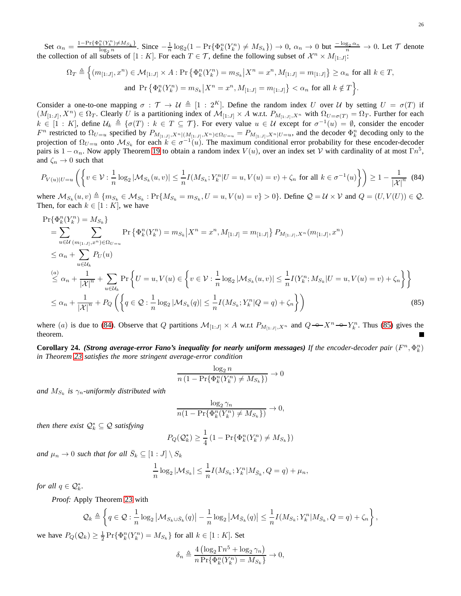Set  $\alpha_n = \frac{1-\Pr{\Phi_k^n(Y_k^n) \neq M_{S_k}}}{\log_2 n}$ . Since  $-\frac{1}{n}\log_2(1-\Pr{\Phi_k^n(Y_k^n) \neq M_{S_k}}) \to 0$ ,  $\alpha_n \to 0$  but  $-\frac{\log_2 \alpha_n}{n} \to 0$ . Let  $\mathcal T$  denote the collection of all subsets of  $[1:K]$ . For each  $T \in \mathcal{T}$ , define the following subset of  $\mathcal{X}^n \times M_{[1:J]}$ :

$$
\Omega_T \triangleq \Big\{ (m_{[1:J]}, x^n) \in \mathcal{M}_{[1:J]} \times A : \Pr \big\{ \Phi_k^n(Y_k^n) = m_{S_k} \big| X^n = x^n, M_{[1:J]} = m_{[1:J]} \big\} \ge \alpha_n \text{ for all } k \in T,
$$
  
and 
$$
\Pr \big\{ \Phi_k^n(Y_k^n) = m_{S_k} \big| X^n = x^n, M_{[1:J]} = m_{[1:J]} \big\} < \alpha_n \text{ for all } k \notin T \Big\}.
$$

Consider a one-to-one mapping  $\sigma : \mathcal{T} \to \mathcal{U} \triangleq [1 : 2^K]$ . Define the random index U over U by setting  $U = \sigma(T)$  if  $(M_{[1:J]}, X^n) \in \Omega_T$ . Clearly U is a partitioning index of  $\mathcal{M}_{[1:J]} \times A$  w.r.t.  $P_{M_{[1:J]}, X^n}$  with  $\Omega_{U=\sigma(T)} = \Omega_T$ . Further for each  $k \in [1:K]$ , define  $\mathcal{U}_k \triangleq \{\sigma(T) : k \in T \subseteq \mathcal{T}\}$ . For every value  $u \in \mathcal{U}$  except for  $\sigma^{-1}(u) = \emptyset$ , consider the encoder  $F^n$  restricted to  $\Omega_{U=u}$  specified by  $P_{M_{[1:J]},X^n| (M_{[1:J]},X^n) \in \Omega_{U=u}} = P_{M_{[1:J]},X^n|U=u}$ , and the decoder  $\Phi_k^n$  decoding only to the projection of  $\Omega_{U=u}$  onto  $\mathcal{M}_{S_k}$  for each  $k \in \sigma^{-1}(u)$ . The maximum conditional error probability for these encoder-decoder pairs is  $1 - \alpha_n$ . Now apply Theorem [19](#page-19-0) to obtain a random index  $V(u)$ , over an index set  $V$  with cardinality of at most  $\Gamma n^5$ , and  $\zeta_n \to 0$  such that

<span id="page-25-1"></span>
$$
P_{V(u)|U=u}\left(\left\{v \in \mathcal{V}: \frac{1}{n}\log_2|\mathcal{M}_{S_k}(u,v)| \le \frac{1}{n}I(M_{S_k}; Y_k^n|U=u, V(u)=v) + \zeta_n \text{ for all } k \in \sigma^{-1}(u)\right\}\right) \ge 1 - \frac{1}{|\mathcal{X}|^n} \tag{84}
$$

where  $\mathcal{M}_{S_k}(u, v) \triangleq \{m_{S_k} \in \mathcal{M}_{S_k} : \Pr\{M_{S_k} = m_{S_k}, U = u, V(u) = v\} > 0\}$ . Define  $\mathcal{Q} = \mathcal{U} \times \mathcal{V}$  and  $Q = (U, V(U)) \in \mathcal{Q}$ . Then, for each  $k \in [1:K]$ , we have

$$
\Pr{\Phi_{k}^{n}(Y_{k}^{n}) = M_{S_{k}}\}
$$
\n
$$
= \sum_{u \in \mathcal{U}} \sum_{(m_{[1\cdot J]}, x^{n}) \in \Omega_{U=u}} \Pr{\Phi_{k}^{n}(Y_{k}^{n}) = m_{S_{k}} | X^{n} = x^{n}, M_{[1\cdot J]} = m_{[1\cdot J]}\} P_{M_{[1\cdot J]}, X^{n}}(m_{[1\cdot J]}, x^{n})
$$
\n
$$
\leq \alpha_{n} + \sum_{u \in \mathcal{U}_{k}} P_{U}(u)
$$
\n
$$
\stackrel{(a)}{\leq} \alpha_{n} + \frac{1}{|\mathcal{X}|^{n}} + \sum_{u \in \mathcal{U}_{k}} \Pr\left\{U = u, V(u) \in \left\{v \in \mathcal{V} : \frac{1}{n} \log_{2} |\mathcal{M}_{S_{k}}(u, v)| \leq \frac{1}{n} I(Y_{k}^{n}; M_{S_{k}} | U = u, V(u) = v) + \zeta_{n}\right\}\right\}
$$
\n
$$
\leq \alpha_{n} + \frac{1}{|\mathcal{X}|^{n}} + P_{Q}\left(\left\{q \in \mathcal{Q} : \frac{1}{n} \log_{2} |\mathcal{M}_{S_{k}}(q)| \leq \frac{1}{n} I(M_{S_{k}}; Y_{k}^{n} | Q = q) + \zeta_{n}\right\}\right)
$$
\n(85)

where (a) is due to [\(84\)](#page-25-1). Observe that Q partitions  $\mathcal{M}_{[1:J]} \times A$  w.r.t  $P_{M_{[1:J]},X^n}$  and  $Q \rightarrow X^n \rightarrow Y_k^n$ . Thus [\(85\)](#page-25-2) gives the theorem. Е

<span id="page-25-0"></span>**Corollary 24.** *(Strong average-error Fano's inequality for nearly uniform messages) If the encoder-decoder pair*  $(F^n, \Phi_k^n)$ *in Theorem [23](#page-24-0) satisfies the more stringent average-error condition*

<span id="page-25-2"></span>
$$
\frac{\log_2 n}{n\left(1 - \Pr\{\Phi_k^n(Y_k^n) \neq M_{S_k}\}\right)} \to 0
$$

and  $M_{S_k}$  is  $\gamma_n$ -uniformly distributed with

$$
\frac{\log_2 \gamma_n}{n(1 - \Pr\{\Phi_k^n(Y_k^n) \neq M_{S_k}\})} \to 0,
$$

*then there exist*  $\mathcal{Q}_k^* \subseteq \mathcal{Q}$  *satisfying* 

$$
P_Q(\mathcal{Q}_k^*) \ge \frac{1}{4} \left( 1 - \Pr\{\Phi_k^n(Y_k^n) \neq M_{S_k}\}\right)
$$

and  $\mu_n \to 0$  such that for all  $\bar{S}_k \subseteq [1:J] \setminus S_k$ 

$$
\frac{1}{n}\log_2|M_{S_k}| \leq \frac{1}{n}I(M_{S_k};Y_k^n|M_{\bar{S}_k},Q=q)+\mu_n,
$$

*for all*  $q \in \mathcal{Q}_{k}^{*}$ .

*Proof:* Apply Theorem [23](#page-24-0) with

$$
\mathcal{Q}_k \triangleq \left\{ q \in \mathcal{Q} : \frac{1}{n} \log_2 \left| \mathcal{M}_{S_k \cup \bar{S}_k}(q) \right| - \frac{1}{n} \log_2 \left| \mathcal{M}_{\bar{S}_k}(q) \right| \leq \frac{1}{n} I(M_{S_k}; Y_k^n | M_{\bar{S}_k}, Q = q) + \zeta_n \right\},\right\}
$$

we have  $P_Q(\mathcal{Q}_k) \geq \frac{1}{2} \Pr{\Phi_k^n(Y_k^n) = M_{S_k}}$  for all  $k \in [1:K]$ . Set

$$
\delta_n \triangleq \frac{4\left(\log_2 \Gamma n^5 + \log_2 \gamma_n\right)}{n \Pr\{\Phi_k^n(Y_k^n) = M_{S_k}\}} \to 0,
$$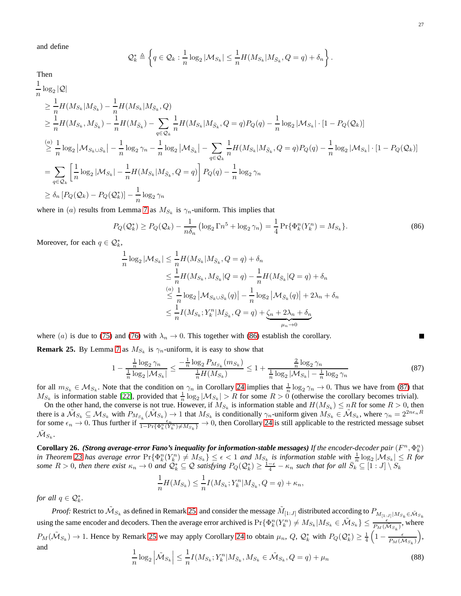and define

$$
\mathcal{Q}_{k}^{*} \triangleq \left\{ q \in \mathcal{Q}_{k} : \frac{1}{n} \log_{2} |\mathcal{M}_{S_{k}}| \leq \frac{1}{n} H(M_{S_{k}} | M_{\bar{S}_{k}}, Q = q) + \delta_{n} \right\}
$$

Then

$$
\frac{1}{n}\log_{2}|\mathcal{Q}|
$$
\n
$$
\geq \frac{1}{n}H(M_{S_{k}}|M_{\bar{S}_{k}}) - \frac{1}{n}H(M_{S_{k}}|M_{\bar{S}_{k}},Q)
$$
\n
$$
\geq \frac{1}{n}H(M_{S_{k}},M_{\bar{S}_{k}}) - \frac{1}{n}H(M_{\bar{S}_{k}}) - \sum_{q\in\mathcal{Q}_{k}}\frac{1}{n}H(M_{S_{k}}|M_{\bar{S}_{k}},Q=q)P_{Q}(q) - \frac{1}{n}\log_{2}|\mathcal{M}_{S_{k}}| \cdot [1 - P_{Q}(\mathcal{Q}_{k})]
$$
\n
$$
\stackrel{(a)}{\geq} \frac{1}{n}\log_{2}|\mathcal{M}_{S_{k}\cup\bar{S}_{k}}| - \frac{1}{n}\log_{2}\gamma_{n} - \frac{1}{n}\log_{2}|\mathcal{M}_{\bar{S}_{k}}| - \sum_{q\in\mathcal{Q}_{k}}\frac{1}{n}H(M_{S_{k}}|M_{\bar{S}_{k}},Q=q)P_{Q}(q) - \frac{1}{n}\log_{2}|\mathcal{M}_{S_{k}}| \cdot [1 - P_{Q}(\mathcal{Q}_{k})]
$$
\n
$$
= \sum_{q\in\mathcal{Q}_{k}}\left[\frac{1}{n}\log_{2}|\mathcal{M}_{S_{k}}| - \frac{1}{n}H(M_{S_{k}}|M_{\bar{S}_{k}},Q=q)\right]P_{Q}(q) - \frac{1}{n}\log_{2}\gamma_{n}
$$
\n
$$
\geq \delta_{n}[P_{Q}(\mathcal{Q}_{k}) - P_{Q}(\mathcal{Q}_{k}^{*})] - \frac{1}{n}\log_{2}\gamma_{n}
$$

where in (*a*) results from Lemma [7](#page-6-2) as  $M_{S_k}$  is  $\gamma_n$ -uniform. This implies that

<span id="page-26-1"></span>
$$
P_Q(\mathcal{Q}_k^*) \ge P_Q(\mathcal{Q}_k) - \frac{1}{n\delta_n} \left( \log_2 \Gamma n^5 + \log_2 \gamma_n \right) = \frac{1}{4} \Pr \{ \Phi_k^n(Y_k^n) = M_{S_k} \}.
$$
 (86)

Moreover, for each  $q \in \mathcal{Q}_k^*$ ,

$$
\frac{1}{n}\log_2|\mathcal{M}_{S_k}| \leq \frac{1}{n}H(M_{S_k}|M_{\bar{S}_k}, Q = q) + \delta_n
$$
  
\n
$$
\leq \frac{1}{n}H(M_{S_k}, M_{\bar{S}_k}|Q = q) - \frac{1}{n}H(M_{\bar{S}_k}|Q = q) + \delta_n
$$
  
\n
$$
\leq \frac{1}{n}\log_2|\mathcal{M}_{S_k \cup \bar{S}_k}(q)| - \frac{1}{n}\log_2|\mathcal{M}_{\bar{S}_k}(q)| + 2\lambda_n + \delta_n
$$
  
\n
$$
\leq \frac{1}{n}I(M_{S_k}; Y_k^n|M_{\bar{S}_k}, Q = q) + \underbrace{\zeta_n + 2\lambda_n + \delta_n}_{\mu_n \to 0}
$$

where (a) is due to [\(75\)](#page-23-5) and [\(76\)](#page-23-6) with  $\lambda_n \to 0$ . This together with [\(86\)](#page-26-1) establish the corollary.

<span id="page-26-3"></span>**Remark 25.** By Lemma [7](#page-6-2) as  $M_{S_k}$  is  $\gamma_n$ -uniform, it is easy to show that

<span id="page-26-2"></span>
$$
1 - \frac{\frac{1}{n}\log_2 \gamma_n}{\frac{1}{n}\log_2 |\mathcal{M}_{S_k}|} \le \frac{-\frac{1}{n}\log_2 P_{M_{S_k}}(m_{S_k})}{\frac{1}{n}H(M_{S_k})} \le 1 + \frac{\frac{2}{n}\log_2 \gamma_n}{\frac{1}{n}\log_2 |\mathcal{M}_{S_k}| - \frac{1}{n}\log_2 \gamma_n}
$$
(87)

for all  $m_{S_k} \in M_{S_k}$ . Note that the condition on  $\gamma_n$  in Corollary [24](#page-25-0) implies that  $\frac{1}{n} \log_2 \gamma_n \to 0$ . Thus we have from [\(87\)](#page-26-2) that  $M_{S_k}$  is information stable [\[22\]](#page-28-7), provided that  $\frac{1}{n} \log_2|M_{S_k}| > R$  for some  $R > 0$  (otherwise the corollary becomes trivial).

On the other hand, the converse is not true. However, if  $M_{S_k}$  is information stable and  $H(M_{S_k}) \leq nR$  for some  $R > 0$ , then there is a  $\tilde{M}_{S_k} \subseteq M_{S_k}$  with  $P_{M_{S_k}}(\tilde{M}_{S_k}) \to 1$  that  $M_{S_k}$  is conditionally  $\gamma_n$ -uniform given  $M_{S_k} \in \tilde{M}_{S_k}$ , where  $\gamma_n = 2^{2n\epsilon_n R}$ for some  $\epsilon_n \to 0$ . Thus further if  $\frac{\epsilon_n}{1-\Pr{\Phi_k^n(Y_k^n)\neq M_{S_k}}}\to 0$ , then Corollary [24](#page-25-0) is still applicable to the restricted message subset  $\tilde{\mathcal{M}}_{S_k}.$ 

<span id="page-26-0"></span>**Corollary 26.** (Strong average-error Fano's inequality for information-stable messages) If the encoder-decoder pair  $(F^n, \Phi_k^n)$ in Theorem [23](#page-24-0) has average error  $Pr\{\Phi_k^n(Y_k^n) \neq M_{S_k}\} \leq \epsilon < 1$  and  $M_{S_k}$  is information stable with  $\frac{1}{n} \log_2|M_{S_k}| \leq R$  for *some*  $R > 0$ , then there exist  $\kappa_n \to 0$  and  $\mathcal{Q}_k^* \subseteq \mathcal{Q}$  satisfying  $P_Q(\mathcal{Q}_k^*) \geq \frac{1-\epsilon}{4} - \kappa_n$  such that for all  $\bar{S}_k^{\,n} \subseteq [1:J] \setminus S_k$ 

$$
\frac{1}{n}H(M_{S_k}) \le \frac{1}{n}I(M_{S_k}; Y_k^n | M_{\bar{S}_k}, Q = q) + \kappa_n,
$$

*for all*  $q \in \mathcal{Q}_k^*$ .

*Proof:* Restrict to  $\tilde{M}_{S_k}$  as defined in Remark [25,](#page-26-3) and consider the message  $\tilde{M}_{[1:J]}$  distributed according to  $P_{M_{[1:J]}|M_{S_k} \in \tilde{M}_{S_k}}$ using the same encoder and decoders. Then the average error archived is  $Pr{\lbrace \Phi_k^n(Y_k^n) \neq M_{S_k} | M_{S_k} \in \tilde{\mathcal{M}}_{S_k} \rbrace} \leq \frac{\epsilon}{P_M(\tilde{\mathcal{M}}_{S_k})}$ , where  $P_M(\tilde{M}_{S_k}) \to 1$ . Hence by Remark [25](#page-26-3) we may apply Corollary [24](#page-25-0) to obtain  $\mu_n$ , Q,  $\mathcal{Q}_k^*$  with  $P_Q(\mathcal{Q}_k^*) \geq \frac{1}{4} \left(1 - \frac{\epsilon}{P_M(\tilde{M}_{S_k})}\right)$  , and  $1$ 

<span id="page-26-4"></span>
$$
\frac{1}{n}\log_2\left|\tilde{\mathcal{M}}_{S_k}\right| \leq \frac{1}{n}I(M_{S_k}; Y_k^n | M_{\bar{S}_k}, M_{S_k} \in \tilde{\mathcal{M}}_{S_k}, Q = q) + \mu_n
$$
\n(88)

г

.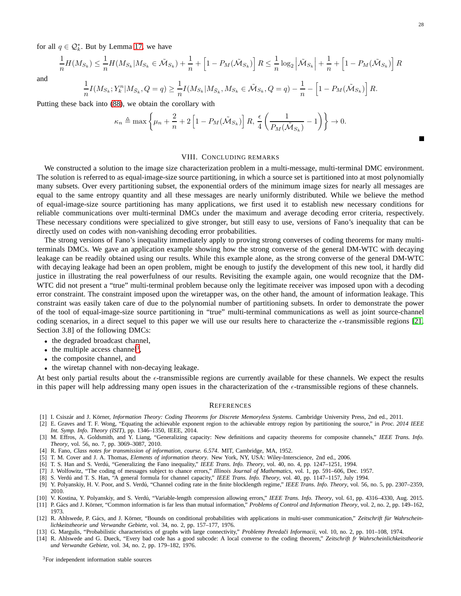for all  $q \in \mathcal{Q}_k^*$ . But by Lemma [17,](#page-13-3) we have

$$
\frac{1}{n}H(M_{S_k}) \leq \frac{1}{n}H(M_{S_k}|M_{S_k} \in \tilde{\mathcal{M}}_{S_k}) + \frac{1}{n} + \left[1 - P_M(\tilde{\mathcal{M}}_{S_k})\right]R \leq \frac{1}{n}\log_2\left|\tilde{\mathcal{M}}_{S_k}\right| + \frac{1}{n} + \left[1 - P_M(\tilde{\mathcal{M}}_{S_k})\right]R
$$

and

$$
\frac{1}{n}I(M_{S_k};Y_k^n|M_{\bar{S}_k},Q=q)\geq \frac{1}{n}I(M_{S_k}|M_{\bar{S}_k},M_{S_k}\in \tilde{\mathcal{M}}_{S_k},Q=q)-\frac{1}{n}-\left[1-P_M(\tilde{\mathcal{M}}_{S_k})\right]R.
$$

Putting these back into [\(88\)](#page-26-4), we obtain the corollary with

$$
\kappa_n \triangleq \max\left\{ \mu_n + \frac{2}{n} + 2\left[1 - P_M(\tilde{M}_{S_k})\right]R, \frac{\epsilon}{4}\left(\frac{1}{P_M(\tilde{M}_{S_k})} - 1\right) \right\} \to 0.
$$

## VIII. CONCLUDING REMARKS

<span id="page-27-3"></span>We constructed a solution to the image size characterization problem in a multi-message, multi-terminal DMC environment. The solution is referred to as equal-image-size source partitioning, in which a source set is partitioned into at most polynomially many subsets. Over every partitioning subset, the exponential orders of the minimum image sizes for nearly all messages are equal to the same entropy quantity and all these messages are nearly uniformly distributed. While we believe the method of equal-image-size source partitioning has many applications, we first used it to establish new necessary conditions for reliable communications over multi-terminal DMCs under the maximum and average decoding error criteria, respectively. These necessary conditions were specialized to give stronger, but still easy to use, versions of Fano's inequality that can be directly used on codes with non-vanishing decoding error probabilities.

The strong versions of Fano's inequality immediately apply to proving strong converses of coding theorems for many multiterminals DMCs. We gave an application example showing how the strong converse of the general DM-WTC with decaying leakage can be readily obtained using our results. While this example alone, as the strong converse of the general DM-WTC with decaying leakage had been an open problem, might be enough to justify the development of this new tool, it hardly did justice in illustrating the real powerfulness of our results. Revisiting the example again, one would recognize that the DM-WTC did not present a "true" multi-terminal problem because only the legitimate receiver was imposed upon with a decoding error constraint. The constraint imposed upon the wiretapper was, on the other hand, the amount of information leakage. This constraint was easily taken care of due to the polynomial number of partitioning subsets. In order to demonstrate the power of the tool of equal-image-size source partitioning in "true" multi-terminal communications as well as joint source-channel coding scenarios, in a direct sequel to this paper we will use our results here to characterize the  $\epsilon$ -transmissible regions [\[21,](#page-28-6) Section 3.8] of the following DMCs:

- the degraded broadcast channel,
- $\bullet$  the multiple access channel<sup>[3](#page-27-15)</sup>,
- the composite channel, and
- the wiretap channel with non-decaying leakage.

At best only partial results about the  $\epsilon$ -transmissible regions are currently available for these channels. We expect the results in this paper will help addressing many open issues in the characterization of the  $\epsilon$ -transmissible regions of these channels.

#### **REFERENCES**

- <span id="page-27-1"></span><span id="page-27-0"></span>[1] I. Csiszár and J. Körner, *Information Theory: Coding Theorems for Discrete Memoryless Systems*. Cambridge University Press, 2nd ed., 2011.
- [2] E. Graves and T. F. Wong, "Equating the achievable exponent region to the achievable entropy region by partitioning the source," in *Proc. 2014 IEEE Int. Symp. Info. Theory (ISIT)*, pp. 1346–1350, IEEE, 2014.
- <span id="page-27-2"></span>[3] M. Effros, A. Goldsmith, and Y. Liang, "Generalizing capacity: New definitions and capacity theorems for composite channels," *IEEE Trans. Info. Theory*, vol. 56, no. 7, pp. 3069–3087, 2010.
- <span id="page-27-5"></span><span id="page-27-4"></span>[4] R. Fano, *Class notes for transmission of information, course. 6.574*. MIT, Cambridge, MA, 1952.
- <span id="page-27-6"></span>[5] T. M. Cover and J. A. Thomas, *Elements of information theory*. New York, NY, USA: Wiley-Interscience, 2nd ed., 2006.
- <span id="page-27-7"></span>[6] T. S. Han and S. Verd´u, "Generalizing the Fano inequality," *IEEE Trans. Info. Theory*, vol. 40, no. 4, pp. 1247–1251, 1994.
- <span id="page-27-8"></span>[7] J. Wolfowitz, "The coding of messages subject to chance errors," *Illinois Journal of Mathematics*, vol. 1, pp. 591–606, Dec. 1957.
- <span id="page-27-9"></span>[8] S. Verdú and T. S. Han, "A general formula for channel capacity," *IEEE Trans. Info. Theory*, vol. 40, pp. 1147–1157, July 1994.
- [9] Y. Polyanskiy, H. V. Poor, and S. Verd´u, "Channel coding rate in the finite blocklength regime," *IEEE Trans. Info. Theory*, vol. 56, no. 5, pp. 2307–2359, 2010.
- <span id="page-27-11"></span><span id="page-27-10"></span>[10] V. Kostina, Y. Polyanskiy, and S. Verd´u, "Variable-length compression allowing errors," *IEEE Trans. Info. Theory*, vol. 61, pp. 4316–4330, Aug. 2015.
- [11] P. Gács and J. Körner, "Common information is far less than mutual information," *Problems of Control and Information Theory*, vol. 2, no. 2, pp. 149-162, 1973.
- <span id="page-27-12"></span>[12] R. Ahlswede, P. Gács, and J. Körner, "Bounds on conditional probabilities with applications in multi-user communication," Zeitschrift für Wahrschein*lichkeitstheorie und Verwandte Gebiete*, vol. 34, no. 2, pp. 157–177, 1976.
- <span id="page-27-14"></span><span id="page-27-13"></span>[13] G. Margulis, "Probabilistic characteristics of graphs with large connectivity," *Problemy Peredaˇci Informacii*, vol. 10, no. 2, pp. 101–108, 1974.
- <span id="page-27-15"></span>[14] R. Ahlswede and G. Dueck, "Every bad code has a good subcode: A local converse to the coding theorem," *Zeitschrift fr Wahrscheinlichkeitstheorie und Verwandte Gebiete*, vol. 34, no. 2, pp. 179–182, 1976.

 $\blacksquare$